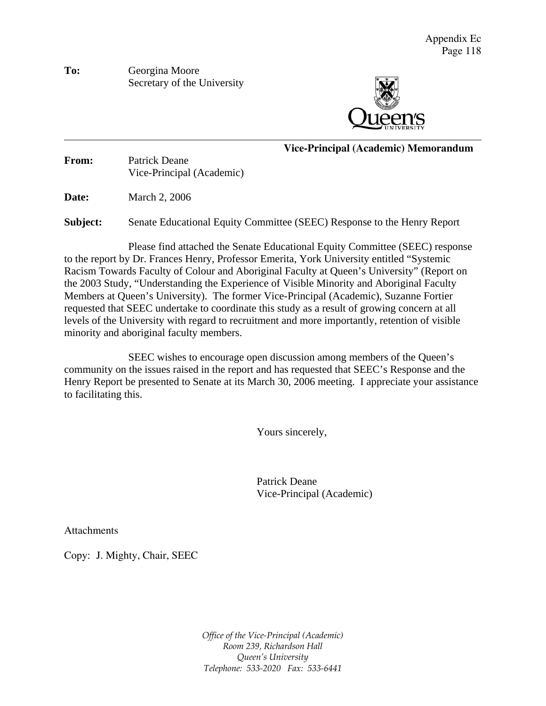**To:** Georgina Moore Secretary of the University



**Vice-Principal (Academic) Memorandum**

**From:** Patrick Deane Vice-Principal (Academic)

**Date:** March 2, 2006

 $\overline{a}$ 

**Subject:** Senate Educational Equity Committee (SEEC) Response to the Henry Report

 Please find attached the Senate Educational Equity Committee (SEEC) response to the report by Dr. Frances Henry, Professor Emerita, York University entitled "Systemic Racism Towards Faculty of Colour and Aboriginal Faculty at Queen's University" (Report on the 2003 Study, "Understanding the Experience of Visible Minority and Aboriginal Faculty Members at Queen's University). The former Vice-Principal (Academic), Suzanne Fortier requested that SEEC undertake to coordinate this study as a result of growing concern at all levels of the University with regard to recruitment and more importantly, retention of visible minority and aboriginal faculty members.

SEEC wishes to encourage open discussion among members of the Queen's community on the issues raised in the report and has requested that SEEC's Response and the Henry Report be presented to Senate at its March 30, 2006 meeting. I appreciate your assistance to facilitating this.

Yours sincerely,

 Patrick Deane Vice-Principal (Academic)

Attachments

Copy: J. Mighty, Chair, SEEC

*Office of the Vice-Principal (Academic) Room 239, Richardson Hall Queen's University Telephone: 533-2020 Fax: 533-6441*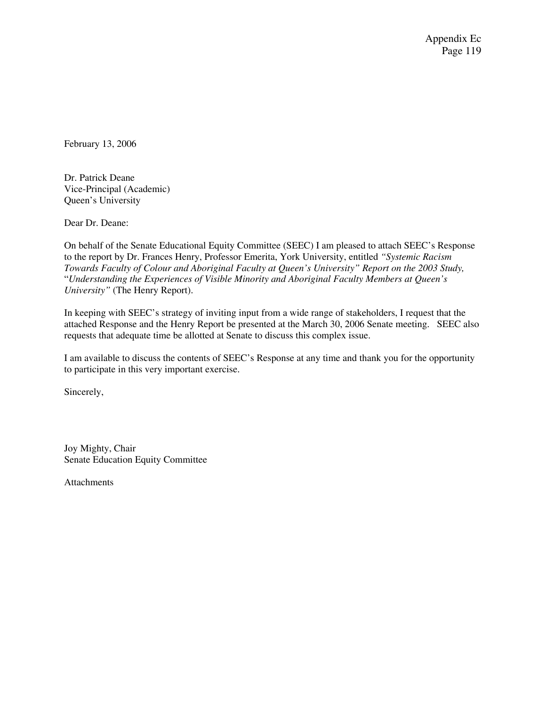Appendix Ec Page 119

February 13, 2006

Dr. Patrick Deane Vice-Principal (Academic) Queen's University

Dear Dr. Deane:

On behalf of the Senate Educational Equity Committee (SEEC) I am pleased to attach SEEC's Response to the report by Dr. Frances Henry, Professor Emerita, York University, entitled *"Systemic Racism Towards Faculty of Colour and Aboriginal Faculty at Queen's University" Report on the 2003 Study,* "*Understanding the Experiences of Visible Minority and Aboriginal Faculty Members at Queen's University"* (The Henry Report).

In keeping with SEEC's strategy of inviting input from a wide range of stakeholders, I request that the attached Response and the Henry Report be presented at the March 30, 2006 Senate meeting. SEEC also requests that adequate time be allotted at Senate to discuss this complex issue.

I am available to discuss the contents of SEEC's Response at any time and thank you for the opportunity to participate in this very important exercise.

Sincerely,

Joy Mighty, Chair Senate Education Equity Committee

Attachments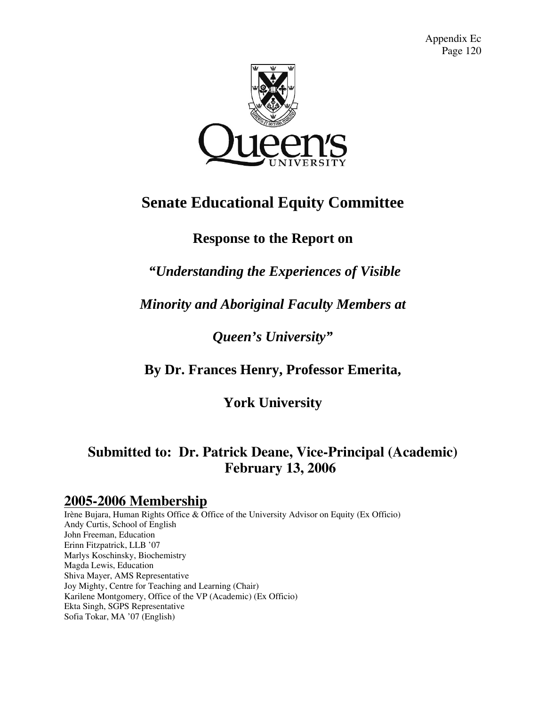Appendix Ec Page 120



# **Senate Educational Equity Committee**

# **Response to the Report on**

# *"Understanding the Experiences of Visible*

# *Minority and Aboriginal Faculty Members at*

# *Queen's University"*

# **By Dr. Frances Henry, Professor Emerita,**

# **York University**

# **Submitted to: Dr. Patrick Deane, Vice-Principal (Academic) February 13, 2006**

# **2005-2006 Membership**

Irène Bujara, Human Rights Office & Office of the University Advisor on Equity (Ex Officio) Andy Curtis, School of English John Freeman, Education Erinn Fitzpatrick, LLB '07 Marlys Koschinsky, Biochemistry Magda Lewis, Education Shiva Mayer, AMS Representative Joy Mighty, Centre for Teaching and Learning (Chair) Karilene Montgomery, Office of the VP (Academic) (Ex Officio) Ekta Singh, SGPS Representative Sofia Tokar, MA '07 (English)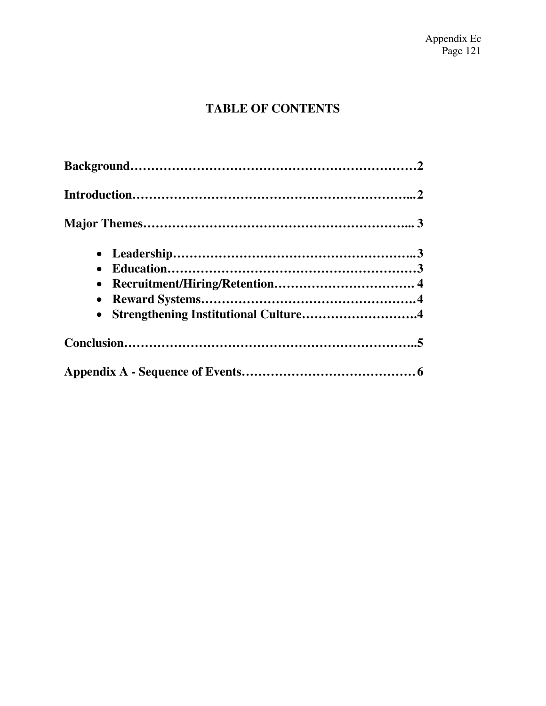# **TABLE OF CONTENTS**

| $\bullet$                              |  |
|----------------------------------------|--|
| • Strengthening Institutional Culture4 |  |
|                                        |  |
|                                        |  |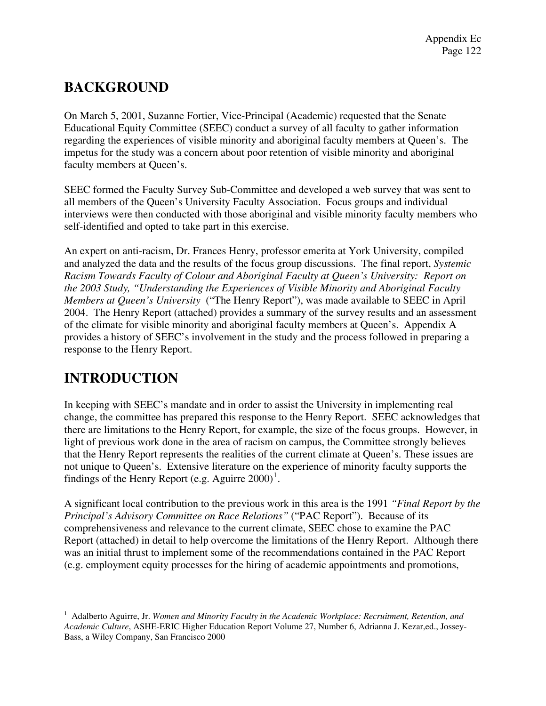# **BACKGROUND**

On March 5, 2001, Suzanne Fortier, Vice-Principal (Academic) requested that the Senate Educational Equity Committee (SEEC) conduct a survey of all faculty to gather information regarding the experiences of visible minority and aboriginal faculty members at Queen's. The impetus for the study was a concern about poor retention of visible minority and aboriginal faculty members at Queen's.

SEEC formed the Faculty Survey Sub-Committee and developed a web survey that was sent to all members of the Queen's University Faculty Association. Focus groups and individual interviews were then conducted with those aboriginal and visible minority faculty members who self-identified and opted to take part in this exercise.

An expert on anti-racism, Dr. Frances Henry, professor emerita at York University, compiled and analyzed the data and the results of the focus group discussions. The final report, *Systemic Racism Towards Faculty of Colour and Aboriginal Faculty at Queen's University: Report on the 2003 Study, "Understanding the Experiences of Visible Minority and Aboriginal Faculty Members at Queen's University* ("The Henry Report"), was made available to SEEC in April 2004. The Henry Report (attached) provides a summary of the survey results and an assessment of the climate for visible minority and aboriginal faculty members at Queen's. Appendix A provides a history of SEEC's involvement in the study and the process followed in preparing a response to the Henry Report.

# **INTRODUCTION**

 $\overline{a}$ 

In keeping with SEEC's mandate and in order to assist the University in implementing real change, the committee has prepared this response to the Henry Report. SEEC acknowledges that there are limitations to the Henry Report, for example, the size of the focus groups. However, in light of previous work done in the area of racism on campus, the Committee strongly believes that the Henry Report represents the realities of the current climate at Queen's. These issues are not unique to Queen's. Extensive literature on the experience of minority faculty supports the findings of the Henry Report (e.g. Aguirre  $2000$ )<sup>[1](#page-4-0)</sup>.

A significant local contribution to the previous work in this area is the 1991 *"Final Report by the Principal's Advisory Committee on Race Relations"* ("PAC Report"). Because of its comprehensiveness and relevance to the current climate, SEEC chose to examine the PAC Report (attached) in detail to help overcome the limitations of the Henry Report. Although there was an initial thrust to implement some of the recommendations contained in the PAC Report (e.g. employment equity processes for the hiring of academic appointments and promotions,

<span id="page-4-0"></span><sup>1</sup> Adalberto Aguirre, Jr. *Women and Minority Faculty in the Academic Workplace: Recruitment, Retention, and Academic Culture*, ASHE-ERIC Higher Education Report Volume 27, Number 6, Adrianna J. Kezar,ed., Jossey-Bass, a Wiley Company, San Francisco 2000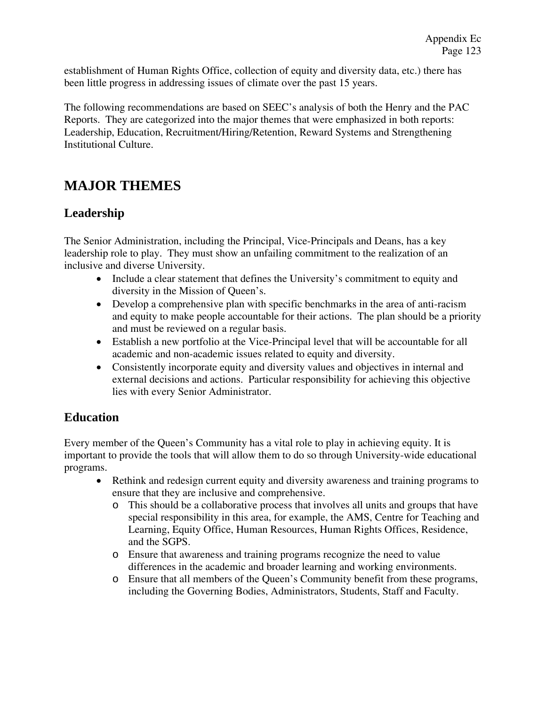establishment of Human Rights Office, collection of equity and diversity data, etc.) there has been little progress in addressing issues of climate over the past 15 years.

The following recommendations are based on SEEC's analysis of both the Henry and the PAC Reports. They are categorized into the major themes that were emphasized in both reports: Leadership, Education, Recruitment/Hiring/Retention, Reward Systems and Strengthening Institutional Culture.

# **MAJOR THEMES**

## **Leadership**

The Senior Administration, including the Principal, Vice-Principals and Deans, has a key leadership role to play. They must show an unfailing commitment to the realization of an inclusive and diverse University.

- Include a clear statement that defines the University's commitment to equity and diversity in the Mission of Queen's.
- Develop a comprehensive plan with specific benchmarks in the area of anti-racism and equity to make people accountable for their actions. The plan should be a priority and must be reviewed on a regular basis.
- Establish a new portfolio at the Vice-Principal level that will be accountable for all academic and non-academic issues related to equity and diversity.
- Consistently incorporate equity and diversity values and objectives in internal and external decisions and actions. Particular responsibility for achieving this objective lies with every Senior Administrator.

## **Education**

Every member of the Queen's Community has a vital role to play in achieving equity. It is important to provide the tools that will allow them to do so through University-wide educational programs.

- Rethink and redesign current equity and diversity awareness and training programs to ensure that they are inclusive and comprehensive.
	- o This should be a collaborative process that involves all units and groups that have special responsibility in this area, for example, the AMS, Centre for Teaching and Learning, Equity Office, Human Resources, Human Rights Offices, Residence, and the SGPS.
	- o Ensure that awareness and training programs recognize the need to value differences in the academic and broader learning and working environments.
	- o Ensure that all members of the Queen's Community benefit from these programs, including the Governing Bodies, Administrators, Students, Staff and Faculty.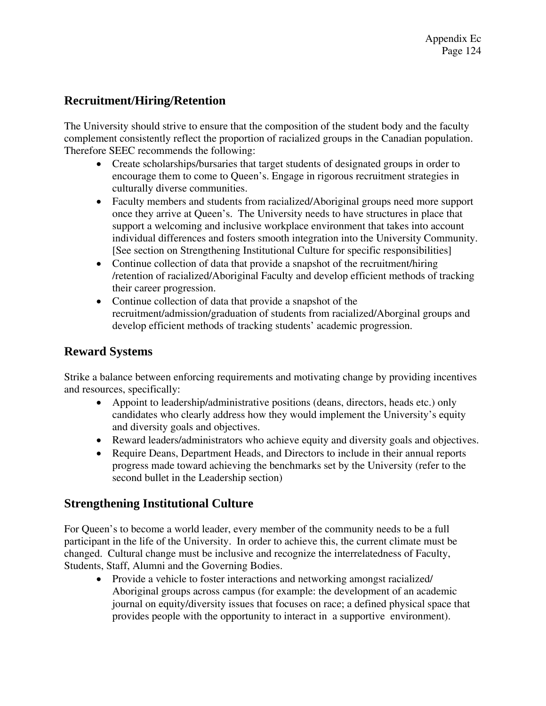## **Recruitment/Hiring/Retention**

The University should strive to ensure that the composition of the student body and the faculty complement consistently reflect the proportion of racialized groups in the Canadian population. Therefore SEEC recommends the following:

- Create scholarships/bursaries that target students of designated groups in order to encourage them to come to Queen's. Engage in rigorous recruitment strategies in culturally diverse communities.
- Faculty members and students from racialized/Aboriginal groups need more support once they arrive at Queen's. The University needs to have structures in place that support a welcoming and inclusive workplace environment that takes into account individual differences and fosters smooth integration into the University Community. [See section on Strengthening Institutional Culture for specific responsibilities]
- Continue collection of data that provide a snapshot of the recruitment/hiring /retention of racialized/Aboriginal Faculty and develop efficient methods of tracking their career progression.
- Continue collection of data that provide a snapshot of the recruitment/admission/graduation of students from racialized/Aborginal groups and develop efficient methods of tracking students' academic progression.

## **Reward Systems**

Strike a balance between enforcing requirements and motivating change by providing incentives and resources, specifically:

- Appoint to leadership/administrative positions (deans, directors, heads etc.) only candidates who clearly address how they would implement the University's equity and diversity goals and objectives.
- Reward leaders/administrators who achieve equity and diversity goals and objectives.
- Require Deans, Department Heads, and Directors to include in their annual reports progress made toward achieving the benchmarks set by the University (refer to the second bullet in the Leadership section)

## **Strengthening Institutional Culture**

For Queen's to become a world leader, every member of the community needs to be a full participant in the life of the University. In order to achieve this, the current climate must be changed. Cultural change must be inclusive and recognize the interrelatedness of Faculty, Students, Staff, Alumni and the Governing Bodies.

• Provide a vehicle to foster interactions and networking amongst racialized/ Aboriginal groups across campus (for example: the development of an academic journal on equity/diversity issues that focuses on race; a defined physical space that provides people with the opportunity to interact in a supportive environment).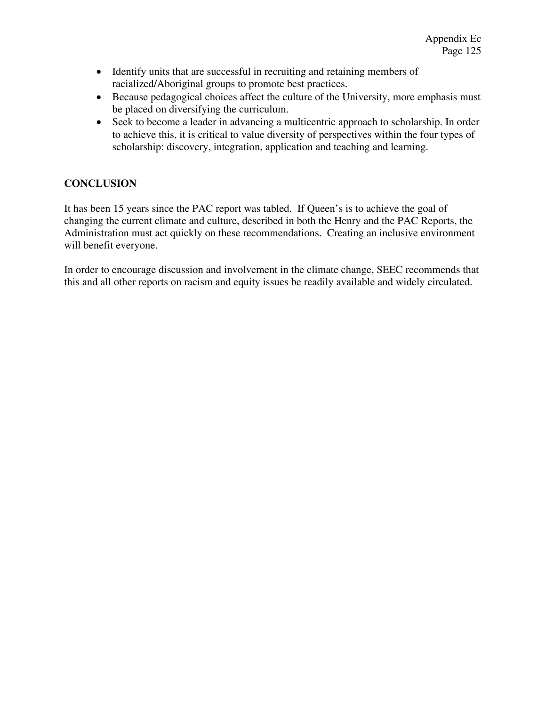- Identify units that are successful in recruiting and retaining members of racialized/Aboriginal groups to promote best practices.
- Because pedagogical choices affect the culture of the University, more emphasis must be placed on diversifying the curriculum.
- Seek to become a leader in advancing a multicentric approach to scholarship. In order to achieve this, it is critical to value diversity of perspectives within the four types of scholarship: discovery, integration, application and teaching and learning.

## **CONCLUSION**

It has been 15 years since the PAC report was tabled. If Queen's is to achieve the goal of changing the current climate and culture, described in both the Henry and the PAC Reports, the Administration must act quickly on these recommendations. Creating an inclusive environment will benefit everyone.

In order to encourage discussion and involvement in the climate change, SEEC recommends that this and all other reports on racism and equity issues be readily available and widely circulated.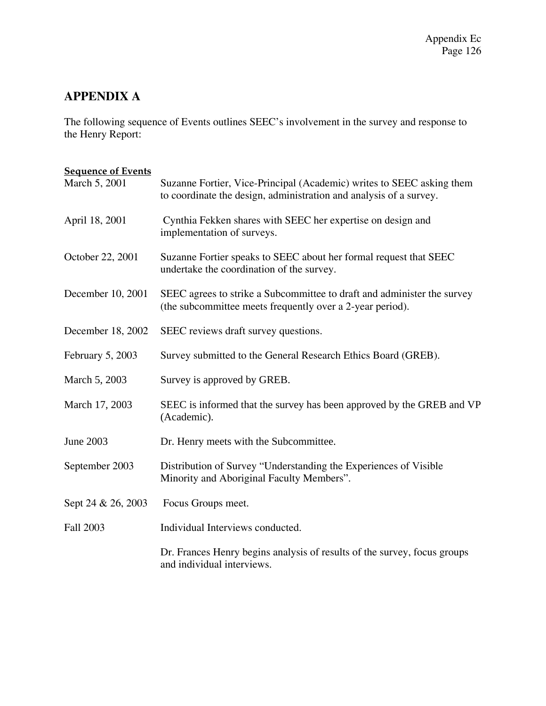# **APPENDIX A**

The following sequence of Events outlines SEEC's involvement in the survey and response to the Henry Report:

| <b>Sequence of Events</b> |                                                                                                                                             |  |  |  |
|---------------------------|---------------------------------------------------------------------------------------------------------------------------------------------|--|--|--|
| March 5, 2001             | Suzanne Fortier, Vice-Principal (Academic) writes to SEEC asking them<br>to coordinate the design, administration and analysis of a survey. |  |  |  |
| April 18, 2001            | Cynthia Fekken shares with SEEC her expertise on design and<br>implementation of surveys.                                                   |  |  |  |
| October 22, 2001          | Suzanne Fortier speaks to SEEC about her formal request that SEEC<br>undertake the coordination of the survey.                              |  |  |  |
| December 10, 2001         | SEEC agrees to strike a Subcommittee to draft and administer the survey<br>(the subcommittee meets frequently over a 2-year period).        |  |  |  |
| December 18, 2002         | SEEC reviews draft survey questions.                                                                                                        |  |  |  |
| February 5, 2003          | Survey submitted to the General Research Ethics Board (GREB).                                                                               |  |  |  |
| March 5, 2003             | Survey is approved by GREB.                                                                                                                 |  |  |  |
| March 17, 2003            | SEEC is informed that the survey has been approved by the GREB and VP<br>(Academic).                                                        |  |  |  |
| <b>June 2003</b>          | Dr. Henry meets with the Subcommittee.                                                                                                      |  |  |  |
| September 2003            | Distribution of Survey "Understanding the Experiences of Visible<br>Minority and Aboriginal Faculty Members".                               |  |  |  |
| Sept 24 & 26, 2003        | Focus Groups meet.                                                                                                                          |  |  |  |
| Fall 2003                 | Individual Interviews conducted.                                                                                                            |  |  |  |
|                           | Dr. Frances Henry begins analysis of results of the survey, focus groups<br>and individual interviews.                                      |  |  |  |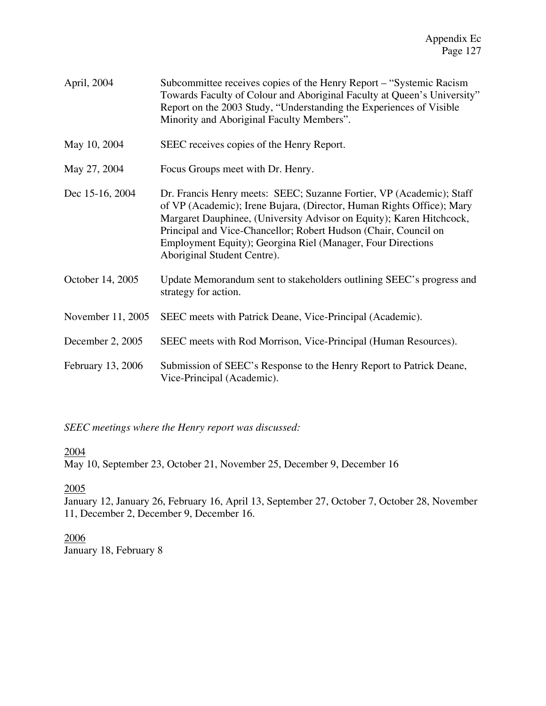| April, 2004 | Subcommittee receives copies of the Henry Report – "Systemic Racism"    |
|-------------|-------------------------------------------------------------------------|
|             | Towards Faculty of Colour and Aboriginal Faculty at Queen's University" |
|             | Report on the 2003 Study, "Understanding the Experiences of Visible"    |
|             | Minority and Aboriginal Faculty Members".                               |

- May 10, 2004 SEEC receives copies of the Henry Report.
- May 27, 2004 Focus Groups meet with Dr. Henry.
- Dec 15-16, 2004 Dr. Francis Henry meets: SEEC; Suzanne Fortier, VP (Academic); Staff of VP (Academic); Irene Bujara, (Director, Human Rights Office); Mary Margaret Dauphinee, (University Advisor on Equity); Karen Hitchcock, Principal and Vice-Chancellor; Robert Hudson (Chair, Council on Employment Equity); Georgina Riel (Manager, Four Directions Aboriginal Student Centre).
- October 14, 2005 Update Memorandum sent to stakeholders outlining SEEC's progress and strategy for action.
- November 11, 2005 SEEC meets with Patrick Deane, Vice-Principal (Academic).
- December 2, 2005 SEEC meets with Rod Morrison, Vice-Principal (Human Resources).
- February 13, 2006 Submission of SEEC's Response to the Henry Report to Patrick Deane, Vice-Principal (Academic).

*SEEC meetings where the Henry report was discussed:* 

## 2004

May 10, September 23, October 21, November 25, December 9, December 16

## 2005

January 12, January 26, February 16, April 13, September 27, October 7, October 28, November 11, December 2, December 9, December 16.

2006 January 18, February 8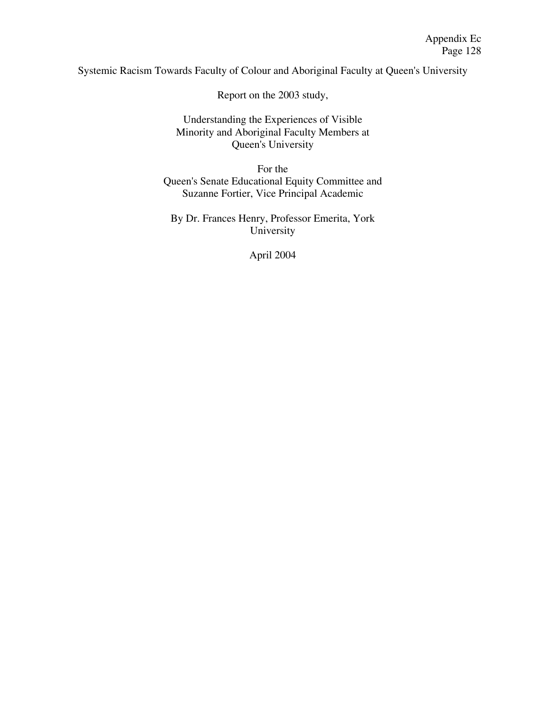Systemic Racism Towards Faculty of Colour and Aboriginal Faculty at Queen's University

Report on the 2003 study,

Understanding the Experiences of Visible Minority and Aboriginal Faculty Members at Queen's University

For the Queen's Senate Educational Equity Committee and Suzanne Fortier, Vice Principal Academic

By Dr. Frances Henry, Professor Emerita, York University

April 2004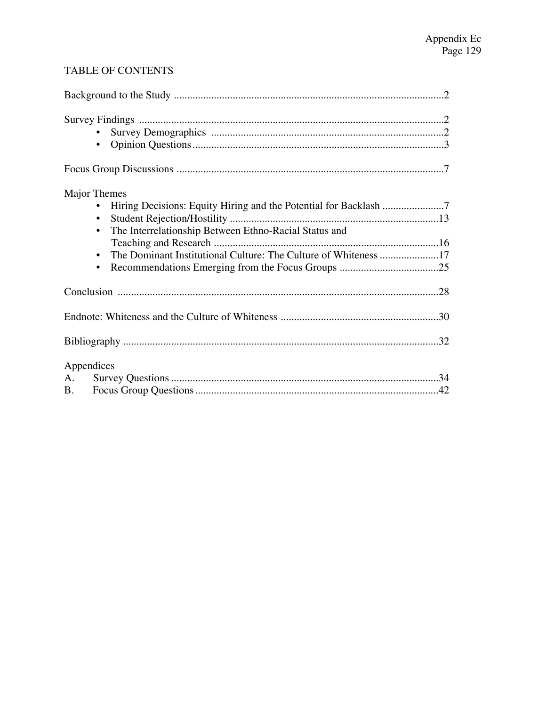## TABLE OF CONTENTS

| Major Themes<br>The Interrelationship Between Ethno-Racial Status and<br>$\bullet$ |  |
|------------------------------------------------------------------------------------|--|
|                                                                                    |  |
|                                                                                    |  |
|                                                                                    |  |
| Appendices                                                                         |  |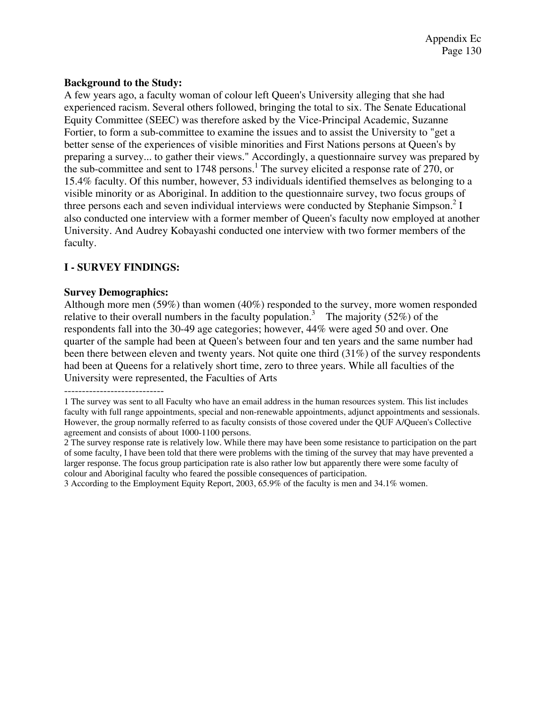## **Background to the Study:**

A few years ago, a faculty woman of colour left Queen's University alleging that she had experienced racism. Several others followed, bringing the total to six. The Senate Educational Equity Committee (SEEC) was therefore asked by the Vice-Principal Academic, Suzanne Fortier, to form a sub-committee to examine the issues and to assist the University to "get a better sense of the experiences of visible minorities and First Nations persons at Queen's by preparing a survey... to gather their views." Accordingly, a questionnaire survey was prepared by the sub-committee and sent to  $1748$  persons.<sup>1</sup> The survey elicited a response rate of  $270$ , or 15.4% faculty. Of this number, however, 53 individuals identified themselves as belonging to a visible minority or as Aboriginal. In addition to the questionnaire survey, two focus groups of three persons each and seven individual interviews were conducted by Stephanie Simpson.<sup>2</sup> I also conducted one interview with a former member of Queen's faculty now employed at another University. And Audrey Kobayashi conducted one interview with two former members of the faculty.

## **I - SURVEY FINDINGS:**

## **Survey Demographics:**

Although more men (59%) than women (40%) responded to the survey, more women responded relative to their overall numbers in the faculty population.<sup>3</sup> The majority (52%) of the respondents fall into the 30-49 age categories; however, 44% were aged 50 and over. One quarter of the sample had been at Queen's between four and ten years and the same number had been there between eleven and twenty years. Not quite one third (31%) of the survey respondents had been at Queens for a relatively short time, zero to three years. While all faculties of the University were represented, the Faculties of Arts

<sup>1</sup> The survey was sent to all Faculty who have an email address in the human resources system. This list includes faculty with full range appointments, special and non-renewable appointments, adjunct appointments and sessionals. However, the group normally referred to as faculty consists of those covered under the QUF A/Queen's Collective agreement and consists of about 1000-1100 persons.

<sup>2</sup> The survey response rate is relatively low. While there may have been some resistance to participation on the part of some faculty, I have been told that there were problems with the timing of the survey that may have prevented a larger response. The focus group participation rate is also rather low but apparently there were some faculty of colour and Aboriginal faculty who feared the possible consequences of participation.

<sup>3</sup> According to the Employment Equity Report, 2003, 65.9% of the faculty is men and 34.1% women.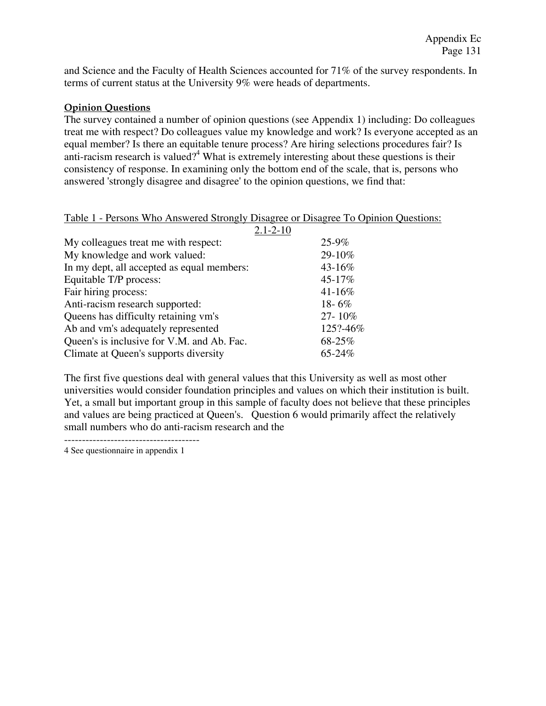and Science and the Faculty of Health Sciences accounted for 71% of the survey respondents. In terms of current status at the University 9% were heads of departments.

## **Opinion Questions**

The survey contained a number of opinion questions (see Appendix 1) including: Do colleagues treat me with respect? Do colleagues value my knowledge and work? Is everyone accepted as an equal member? Is there an equitable tenure process? Are hiring selections procedures fair? Is anti-racism research is valued?<sup>4</sup> What is extremely interesting about these questions is their consistency of response. In examining only the bottom end of the scale, that is, persons who answered 'strongly disagree and disagree' to the opinion questions, we find that:

## Table 1 - Persons Who Answered Strongly Disagree or Disagree To Opinion Questions:

|                                            | $2.1 - 2 - 10$ |            |
|--------------------------------------------|----------------|------------|
| My colleagues treat me with respect:       |                | $25 - 9\%$ |
| My knowledge and work valued:              |                | 29-10%     |
| In my dept, all accepted as equal members: |                | 43-16%     |
| Equitable T/P process:                     |                | 45-17%     |
| Fair hiring process:                       |                | 41-16%     |
| Anti-racism research supported:            |                | $18 - 6\%$ |
| Queens has difficulty retaining vm's       |                | 27-10%     |
| Ab and vm's adequately represented         |                | 125?-46%   |
| Queen's is inclusive for V.M. and Ab. Fac. |                | 68-25%     |
| Climate at Queen's supports diversity      |                | 65-24%     |

The first five questions deal with general values that this University as well as most other universities would consider foundation principles and values on which their institution is built. Yet, a small but important group in this sample of faculty does not believe that these principles and values are being practiced at Queen's. Question 6 would primarily affect the relatively small numbers who do anti-racism research and the

4 See questionnaire in appendix 1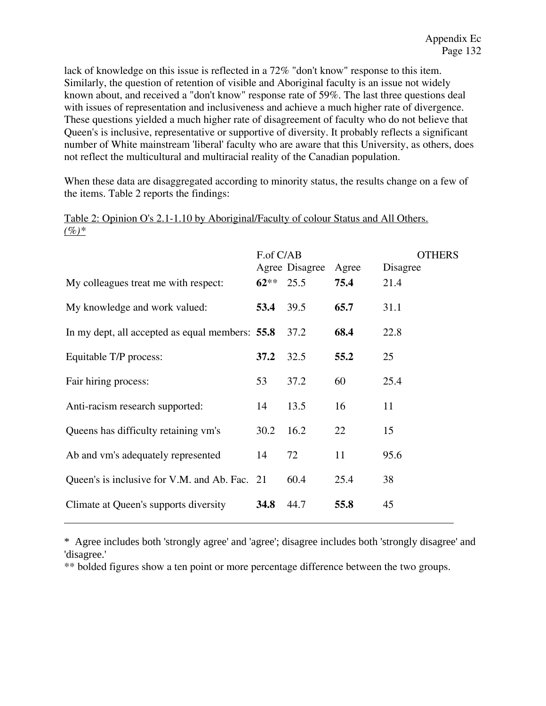lack of knowledge on this issue is reflected in a 72% "don't know" response to this item. Similarly, the question of retention of visible and Aboriginal faculty is an issue not widely known about, and received a "don't know" response rate of 59%. The last three questions deal with issues of representation and inclusiveness and achieve a much higher rate of divergence. These questions yielded a much higher rate of disagreement of faculty who do not believe that Queen's is inclusive, representative or supportive of diversity. It probably reflects a significant number of White mainstream 'liberal' faculty who are aware that this University, as others, does not reflect the multicultural and multiracial reality of the Canadian population.

When these data are disaggregated according to minority status, the results change on a few of the items. Table 2 reports the findings:

|                                                 | F.of C/AB | Agree Disagree | Agree | THERS<br>Disagree |
|-------------------------------------------------|-----------|----------------|-------|-------------------|
| My colleagues treat me with respect:            | $62**$    | 25.5           | 75.4  | 21.4              |
| My knowledge and work valued:                   | 53.4      | 39.5           | 65.7  | 31.1              |
| In my dept, all accepted as equal members: 55.8 |           | 37.2           | 68.4  | 22.8              |
| Equitable T/P process:                          | 37.2      | 32.5           | 55.2  | 25                |
| Fair hiring process:                            | 53        | 37.2           | 60    | 25.4              |
| Anti-racism research supported:                 | 14        | 13.5           | 16    | 11                |
| Queens has difficulty retaining vm's            | 30.2      | 16.2           | 22    | 15                |
| Ab and vm's adequately represented              | 14        | 72             | 11    | 95.6              |
| Queen's is inclusive for V.M. and Ab. Fac. 21   |           | 60.4           | 25.4  | 38                |
| Climate at Queen's supports diversity           | 34.8      | 44.7           | 55.8  | 45                |

Table 2: Opinion O's 2.1-1.10 by Aboriginal/Faculty of colour Status and All Others. *(%)\**

\* Agree includes both 'strongly agree' and 'agree'; disagree includes both 'strongly disagree' and 'disagree.'

\*\* bolded figures show a ten point or more percentage difference between the two groups.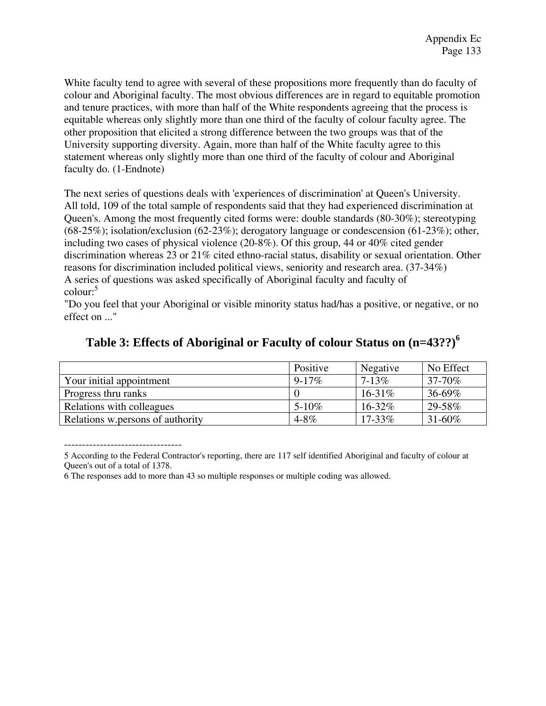White faculty tend to agree with several of these propositions more frequently than do faculty of colour and Aboriginal faculty. The most obvious differences are in regard to equitable promotion and tenure practices, with more than half of the White respondents agreeing that the process is equitable whereas only slightly more than one third of the faculty of colour faculty agree. The other proposition that elicited a strong difference between the two groups was that of the University supporting diversity. Again, more than half of the White faculty agree to this statement whereas only slightly more than one third of the faculty of colour and Aboriginal faculty do. (1-Endnote)

The next series of questions deals with 'experiences of discrimination' at Queen's University. All told, 109 of the total sample of respondents said that they had experienced discrimination at Queen's. Among the most frequently cited forms were: double standards (80-30%); stereotyping  $(68-25\%)$ ; isolation/exclusion  $(62-23\%)$ ; derogatory language or condescension  $(61-23\%)$ ; other, including two cases of physical violence (20-8%). Of this group, 44 or 40% cited gender discrimination whereas 23 or 21% cited ethno-racial status, disability or sexual orientation. Other reasons for discrimination included political views, seniority and research area. (37-34%) A series of questions was asked specifically of Aboriginal faculty and faculty of colour:<sup>5</sup>

"Do you feel that your Aboriginal or visible minority status had/has a positive, or negative, or no effect on ..."

|                                  | Positive   | Negative    | No Effect   |
|----------------------------------|------------|-------------|-------------|
| Your initial appointment         | $9 - 17\%$ | $7 - 13\%$  | 37-70%      |
| Progress thru ranks              |            | $16-31\%$   | $36 - 69\%$ |
| Relations with colleagues        | $5 - 10\%$ | $16 - 32\%$ | 29-58%      |
| Relations w.persons of authority | $4 - 8\%$  | $17 - 33\%$ | $31 - 60\%$ |

## **Table 3: Effects of Aboriginal or Faculty of colour Status on (n=43??)<sup>6</sup>**

5 According to the Federal Contractor's reporting, there are 117 self identified Aboriginal and faculty of colour at Queen's out of a total of 1378.

<sup>6</sup> The responses add to more than 43 so multiple responses or multiple coding was allowed.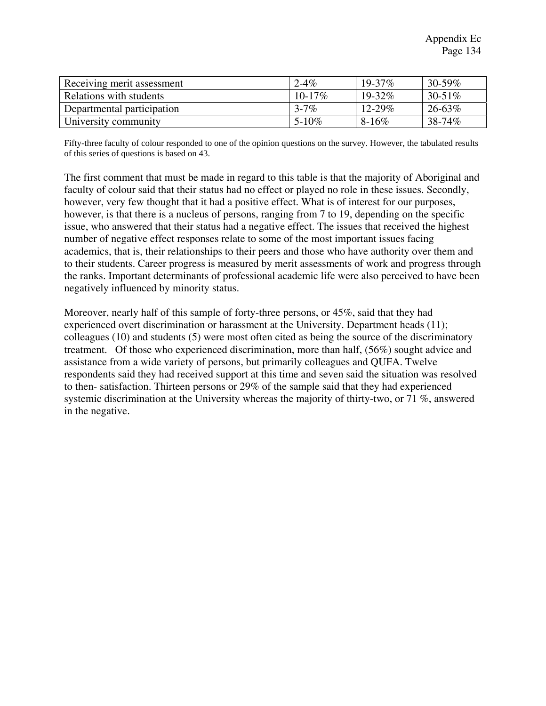| Receiving merit assessment | $2 - 4\%$   | $19 - 37\%$ | 30-59% |
|----------------------------|-------------|-------------|--------|
| Relations with students    | $10 - 17\%$ | $19 - 32\%$ | 30-51% |
| Departmental participation | $3 - 7\%$   | $12 - 29\%$ | 26-63% |
| University community       | $5 - 10\%$  | $8-16\%$    | 38-74% |

Fifty-three faculty of colour responded to one of the opinion questions on the survey. However, the tabulated results of this series of questions is based on 43.

The first comment that must be made in regard to this table is that the majority of Aboriginal and faculty of colour said that their status had no effect or played no role in these issues. Secondly, however, very few thought that it had a positive effect. What is of interest for our purposes, however, is that there is a nucleus of persons, ranging from 7 to 19, depending on the specific issue, who answered that their status had a negative effect. The issues that received the highest number of negative effect responses relate to some of the most important issues facing academics, that is, their relationships to their peers and those who have authority over them and to their students. Career progress is measured by merit assessments of work and progress through the ranks. Important determinants of professional academic life were also perceived to have been negatively influenced by minority status.

Moreover, nearly half of this sample of forty-three persons, or 45%, said that they had experienced overt discrimination or harassment at the University. Department heads (11); colleagues (10) and students (5) were most often cited as being the source of the discriminatory treatment. Of those who experienced discrimination, more than half, (56%) sought advice and assistance from a wide variety of persons, but primarily colleagues and QUFA. Twelve respondents said they had received support at this time and seven said the situation was resolved to then- satisfaction. Thirteen persons or 29% of the sample said that they had experienced systemic discrimination at the University whereas the majority of thirty-two, or 71 %, answered in the negative.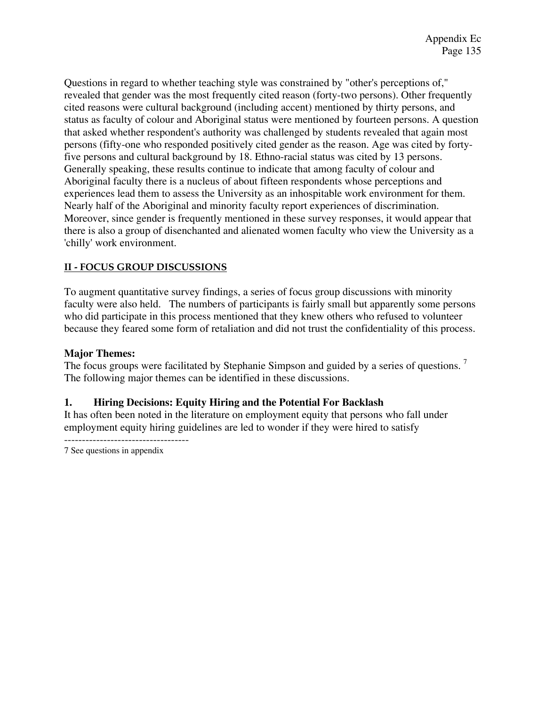Questions in regard to whether teaching style was constrained by "other's perceptions of," revealed that gender was the most frequently cited reason (forty-two persons). Other frequently cited reasons were cultural background (including accent) mentioned by thirty persons, and status as faculty of colour and Aboriginal status were mentioned by fourteen persons. A question that asked whether respondent's authority was challenged by students revealed that again most persons (fifty-one who responded positively cited gender as the reason. Age was cited by fortyfive persons and cultural background by 18. Ethno-racial status was cited by 13 persons. Generally speaking, these results continue to indicate that among faculty of colour and Aboriginal faculty there is a nucleus of about fifteen respondents whose perceptions and experiences lead them to assess the University as an inhospitable work environment for them. Nearly half of the Aboriginal and minority faculty report experiences of discrimination. Moreover, since gender is frequently mentioned in these survey responses, it would appear that there is also a group of disenchanted and alienated women faculty who view the University as a 'chilly' work environment.

## **II - FOCUS GROUP DISCUSSIONS**

To augment quantitative survey findings, a series of focus group discussions with minority faculty were also held. The numbers of participants is fairly small but apparently some persons who did participate in this process mentioned that they knew others who refused to volunteer because they feared some form of retaliation and did not trust the confidentiality of this process.

## **Major Themes:**

The focus groups were facilitated by Stephanie Simpson and guided by a series of questions.<sup>7</sup> The following major themes can be identified in these discussions.

## **1. Hiring Decisions: Equity Hiring and the Potential For Backlash**

It has often been noted in the literature on employment equity that persons who fall under employment equity hiring guidelines are led to wonder if they were hired to satisfy

7 See questions in appendix

-----------------------------------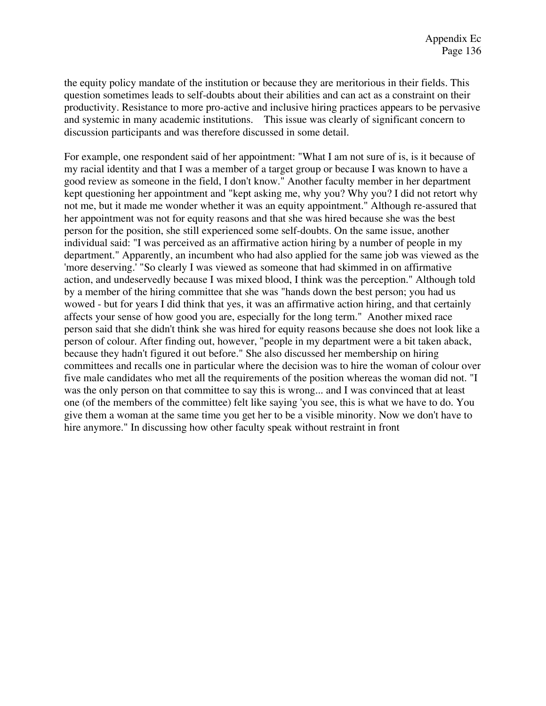the equity policy mandate of the institution or because they are meritorious in their fields. This question sometimes leads to self-doubts about their abilities and can act as a constraint on their productivity. Resistance to more pro-active and inclusive hiring practices appears to be pervasive and systemic in many academic institutions. This issue was clearly of significant concern to discussion participants and was therefore discussed in some detail.

For example, one respondent said of her appointment: "What I am not sure of is, is it because of my racial identity and that I was a member of a target group or because I was known to have a good review as someone in the field, I don't know." Another faculty member in her department kept questioning her appointment and "kept asking me, why you? Why you? I did not retort why not me, but it made me wonder whether it was an equity appointment." Although re-assured that her appointment was not for equity reasons and that she was hired because she was the best person for the position, she still experienced some self-doubts. On the same issue, another individual said: "I was perceived as an affirmative action hiring by a number of people in my department." Apparently, an incumbent who had also applied for the same job was viewed as the 'more deserving.' "So clearly I was viewed as someone that had skimmed in on affirmative action, and undeservedly because I was mixed blood, I think was the perception." Although told by a member of the hiring committee that she was "hands down the best person; you had us wowed - but for years I did think that yes, it was an affirmative action hiring, and that certainly affects your sense of how good you are, especially for the long term." Another mixed race person said that she didn't think she was hired for equity reasons because she does not look like a person of colour. After finding out, however, "people in my department were a bit taken aback, because they hadn't figured it out before." She also discussed her membership on hiring committees and recalls one in particular where the decision was to hire the woman of colour over five male candidates who met all the requirements of the position whereas the woman did not. "I was the only person on that committee to say this is wrong... and I was convinced that at least one (of the members of the committee) felt like saying 'you see, this is what we have to do. You give them a woman at the same time you get her to be a visible minority. Now we don't have to hire anymore." In discussing how other faculty speak without restraint in front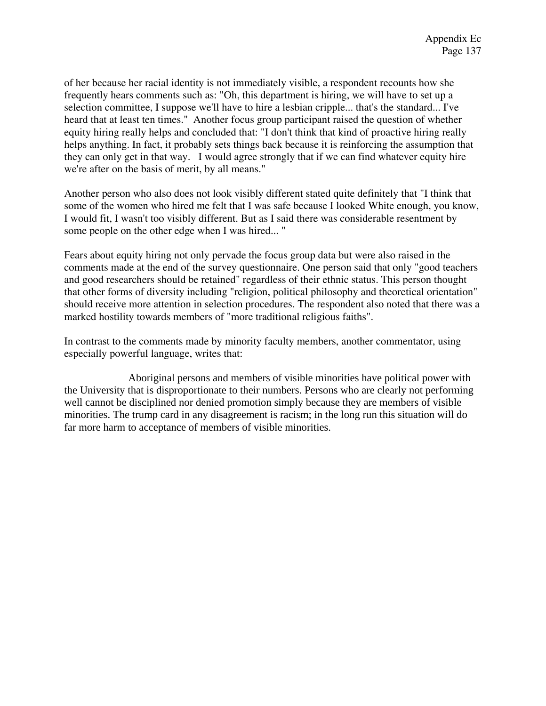of her because her racial identity is not immediately visible, a respondent recounts how she frequently hears comments such as: "Oh, this department is hiring, we will have to set up a selection committee, I suppose we'll have to hire a lesbian cripple... that's the standard... I've heard that at least ten times." Another focus group participant raised the question of whether equity hiring really helps and concluded that: "I don't think that kind of proactive hiring really helps anything. In fact, it probably sets things back because it is reinforcing the assumption that they can only get in that way. I would agree strongly that if we can find whatever equity hire we're after on the basis of merit, by all means."

Another person who also does not look visibly different stated quite definitely that "I think that some of the women who hired me felt that I was safe because I looked White enough, you know, I would fit, I wasn't too visibly different. But as I said there was considerable resentment by some people on the other edge when I was hired... "

Fears about equity hiring not only pervade the focus group data but were also raised in the comments made at the end of the survey questionnaire. One person said that only "good teachers and good researchers should be retained" regardless of their ethnic status. This person thought that other forms of diversity including "religion, political philosophy and theoretical orientation" should receive more attention in selection procedures. The respondent also noted that there was a marked hostility towards members of "more traditional religious faiths".

In contrast to the comments made by minority faculty members, another commentator, using especially powerful language, writes that:

Aboriginal persons and members of visible minorities have political power with the University that is disproportionate to their numbers. Persons who are clearly not performing well cannot be disciplined nor denied promotion simply because they are members of visible minorities. The trump card in any disagreement is racism; in the long run this situation will do far more harm to acceptance of members of visible minorities.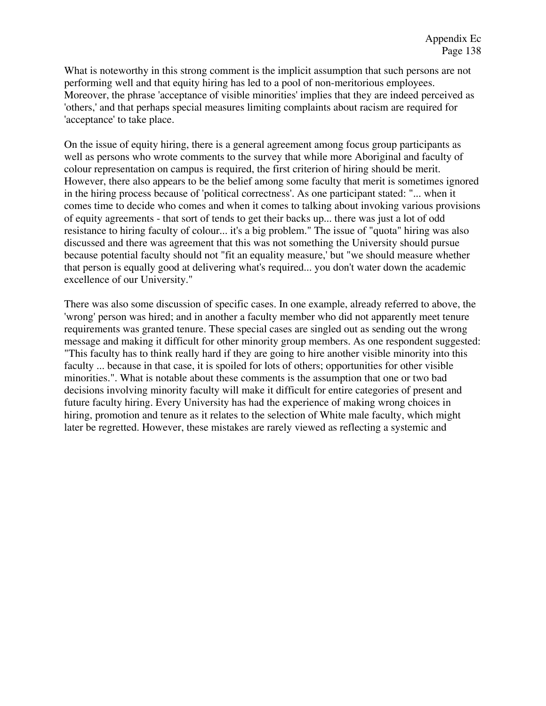What is noteworthy in this strong comment is the implicit assumption that such persons are not performing well and that equity hiring has led to a pool of non-meritorious employees. Moreover, the phrase 'acceptance of visible minorities' implies that they are indeed perceived as 'others,' and that perhaps special measures limiting complaints about racism are required for 'acceptance' to take place.

On the issue of equity hiring, there is a general agreement among focus group participants as well as persons who wrote comments to the survey that while more Aboriginal and faculty of colour representation on campus is required, the first criterion of hiring should be merit. However, there also appears to be the belief among some faculty that merit is sometimes ignored in the hiring process because of 'political correctness'. As one participant stated: "... when it comes time to decide who comes and when it comes to talking about invoking various provisions of equity agreements - that sort of tends to get their backs up... there was just a lot of odd resistance to hiring faculty of colour... it's a big problem." The issue of "quota" hiring was also discussed and there was agreement that this was not something the University should pursue because potential faculty should not "fit an equality measure,' but "we should measure whether that person is equally good at delivering what's required... you don't water down the academic excellence of our University."

There was also some discussion of specific cases. In one example, already referred to above, the 'wrong' person was hired; and in another a faculty member who did not apparently meet tenure requirements was granted tenure. These special cases are singled out as sending out the wrong message and making it difficult for other minority group members. As one respondent suggested: "This faculty has to think really hard if they are going to hire another visible minority into this faculty ... because in that case, it is spoiled for lots of others; opportunities for other visible minorities.". What is notable about these comments is the assumption that one or two bad decisions involving minority faculty will make it difficult for entire categories of present and future faculty hiring. Every University has had the experience of making wrong choices in hiring, promotion and tenure as it relates to the selection of White male faculty, which might later be regretted. However, these mistakes are rarely viewed as reflecting a systemic and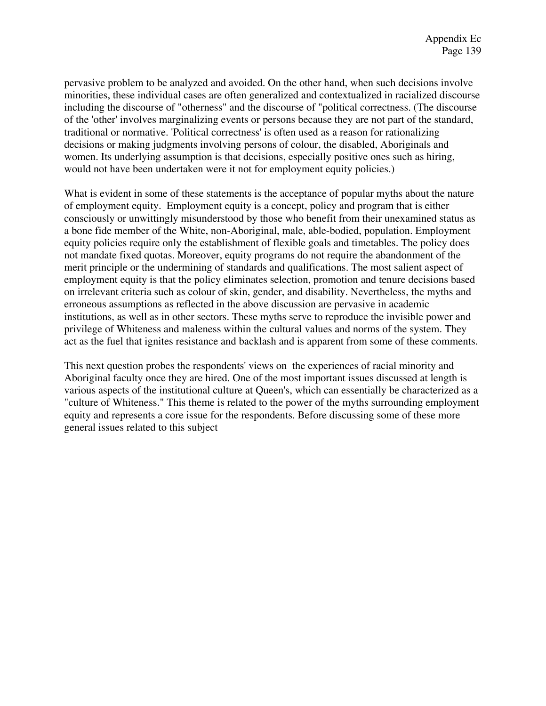pervasive problem to be analyzed and avoided. On the other hand, when such decisions involve minorities, these individual cases are often generalized and contextualized in racialized discourse including the discourse of "otherness" and the discourse of "political correctness. (The discourse of the 'other' involves marginalizing events or persons because they are not part of the standard, traditional or normative. 'Political correctness' is often used as a reason for rationalizing decisions or making judgments involving persons of colour, the disabled, Aboriginals and women. Its underlying assumption is that decisions, especially positive ones such as hiring, would not have been undertaken were it not for employment equity policies.)

What is evident in some of these statements is the acceptance of popular myths about the nature of employment equity. Employment equity is a concept, policy and program that is either consciously or unwittingly misunderstood by those who benefit from their unexamined status as a bone fide member of the White, non-Aboriginal, male, able-bodied, population. Employment equity policies require only the establishment of flexible goals and timetables. The policy does not mandate fixed quotas. Moreover, equity programs do not require the abandonment of the merit principle or the undermining of standards and qualifications. The most salient aspect of employment equity is that the policy eliminates selection, promotion and tenure decisions based on irrelevant criteria such as colour of skin, gender, and disability. Nevertheless, the myths and erroneous assumptions as reflected in the above discussion are pervasive in academic institutions, as well as in other sectors. These myths serve to reproduce the invisible power and privilege of Whiteness and maleness within the cultural values and norms of the system. They act as the fuel that ignites resistance and backlash and is apparent from some of these comments.

This next question probes the respondents' views on the experiences of racial minority and Aboriginal faculty once they are hired. One of the most important issues discussed at length is various aspects of the institutional culture at Queen's, which can essentially be characterized as a "culture of Whiteness." This theme is related to the power of the myths surrounding employment equity and represents a core issue for the respondents. Before discussing some of these more general issues related to this subject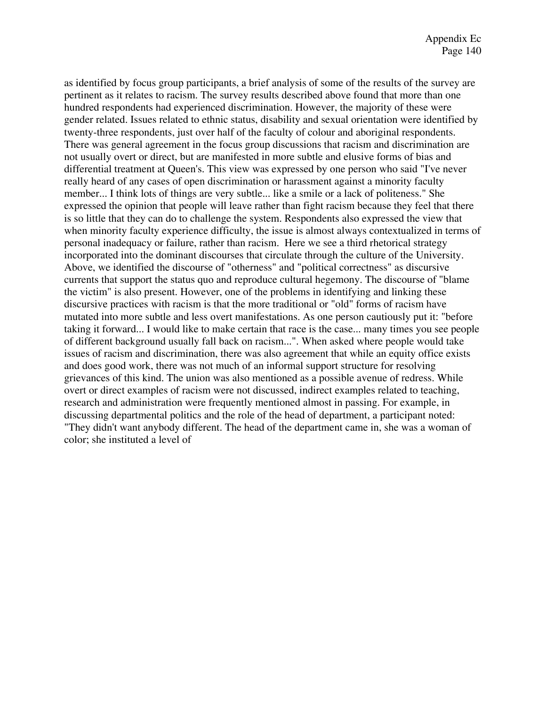as identified by focus group participants, a brief analysis of some of the results of the survey are pertinent as it relates to racism. The survey results described above found that more than one hundred respondents had experienced discrimination. However, the majority of these were gender related. Issues related to ethnic status, disability and sexual orientation were identified by twenty-three respondents, just over half of the faculty of colour and aboriginal respondents. There was general agreement in the focus group discussions that racism and discrimination are not usually overt or direct, but are manifested in more subtle and elusive forms of bias and differential treatment at Queen's. This view was expressed by one person who said "I've never really heard of any cases of open discrimination or harassment against a minority faculty member... I think lots of things are very subtle... like a smile or a lack of politeness." She expressed the opinion that people will leave rather than fight racism because they feel that there is so little that they can do to challenge the system. Respondents also expressed the view that when minority faculty experience difficulty, the issue is almost always contextualized in terms of personal inadequacy or failure, rather than racism. Here we see a third rhetorical strategy incorporated into the dominant discourses that circulate through the culture of the University. Above, we identified the discourse of "otherness" and "political correctness" as discursive currents that support the status quo and reproduce cultural hegemony. The discourse of "blame the victim" is also present. However, one of the problems in identifying and linking these discursive practices with racism is that the more traditional or "old" forms of racism have mutated into more subtle and less overt manifestations. As one person cautiously put it: "before taking it forward... I would like to make certain that race is the case... many times you see people of different background usually fall back on racism...". When asked where people would take issues of racism and discrimination, there was also agreement that while an equity office exists and does good work, there was not much of an informal support structure for resolving grievances of this kind. The union was also mentioned as a possible avenue of redress. While overt or direct examples of racism were not discussed, indirect examples related to teaching, research and administration were frequently mentioned almost in passing. For example, in discussing departmental politics and the role of the head of department, a participant noted: "They didn't want anybody different. The head of the department came in, she was a woman of color; she instituted a level of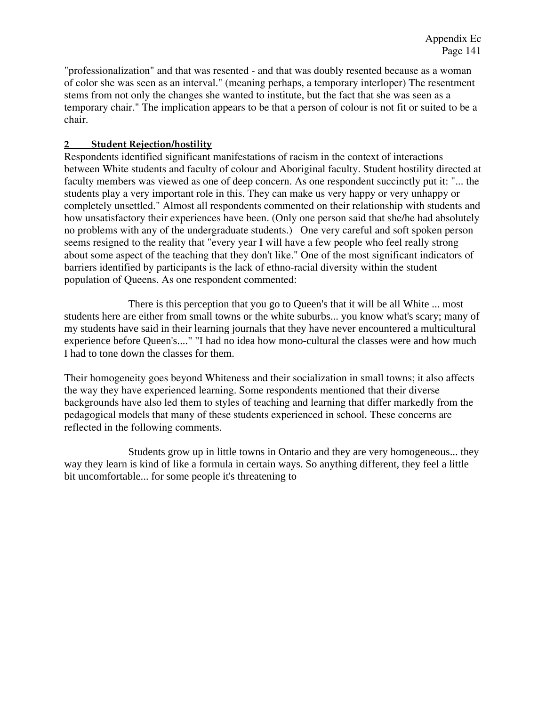"professionalization" and that was resented - and that was doubly resented because as a woman of color she was seen as an interval." (meaning perhaps, a temporary interloper) The resentment stems from not only the changes she wanted to institute, but the fact that she was seen as a temporary chair." The implication appears to be that a person of colour is not fit or suited to be a chair.

## **2 Student Rejection/hostility**

Respondents identified significant manifestations of racism in the context of interactions between White students and faculty of colour and Aboriginal faculty. Student hostility directed at faculty members was viewed as one of deep concern. As one respondent succinctly put it: "... the students play a very important role in this. They can make us very happy or very unhappy or completely unsettled." Almost all respondents commented on their relationship with students and how unsatisfactory their experiences have been. (Only one person said that she/he had absolutely no problems with any of the undergraduate students.) One very careful and soft spoken person seems resigned to the reality that "every year I will have a few people who feel really strong about some aspect of the teaching that they don't like." One of the most significant indicators of barriers identified by participants is the lack of ethno-racial diversity within the student population of Queens. As one respondent commented:

There is this perception that you go to Queen's that it will be all White ... most students here are either from small towns or the white suburbs... you know what's scary; many of my students have said in their learning journals that they have never encountered a multicultural experience before Queen's...." "I had no idea how mono-cultural the classes were and how much I had to tone down the classes for them.

Their homogeneity goes beyond Whiteness and their socialization in small towns; it also affects the way they have experienced learning. Some respondents mentioned that their diverse backgrounds have also led them to styles of teaching and learning that differ markedly from the pedagogical models that many of these students experienced in school. These concerns are reflected in the following comments.

Students grow up in little towns in Ontario and they are very homogeneous... they way they learn is kind of like a formula in certain ways. So anything different, they feel a little bit uncomfortable... for some people it's threatening to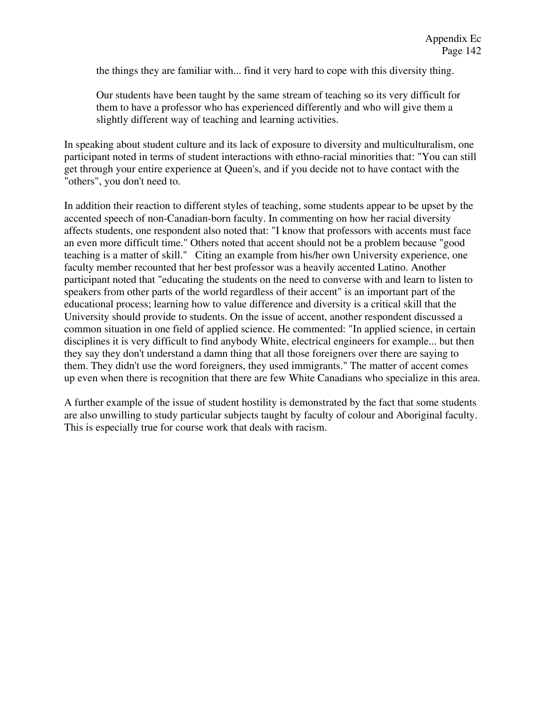the things they are familiar with... find it very hard to cope with this diversity thing.

Our students have been taught by the same stream of teaching so its very difficult for them to have a professor who has experienced differently and who will give them a slightly different way of teaching and learning activities.

In speaking about student culture and its lack of exposure to diversity and multiculturalism, one participant noted in terms of student interactions with ethno-racial minorities that: "You can still get through your entire experience at Queen's, and if you decide not to have contact with the "others", you don't need to.

In addition their reaction to different styles of teaching, some students appear to be upset by the accented speech of non-Canadian-born faculty. In commenting on how her racial diversity affects students, one respondent also noted that: "I know that professors with accents must face an even more difficult time." Others noted that accent should not be a problem because "good teaching is a matter of skill." Citing an example from his/her own University experience, one faculty member recounted that her best professor was a heavily accented Latino. Another participant noted that "educating the students on the need to converse with and learn to listen to speakers from other parts of the world regardless of their accent" is an important part of the educational process; learning how to value difference and diversity is a critical skill that the University should provide to students. On the issue of accent, another respondent discussed a common situation in one field of applied science. He commented: "In applied science, in certain disciplines it is very difficult to find anybody White, electrical engineers for example... but then they say they don't understand a damn thing that all those foreigners over there are saying to them. They didn't use the word foreigners, they used immigrants." The matter of accent comes up even when there is recognition that there are few White Canadians who specialize in this area.

A further example of the issue of student hostility is demonstrated by the fact that some students are also unwilling to study particular subjects taught by faculty of colour and Aboriginal faculty. This is especially true for course work that deals with racism.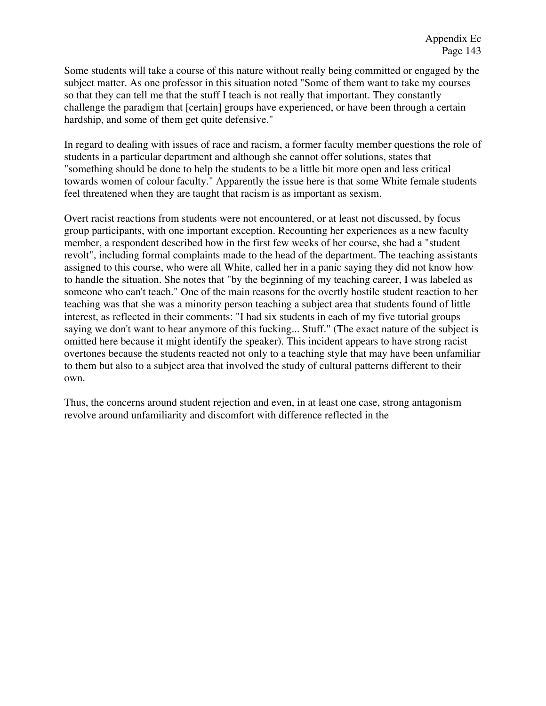Some students will take a course of this nature without really being committed or engaged by the subject matter. As one professor in this situation noted "Some of them want to take my courses so that they can tell me that the stuff I teach is not really that important. They constantly challenge the paradigm that [certain] groups have experienced, or have been through a certain hardship, and some of them get quite defensive."

In regard to dealing with issues of race and racism, a former faculty member questions the role of students in a particular department and although she cannot offer solutions, states that "something should be done to help the students to be a little bit more open and less critical towards women of colour faculty." Apparently the issue here is that some White female students feel threatened when they are taught that racism is as important as sexism.

Overt racist reactions from students were not encountered, or at least not discussed, by focus group participants, with one important exception. Recounting her experiences as a new faculty member, a respondent described how in the first few weeks of her course, she had a "student revolt", including formal complaints made to the head of the department. The teaching assistants assigned to this course, who were all White, called her in a panic saying they did not know how to handle the situation. She notes that "by the beginning of my teaching career, I was labeled as someone who can't teach." One of the main reasons for the overtly hostile student reaction to her teaching was that she was a minority person teaching a subject area that students found of little interest, as reflected in their comments: "I had six students in each of my five tutorial groups saying we don't want to hear anymore of this fucking... Stuff." (The exact nature of the subject is omitted here because it might identify the speaker). This incident appears to have strong racist overtones because the students reacted not only to a teaching style that may have been unfamiliar to them but also to a subject area that involved the study of cultural patterns different to their own.

Thus, the concerns around student rejection and even, in at least one case, strong antagonism revolve around unfamiliarity and discomfort with difference reflected in the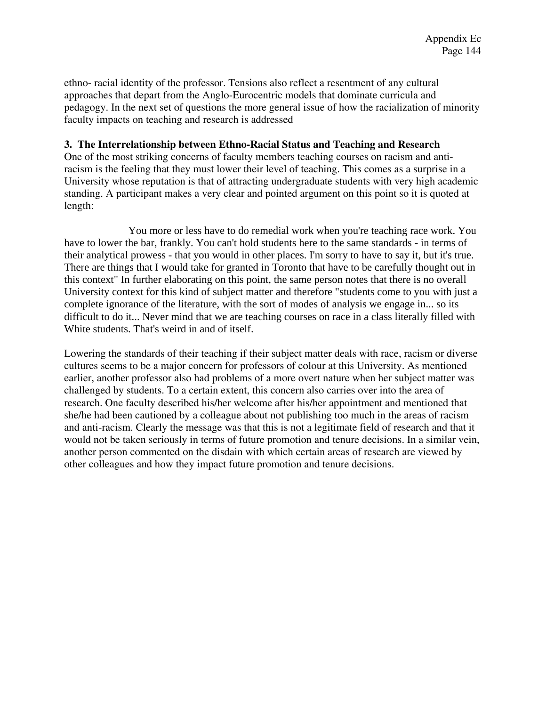ethno- racial identity of the professor. Tensions also reflect a resentment of any cultural approaches that depart from the Anglo-Eurocentric models that dominate curricula and pedagogy. In the next set of questions the more general issue of how the racialization of minority faculty impacts on teaching and research is addressed

## **3. The Interrelationship between Ethno-Racial Status and Teaching and Research**

One of the most striking concerns of faculty members teaching courses on racism and antiracism is the feeling that they must lower their level of teaching. This comes as a surprise in a University whose reputation is that of attracting undergraduate students with very high academic standing. A participant makes a very clear and pointed argument on this point so it is quoted at length:

You more or less have to do remedial work when you're teaching race work. You have to lower the bar, frankly. You can't hold students here to the same standards - in terms of their analytical prowess - that you would in other places. I'm sorry to have to say it, but it's true. There are things that I would take for granted in Toronto that have to be carefully thought out in this context" In further elaborating on this point, the same person notes that there is no overall University context for this kind of subject matter and therefore "students come to you with just a complete ignorance of the literature, with the sort of modes of analysis we engage in... so its difficult to do it... Never mind that we are teaching courses on race in a class literally filled with White students. That's weird in and of itself.

Lowering the standards of their teaching if their subject matter deals with race, racism or diverse cultures seems to be a major concern for professors of colour at this University. As mentioned earlier, another professor also had problems of a more overt nature when her subject matter was challenged by students. To a certain extent, this concern also carries over into the area of research. One faculty described his/her welcome after his/her appointment and mentioned that she/he had been cautioned by a colleague about not publishing too much in the areas of racism and anti-racism. Clearly the message was that this is not a legitimate field of research and that it would not be taken seriously in terms of future promotion and tenure decisions. In a similar vein, another person commented on the disdain with which certain areas of research are viewed by other colleagues and how they impact future promotion and tenure decisions.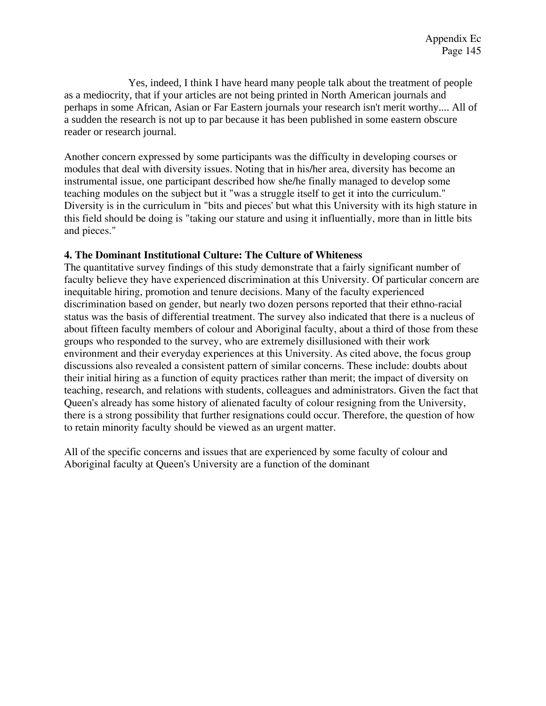Yes, indeed, I think I have heard many people talk about the treatment of people as a mediocrity, that if your articles are not being printed in North American journals and perhaps in some African, Asian or Far Eastern journals your research isn't merit worthy.... All of a sudden the research is not up to par because it has been published in some eastern obscure reader or research journal.

Another concern expressed by some participants was the difficulty in developing courses or modules that deal with diversity issues. Noting that in his/her area, diversity has become an instrumental issue, one participant described how she/he finally managed to develop some teaching modules on the subject but it "was a struggle itself to get it into the curriculum." Diversity is in the curriculum in "bits and pieces' but what this University with its high stature in this field should be doing is "taking our stature and using it influentially, more than in little bits and pieces."

## **4. The Dominant Institutional Culture: The Culture of Whiteness**

The quantitative survey findings of this study demonstrate that a fairly significant number of faculty believe they have experienced discrimination at this University. Of particular concern are inequitable hiring, promotion and tenure decisions. Many of the faculty experienced discrimination based on gender, but nearly two dozen persons reported that their ethno-racial status was the basis of differential treatment. The survey also indicated that there is a nucleus of about fifteen faculty members of colour and Aboriginal faculty, about a third of those from these groups who responded to the survey, who are extremely disillusioned with their work environment and their everyday experiences at this University. As cited above, the focus group discussions also revealed a consistent pattern of similar concerns. These include: doubts about their initial hiring as a function of equity practices rather than merit; the impact of diversity on teaching, research, and relations with students, colleagues and administrators. Given the fact that Queen's already has some history of alienated faculty of colour resigning from the University, there is a strong possibility that further resignations could occur. Therefore, the question of how to retain minority faculty should be viewed as an urgent matter.

All of the specific concerns and issues that are experienced by some faculty of colour and Aboriginal faculty at Queen's University are a function of the dominant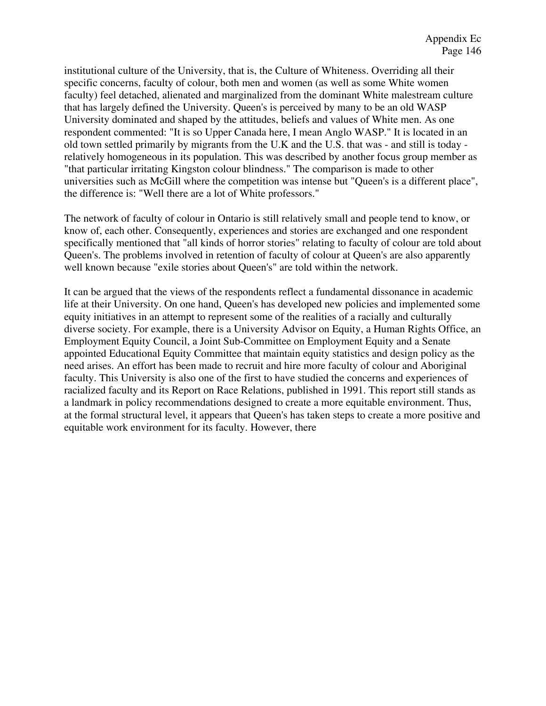institutional culture of the University, that is, the Culture of Whiteness. Overriding all their specific concerns, faculty of colour, both men and women (as well as some White women faculty) feel detached, alienated and marginalized from the dominant White malestream culture that has largely defined the University. Queen's is perceived by many to be an old WASP University dominated and shaped by the attitudes, beliefs and values of White men. As one respondent commented: "It is so Upper Canada here, I mean Anglo WASP." It is located in an old town settled primarily by migrants from the U.K and the U.S. that was - and still is today relatively homogeneous in its population. This was described by another focus group member as "that particular irritating Kingston colour blindness." The comparison is made to other universities such as McGill where the competition was intense but "Queen's is a different place", the difference is: "Well there are a lot of White professors."

The network of faculty of colour in Ontario is still relatively small and people tend to know, or know of, each other. Consequently, experiences and stories are exchanged and one respondent specifically mentioned that "all kinds of horror stories" relating to faculty of colour are told about Queen's. The problems involved in retention of faculty of colour at Queen's are also apparently well known because "exile stories about Queen's" are told within the network.

It can be argued that the views of the respondents reflect a fundamental dissonance in academic life at their University. On one hand, Queen's has developed new policies and implemented some equity initiatives in an attempt to represent some of the realities of a racially and culturally diverse society. For example, there is a University Advisor on Equity, a Human Rights Office, an Employment Equity Council, a Joint Sub-Committee on Employment Equity and a Senate appointed Educational Equity Committee that maintain equity statistics and design policy as the need arises. An effort has been made to recruit and hire more faculty of colour and Aboriginal faculty. This University is also one of the first to have studied the concerns and experiences of racialized faculty and its Report on Race Relations, published in 1991. This report still stands as a landmark in policy recommendations designed to create a more equitable environment. Thus, at the formal structural level, it appears that Queen's has taken steps to create a more positive and equitable work environment for its faculty. However, there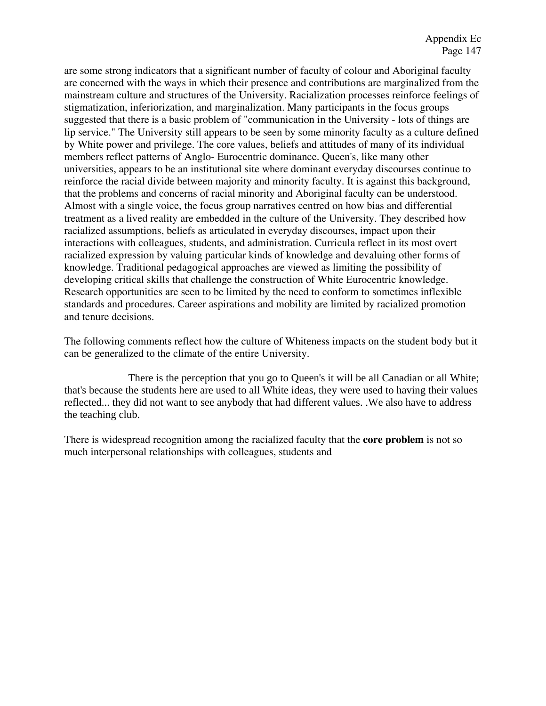are some strong indicators that a significant number of faculty of colour and Aboriginal faculty are concerned with the ways in which their presence and contributions are marginalized from the mainstream culture and structures of the University. Racialization processes reinforce feelings of stigmatization, inferiorization, and marginalization. Many participants in the focus groups suggested that there is a basic problem of "communication in the University - lots of things are lip service." The University still appears to be seen by some minority faculty as a culture defined by White power and privilege. The core values, beliefs and attitudes of many of its individual members reflect patterns of Anglo- Eurocentric dominance. Queen's, like many other universities, appears to be an institutional site where dominant everyday discourses continue to reinforce the racial divide between majority and minority faculty. It is against this background, that the problems and concerns of racial minority and Aboriginal faculty can be understood. Almost with a single voice, the focus group narratives centred on how bias and differential treatment as a lived reality are embedded in the culture of the University. They described how racialized assumptions, beliefs as articulated in everyday discourses, impact upon their interactions with colleagues, students, and administration. Curricula reflect in its most overt racialized expression by valuing particular kinds of knowledge and devaluing other forms of knowledge. Traditional pedagogical approaches are viewed as limiting the possibility of developing critical skills that challenge the construction of White Eurocentric knowledge. Research opportunities are seen to be limited by the need to conform to sometimes inflexible standards and procedures. Career aspirations and mobility are limited by racialized promotion and tenure decisions.

The following comments reflect how the culture of Whiteness impacts on the student body but it can be generalized to the climate of the entire University.

There is the perception that you go to Queen's it will be all Canadian or all White; that's because the students here are used to all White ideas, they were used to having their values reflected... they did not want to see anybody that had different values. .We also have to address the teaching club.

There is widespread recognition among the racialized faculty that the **core problem** is not so much interpersonal relationships with colleagues, students and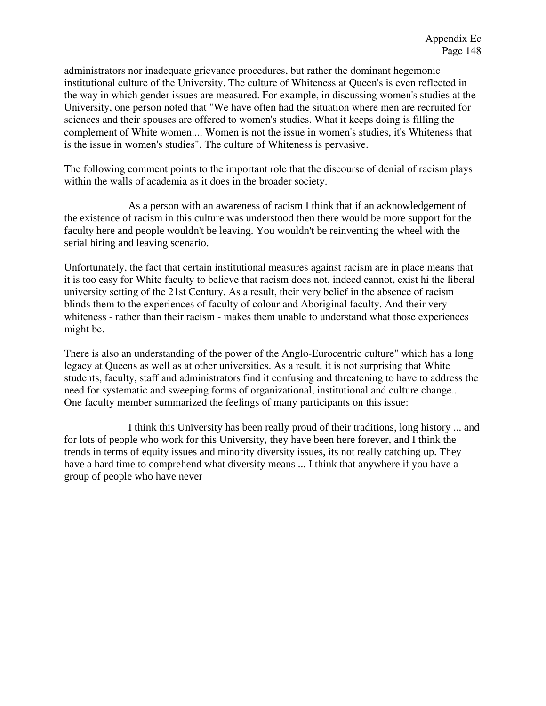administrators nor inadequate grievance procedures, but rather the dominant hegemonic institutional culture of the University. The culture of Whiteness at Queen's is even reflected in the way in which gender issues are measured. For example, in discussing women's studies at the University, one person noted that "We have often had the situation where men are recruited for sciences and their spouses are offered to women's studies. What it keeps doing is filling the complement of White women.... Women is not the issue in women's studies, it's Whiteness that is the issue in women's studies". The culture of Whiteness is pervasive.

The following comment points to the important role that the discourse of denial of racism plays within the walls of academia as it does in the broader society.

As a person with an awareness of racism I think that if an acknowledgement of the existence of racism in this culture was understood then there would be more support for the faculty here and people wouldn't be leaving. You wouldn't be reinventing the wheel with the serial hiring and leaving scenario.

Unfortunately, the fact that certain institutional measures against racism are in place means that it is too easy for White faculty to believe that racism does not, indeed cannot, exist hi the liberal university setting of the 21st Century. As a result, their very belief in the absence of racism blinds them to the experiences of faculty of colour and Aboriginal faculty. And their very whiteness - rather than their racism - makes them unable to understand what those experiences might be.

There is also an understanding of the power of the Anglo-Eurocentric culture" which has a long legacy at Queens as well as at other universities. As a result, it is not surprising that White students, faculty, staff and administrators find it confusing and threatening to have to address the need for systematic and sweeping forms of organizational, institutional and culture change.. One faculty member summarized the feelings of many participants on this issue:

I think this University has been really proud of their traditions, long history ... and for lots of people who work for this University, they have been here forever, and I think the trends in terms of equity issues and minority diversity issues, its not really catching up. They have a hard time to comprehend what diversity means ... I think that anywhere if you have a group of people who have never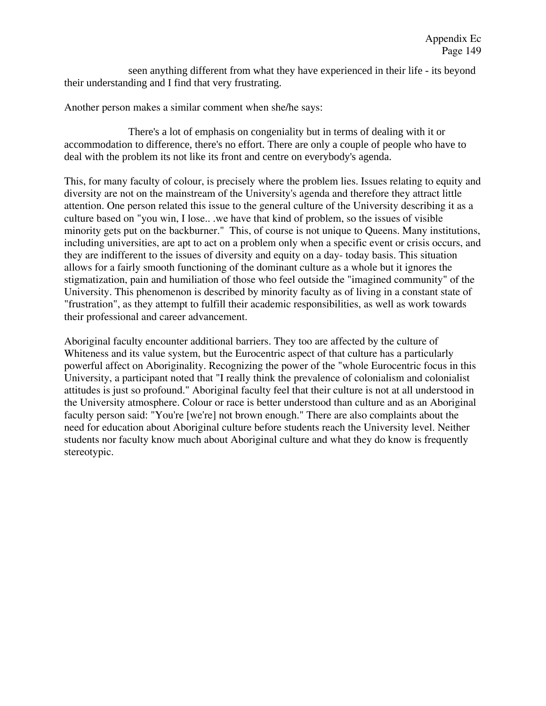seen anything different from what they have experienced in their life - its beyond their understanding and I find that very frustrating.

Another person makes a similar comment when she/he says:

There's a lot of emphasis on congeniality but in terms of dealing with it or accommodation to difference, there's no effort. There are only a couple of people who have to deal with the problem its not like its front and centre on everybody's agenda.

This, for many faculty of colour, is precisely where the problem lies. Issues relating to equity and diversity are not on the mainstream of the University's agenda and therefore they attract little attention. One person related this issue to the general culture of the University describing it as a culture based on "you win, I lose.. .we have that kind of problem, so the issues of visible minority gets put on the backburner." This, of course is not unique to Queens. Many institutions, including universities, are apt to act on a problem only when a specific event or crisis occurs, and they are indifferent to the issues of diversity and equity on a day- today basis. This situation allows for a fairly smooth functioning of the dominant culture as a whole but it ignores the stigmatization, pain and humiliation of those who feel outside the "imagined community" of the University. This phenomenon is described by minority faculty as of living in a constant state of "frustration", as they attempt to fulfill their academic responsibilities, as well as work towards their professional and career advancement.

Aboriginal faculty encounter additional barriers. They too are affected by the culture of Whiteness and its value system, but the Eurocentric aspect of that culture has a particularly powerful affect on Aboriginality. Recognizing the power of the "whole Eurocentric focus in this University, a participant noted that "I really think the prevalence of colonialism and colonialist attitudes is just so profound." Aboriginal faculty feel that their culture is not at all understood in the University atmosphere. Colour or race is better understood than culture and as an Aboriginal faculty person said: "You're [we're] not brown enough." There are also complaints about the need for education about Aboriginal culture before students reach the University level. Neither students nor faculty know much about Aboriginal culture and what they do know is frequently stereotypic.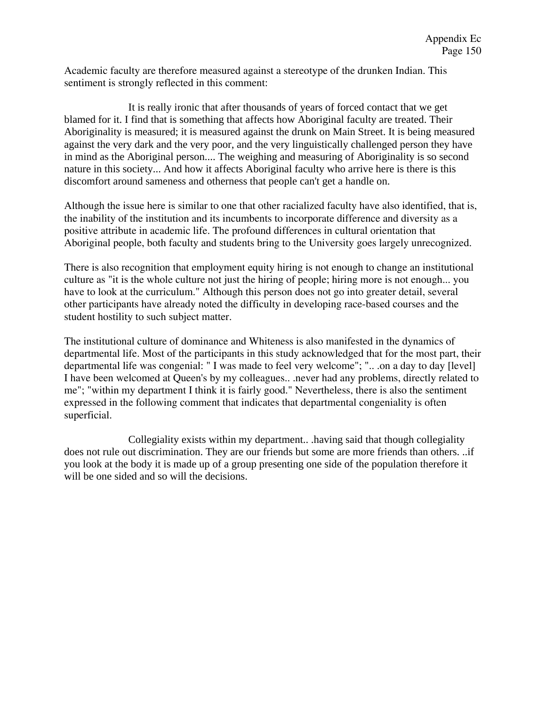Academic faculty are therefore measured against a stereotype of the drunken Indian. This sentiment is strongly reflected in this comment:

It is really ironic that after thousands of years of forced contact that we get blamed for it. I find that is something that affects how Aboriginal faculty are treated. Their Aboriginality is measured; it is measured against the drunk on Main Street. It is being measured against the very dark and the very poor, and the very linguistically challenged person they have in mind as the Aboriginal person.... The weighing and measuring of Aboriginality is so second nature in this society... And how it affects Aboriginal faculty who arrive here is there is this discomfort around sameness and otherness that people can't get a handle on.

Although the issue here is similar to one that other racialized faculty have also identified, that is, the inability of the institution and its incumbents to incorporate difference and diversity as a positive attribute in academic life. The profound differences in cultural orientation that Aboriginal people, both faculty and students bring to the University goes largely unrecognized.

There is also recognition that employment equity hiring is not enough to change an institutional culture as "it is the whole culture not just the hiring of people; hiring more is not enough... you have to look at the curriculum." Although this person does not go into greater detail, several other participants have already noted the difficulty in developing race-based courses and the student hostility to such subject matter.

The institutional culture of dominance and Whiteness is also manifested in the dynamics of departmental life. Most of the participants in this study acknowledged that for the most part, their departmental life was congenial: " I was made to feel very welcome"; ".. .on a day to day [level] I have been welcomed at Queen's by my colleagues.. .never had any problems, directly related to me"; "within my department I think it is fairly good." Nevertheless, there is also the sentiment expressed in the following comment that indicates that departmental congeniality is often superficial.

Collegiality exists within my department.. .having said that though collegiality does not rule out discrimination. They are our friends but some are more friends than others. ..if you look at the body it is made up of a group presenting one side of the population therefore it will be one sided and so will the decisions.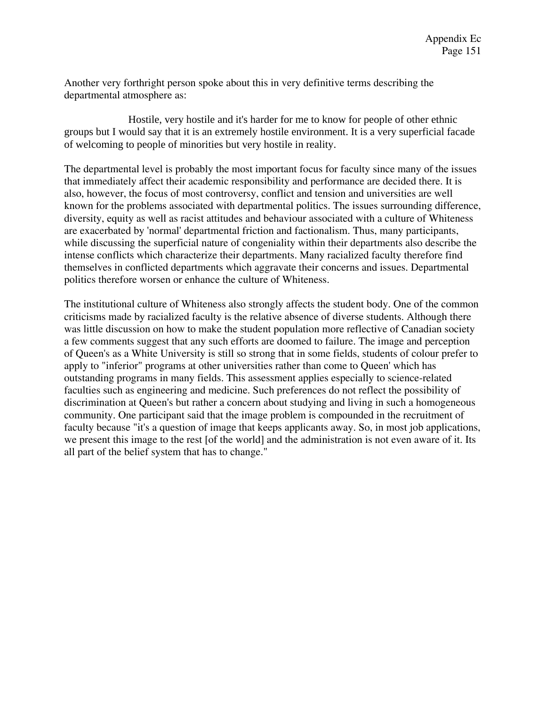Another very forthright person spoke about this in very definitive terms describing the departmental atmosphere as:

Hostile, very hostile and it's harder for me to know for people of other ethnic groups but I would say that it is an extremely hostile environment. It is a very superficial facade of welcoming to people of minorities but very hostile in reality.

The departmental level is probably the most important focus for faculty since many of the issues that immediately affect their academic responsibility and performance are decided there. It is also, however, the focus of most controversy, conflict and tension and universities are well known for the problems associated with departmental politics. The issues surrounding difference, diversity, equity as well as racist attitudes and behaviour associated with a culture of Whiteness are exacerbated by 'normal' departmental friction and factionalism. Thus, many participants, while discussing the superficial nature of congeniality within their departments also describe the intense conflicts which characterize their departments. Many racialized faculty therefore find themselves in conflicted departments which aggravate their concerns and issues. Departmental politics therefore worsen or enhance the culture of Whiteness.

The institutional culture of Whiteness also strongly affects the student body. One of the common criticisms made by racialized faculty is the relative absence of diverse students. Although there was little discussion on how to make the student population more reflective of Canadian society a few comments suggest that any such efforts are doomed to failure. The image and perception of Queen's as a White University is still so strong that in some fields, students of colour prefer to apply to "inferior" programs at other universities rather than come to Queen' which has outstanding programs in many fields. This assessment applies especially to science-related faculties such as engineering and medicine. Such preferences do not reflect the possibility of discrimination at Queen's but rather a concern about studying and living in such a homogeneous community. One participant said that the image problem is compounded in the recruitment of faculty because "it's a question of image that keeps applicants away. So, in most job applications, we present this image to the rest [of the world] and the administration is not even aware of it. Its all part of the belief system that has to change."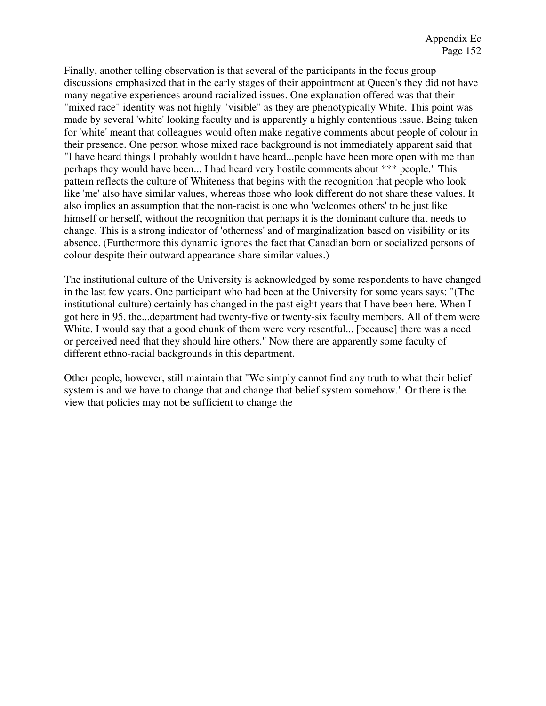Finally, another telling observation is that several of the participants in the focus group discussions emphasized that in the early stages of their appointment at Queen's they did not have many negative experiences around racialized issues. One explanation offered was that their "mixed race" identity was not highly "visible" as they are phenotypically White. This point was made by several 'white' looking faculty and is apparently a highly contentious issue. Being taken for 'white' meant that colleagues would often make negative comments about people of colour in their presence. One person whose mixed race background is not immediately apparent said that "I have heard things I probably wouldn't have heard...people have been more open with me than perhaps they would have been... I had heard very hostile comments about \*\*\* people." This pattern reflects the culture of Whiteness that begins with the recognition that people who look like 'me' also have similar values, whereas those who look different do not share these values. It also implies an assumption that the non-racist is one who 'welcomes others' to be just like himself or herself, without the recognition that perhaps it is the dominant culture that needs to change. This is a strong indicator of 'otherness' and of marginalization based on visibility or its absence. (Furthermore this dynamic ignores the fact that Canadian born or socialized persons of colour despite their outward appearance share similar values.)

The institutional culture of the University is acknowledged by some respondents to have changed in the last few years. One participant who had been at the University for some years says: "(The institutional culture) certainly has changed in the past eight years that I have been here. When I got here in 95, the...department had twenty-five or twenty-six faculty members. All of them were White. I would say that a good chunk of them were very resentful... [because] there was a need or perceived need that they should hire others." Now there are apparently some faculty of different ethno-racial backgrounds in this department.

Other people, however, still maintain that "We simply cannot find any truth to what their belief system is and we have to change that and change that belief system somehow." Or there is the view that policies may not be sufficient to change the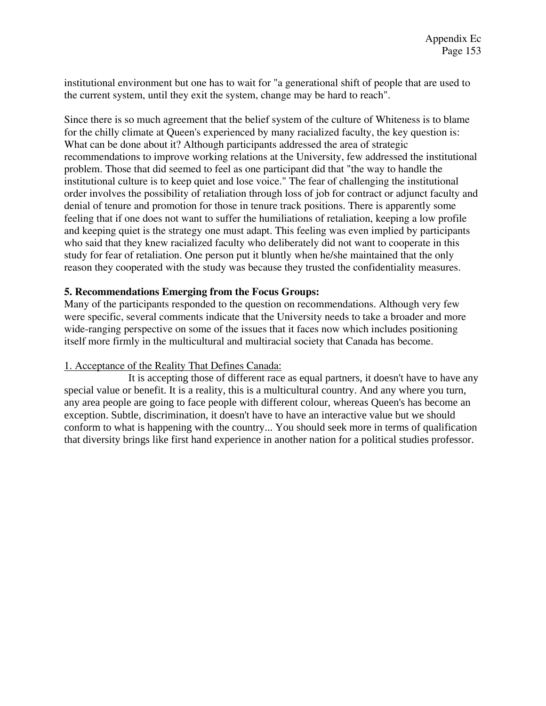institutional environment but one has to wait for "a generational shift of people that are used to the current system, until they exit the system, change may be hard to reach".

Since there is so much agreement that the belief system of the culture of Whiteness is to blame for the chilly climate at Queen's experienced by many racialized faculty, the key question is: What can be done about it? Although participants addressed the area of strategic recommendations to improve working relations at the University, few addressed the institutional problem. Those that did seemed to feel as one participant did that "the way to handle the institutional culture is to keep quiet and lose voice." The fear of challenging the institutional order involves the possibility of retaliation through loss of job for contract or adjunct faculty and denial of tenure and promotion for those in tenure track positions. There is apparently some feeling that if one does not want to suffer the humiliations of retaliation, keeping a low profile and keeping quiet is the strategy one must adapt. This feeling was even implied by participants who said that they knew racialized faculty who deliberately did not want to cooperate in this study for fear of retaliation. One person put it bluntly when he/she maintained that the only reason they cooperated with the study was because they trusted the confidentiality measures.

## **5. Recommendations Emerging from the Focus Groups:**

Many of the participants responded to the question on recommendations. Although very few were specific, several comments indicate that the University needs to take a broader and more wide-ranging perspective on some of the issues that it faces now which includes positioning itself more firmly in the multicultural and multiracial society that Canada has become.

## 1. Acceptance of the Reality That Defines Canada:

It is accepting those of different race as equal partners, it doesn't have to have any special value or benefit. It is a reality, this is a multicultural country. And any where you turn, any area people are going to face people with different colour, whereas Queen's has become an exception. Subtle, discrimination, it doesn't have to have an interactive value but we should conform to what is happening with the country... You should seek more in terms of qualification that diversity brings like first hand experience in another nation for a political studies professor.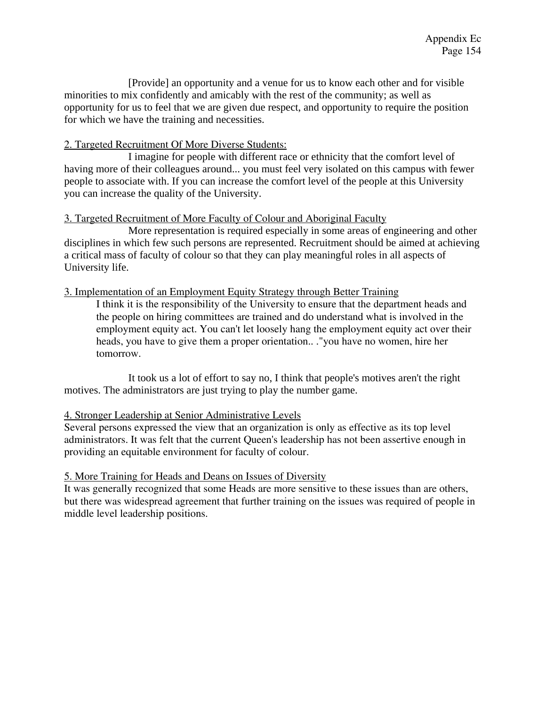[Provide] an opportunity and a venue for us to know each other and for visible minorities to mix confidently and amicably with the rest of the community; as well as opportunity for us to feel that we are given due respect, and opportunity to require the position for which we have the training and necessities.

## 2. Targeted Recruitment Of More Diverse Students:

I imagine for people with different race or ethnicity that the comfort level of having more of their colleagues around... you must feel very isolated on this campus with fewer people to associate with. If you can increase the comfort level of the people at this University you can increase the quality of the University.

## 3. Targeted Recruitment of More Faculty of Colour and Aboriginal Faculty

More representation is required especially in some areas of engineering and other disciplines in which few such persons are represented. Recruitment should be aimed at achieving a critical mass of faculty of colour so that they can play meaningful roles in all aspects of University life.

## 3. Implementation of an Employment Equity Strategy through Better Training

I think it is the responsibility of the University to ensure that the department heads and the people on hiring committees are trained and do understand what is involved in the employment equity act. You can't let loosely hang the employment equity act over their heads, you have to give them a proper orientation.. ."you have no women, hire her tomorrow.

It took us a lot of effort to say no, I think that people's motives aren't the right motives. The administrators are just trying to play the number game.

## 4. Stronger Leadership at Senior Administrative Levels

Several persons expressed the view that an organization is only as effective as its top level administrators. It was felt that the current Queen's leadership has not been assertive enough in providing an equitable environment for faculty of colour.

## 5. More Training for Heads and Deans on Issues of Diversity

It was generally recognized that some Heads are more sensitive to these issues than are others, but there was widespread agreement that further training on the issues was required of people in middle level leadership positions.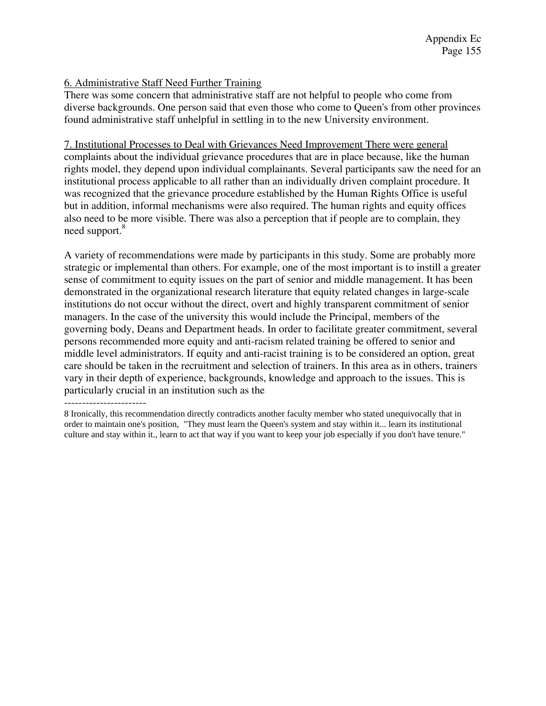## 6. Administrative Staff Need Further Training

There was some concern that administrative staff are not helpful to people who come from diverse backgrounds. One person said that even those who come to Queen's from other provinces found administrative staff unhelpful in settling in to the new University environment.

## 7. Institutional Processes to Deal with Grievances Need Improvement There were general complaints about the individual grievance procedures that are in place because, like the human rights model, they depend upon individual complainants. Several participants saw the need for an institutional process applicable to all rather than an individually driven complaint procedure. It was recognized that the grievance procedure established by the Human Rights Office is useful but in addition, informal mechanisms were also required. The human rights and equity offices also need to be more visible. There was also a perception that if people are to complain, they need support.<sup>8</sup>

A variety of recommendations were made by participants in this study. Some are probably more strategic or implemental than others. For example, one of the most important is to instill a greater sense of commitment to equity issues on the part of senior and middle management. It has been demonstrated in the organizational research literature that equity related changes in large-scale institutions do not occur without the direct, overt and highly transparent commitment of senior managers. In the case of the university this would include the Principal, members of the governing body, Deans and Department heads. In order to facilitate greater commitment, several persons recommended more equity and anti-racism related training be offered to senior and middle level administrators. If equity and anti-racist training is to be considered an option, great care should be taken in the recruitment and selection of trainers. In this area as in others, trainers vary in their depth of experience, backgrounds, knowledge and approach to the issues. This is particularly crucial in an institution such as the

----------------------- 8 Ironically, this recommendation directly contradicts another faculty member who stated unequivocally that in order to maintain one's position, "They must learn the Queen's system and stay within it... learn its institutional culture and stay within it., learn to act that way if you want to keep your job especially if you don't have tenure."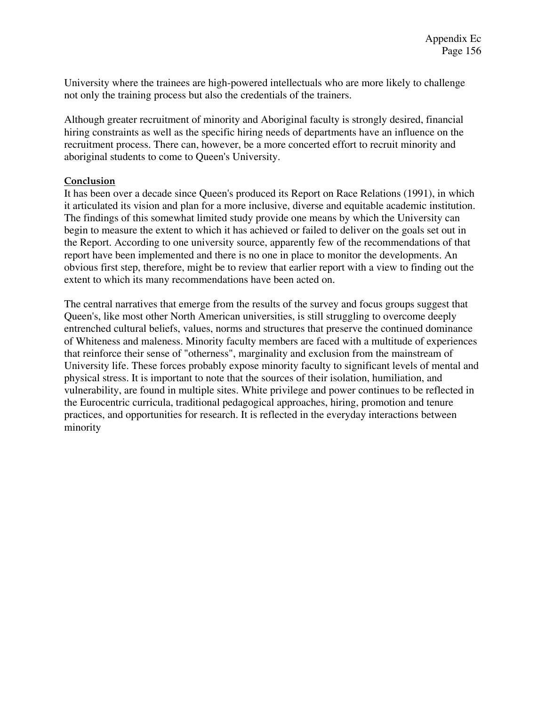University where the trainees are high-powered intellectuals who are more likely to challenge not only the training process but also the credentials of the trainers.

Although greater recruitment of minority and Aboriginal faculty is strongly desired, financial hiring constraints as well as the specific hiring needs of departments have an influence on the recruitment process. There can, however, be a more concerted effort to recruit minority and aboriginal students to come to Queen's University.

## **Conclusion**

It has been over a decade since Queen's produced its Report on Race Relations (1991), in which it articulated its vision and plan for a more inclusive, diverse and equitable academic institution. The findings of this somewhat limited study provide one means by which the University can begin to measure the extent to which it has achieved or failed to deliver on the goals set out in the Report. According to one university source, apparently few of the recommendations of that report have been implemented and there is no one in place to monitor the developments. An obvious first step, therefore, might be to review that earlier report with a view to finding out the extent to which its many recommendations have been acted on.

The central narratives that emerge from the results of the survey and focus groups suggest that Queen's, like most other North American universities, is still struggling to overcome deeply entrenched cultural beliefs, values, norms and structures that preserve the continued dominance of Whiteness and maleness. Minority faculty members are faced with a multitude of experiences that reinforce their sense of "otherness", marginality and exclusion from the mainstream of University life. These forces probably expose minority faculty to significant levels of mental and physical stress. It is important to note that the sources of their isolation, humiliation, and vulnerability, are found in multiple sites. White privilege and power continues to be reflected in the Eurocentric curricula, traditional pedagogical approaches, hiring, promotion and tenure practices, and opportunities for research. It is reflected in the everyday interactions between minority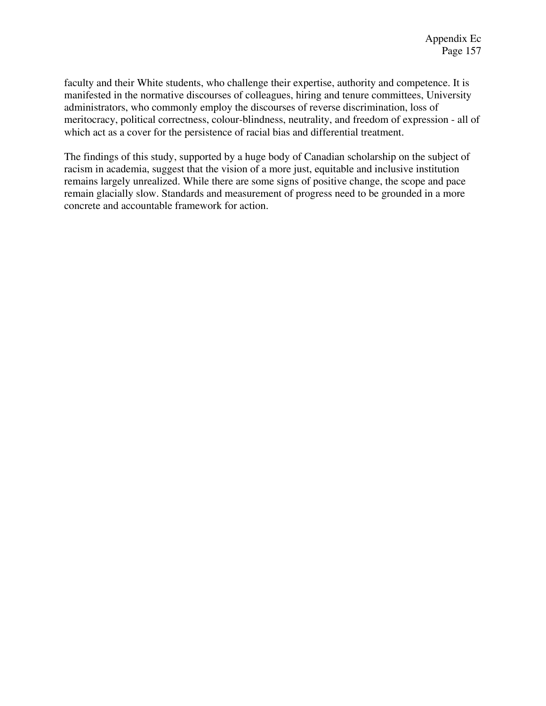faculty and their White students, who challenge their expertise, authority and competence. It is manifested in the normative discourses of colleagues, hiring and tenure committees, University administrators, who commonly employ the discourses of reverse discrimination, loss of meritocracy, political correctness, colour-blindness, neutrality, and freedom of expression - all of which act as a cover for the persistence of racial bias and differential treatment.

The findings of this study, supported by a huge body of Canadian scholarship on the subject of racism in academia, suggest that the vision of a more just, equitable and inclusive institution remains largely unrealized. While there are some signs of positive change, the scope and pace remain glacially slow. Standards and measurement of progress need to be grounded in a more concrete and accountable framework for action.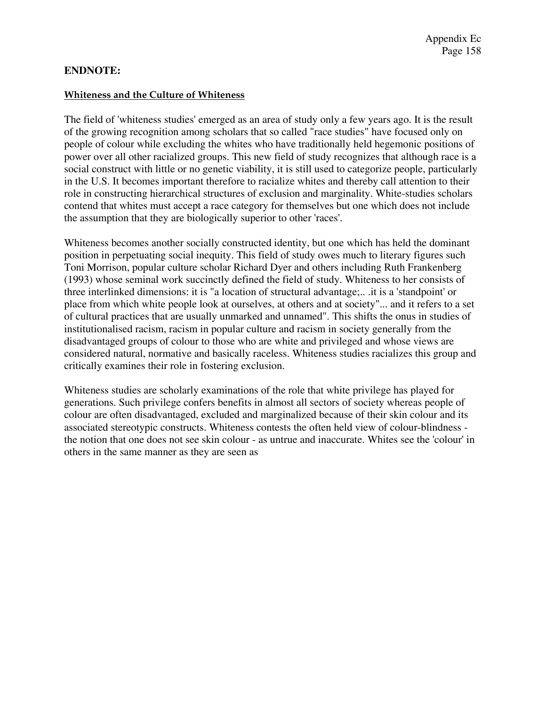## **ENDNOTE:**

## **Whiteness and the Culture of Whiteness**

The field of 'whiteness studies' emerged as an area of study only a few years ago. It is the result of the growing recognition among scholars that so called "race studies" have focused only on people of colour while excluding the whites who have traditionally held hegemonic positions of power over all other racialized groups. This new field of study recognizes that although race is a social construct with little or no genetic viability, it is still used to categorize people, particularly in the U.S. It becomes important therefore to racialize whites and thereby call attention to their role in constructing hierarchical structures of exclusion and marginality. White-studies scholars contend that whites must accept a race category for themselves but one which does not include the assumption that they are biologically superior to other 'races'.

Whiteness becomes another socially constructed identity, but one which has held the dominant position in perpetuating social inequity. This field of study owes much to literary figures such Toni Morrison, popular culture scholar Richard Dyer and others including Ruth Frankenberg (1993) whose seminal work succinctly defined the field of study. Whiteness to her consists of three interlinked dimensions: it is "a location of structural advantage;.. .it is a 'standpoint' or place from which white people look at ourselves, at others and at society"... and it refers to a set of cultural practices that are usually unmarked and unnamed". This shifts the onus in studies of institutionalised racism, racism in popular culture and racism in society generally from the disadvantaged groups of colour to those who are white and privileged and whose views are considered natural, normative and basically raceless. Whiteness studies racializes this group and critically examines their role in fostering exclusion.

Whiteness studies are scholarly examinations of the role that white privilege has played for generations. Such privilege confers benefits in almost all sectors of society whereas people of colour are often disadvantaged, excluded and marginalized because of their skin colour and its associated stereotypic constructs. Whiteness contests the often held view of colour-blindness the notion that one does not see skin colour - as untrue and inaccurate. Whites see the 'colour' in others in the same manner as they are seen as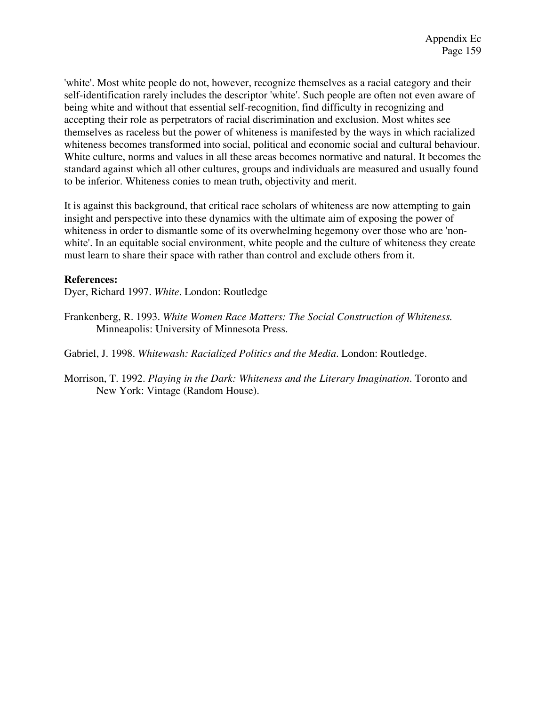'white'. Most white people do not, however, recognize themselves as a racial category and their self-identification rarely includes the descriptor 'white'. Such people are often not even aware of being white and without that essential self-recognition, find difficulty in recognizing and accepting their role as perpetrators of racial discrimination and exclusion. Most whites see themselves as raceless but the power of whiteness is manifested by the ways in which racialized whiteness becomes transformed into social, political and economic social and cultural behaviour. White culture, norms and values in all these areas becomes normative and natural. It becomes the standard against which all other cultures, groups and individuals are measured and usually found to be inferior. Whiteness conies to mean truth, objectivity and merit.

It is against this background, that critical race scholars of whiteness are now attempting to gain insight and perspective into these dynamics with the ultimate aim of exposing the power of whiteness in order to dismantle some of its overwhelming hegemony over those who are 'nonwhite'. In an equitable social environment, white people and the culture of whiteness they create must learn to share their space with rather than control and exclude others from it.

## **References:**

Dyer, Richard 1997. *White*. London: Routledge

Frankenberg, R. 1993. *White Women Race Matters: The Social Construction of Whiteness.*  Minneapolis: University of Minnesota Press.

Gabriel, J. 1998. *Whitewash: Racialized Politics and the Media*. London: Routledge.

Morrison, T. 1992. *Playing in the Dark: Whiteness and the Literary Imagination*. Toronto and New York: Vintage (Random House).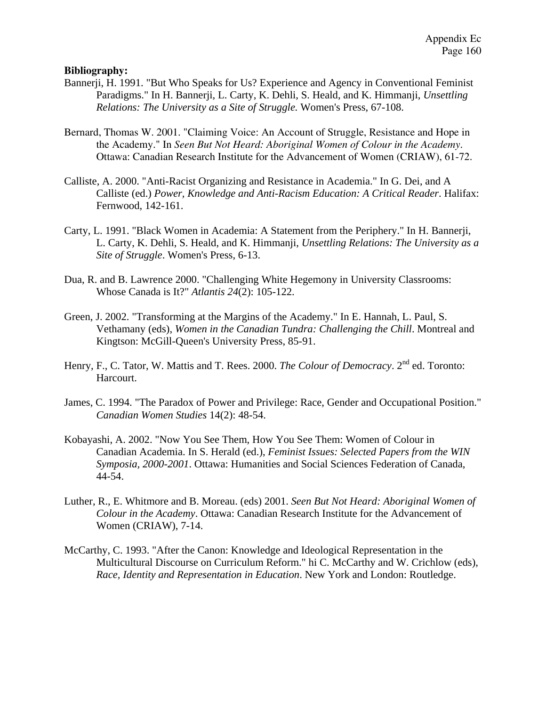## **Bibliography:**

- Bannerji, H. 1991. "But Who Speaks for Us? Experience and Agency in Conventional Feminist Paradigms." In H. Bannerji, L. Carty, K. Dehli, S. Heald, and K. Himmanji, *Unsettling Relations: The University as a Site of Struggle.* Women's Press, 67-108.
- Bernard, Thomas W. 2001. "Claiming Voice: An Account of Struggle, Resistance and Hope in the Academy." In *Seen But Not Heard: Aboriginal Women of Colour in the Academy*. Ottawa: Canadian Research Institute for the Advancement of Women (CRIAW), 61-72.
- Calliste, A. 2000. "Anti-Racist Organizing and Resistance in Academia." In G. Dei, and A Calliste (ed.) *Power, Knowledge and Anti-Racism Education: A Critical Reader*. Halifax: Fernwood, 142-161.
- Carty, L. 1991. "Black Women in Academia: A Statement from the Periphery." In H. Bannerji, L. Carty, K. Dehli, S. Heald, and K. Himmanji, *Unsettling Relations: The University as a Site of Struggle*. Women's Press, 6-13.
- Dua, R. and B. Lawrence 2000. "Challenging White Hegemony in University Classrooms: Whose Canada is It?" *Atlantis 24*(2): 105-122.
- Green, J. 2002. "Transforming at the Margins of the Academy." In E. Hannah, L. Paul, S. Vethamany (eds), *Women in the Canadian Tundra: Challenging the Chill*. Montreal and Kingtson: McGill-Queen's University Press, 85-91.
- Henry, F., C. Tator, W. Mattis and T. Rees. 2000. *The Colour of Democracy*. 2<sup>nd</sup> ed. Toronto: Harcourt.
- James, C. 1994. "The Paradox of Power and Privilege: Race, Gender and Occupational Position." *Canadian Women Studies* 14(2): 48-54.
- Kobayashi, A. 2002. "Now You See Them, How You See Them: Women of Colour in Canadian Academia. In S. Herald (ed.), *Feminist Issues: Selected Papers from the WIN Symposia, 2000-2001*. Ottawa: Humanities and Social Sciences Federation of Canada, 44-54.
- Luther, R., E. Whitmore and B. Moreau. (eds) 2001. *Seen But Not Heard: Aboriginal Women of Colour in the Academy*. Ottawa: Canadian Research Institute for the Advancement of Women (CRIAW), 7-14.
- McCarthy, C. 1993. "After the Canon: Knowledge and Ideological Representation in the Multicultural Discourse on Curriculum Reform." hi C. McCarthy and W. Crichlow (eds), *Race, Identity and Representation in Education*. New York and London: Routledge.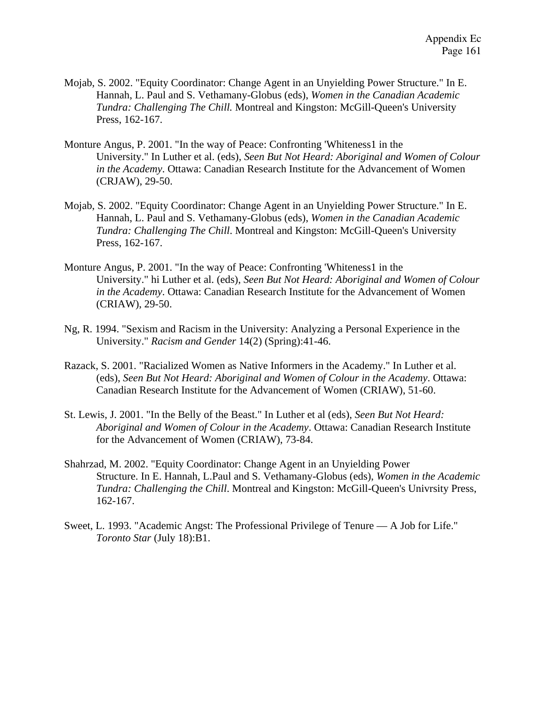- Mojab, S. 2002. "Equity Coordinator: Change Agent in an Unyielding Power Structure." In E. Hannah, L. Paul and S. Vethamany-Globus (eds), *Women in the Canadian Academic Tundra: Challenging The Chill.* Montreal and Kingston: McGill-Queen's University Press, 162-167.
- Monture Angus, P. 2001. "In the way of Peace: Confronting 'Whiteness1 in the University." In Luther et al. (eds), *Seen But Not Heard: Aboriginal and Women of Colour in the Academy*. Ottawa: Canadian Research Institute for the Advancement of Women (CRJAW), 29-50.
- Mojab, S. 2002. "Equity Coordinator: Change Agent in an Unyielding Power Structure." In E. Hannah, L. Paul and S. Vethamany-Globus (eds), *Women in the Canadian Academic Tundra: Challenging The Chill*. Montreal and Kingston: McGill-Queen's University Press, 162-167.
- Monture Angus, P. 2001. "In the way of Peace: Confronting 'Whiteness1 in the University." hi Luther et al. (eds), *Seen But Not Heard: Aboriginal and Women of Colour in the Academy*. Ottawa: Canadian Research Institute for the Advancement of Women (CRIAW), 29-50.
- Ng, R. 1994. "Sexism and Racism in the University: Analyzing a Personal Experience in the University." *Racism and Gender* 14(2) (Spring):41-46.
- Razack, S. 2001. "Racialized Women as Native Informers in the Academy." In Luther et al. (eds), *Seen But Not Heard: Aboriginal and Women of Colour in the Academy*. Ottawa: Canadian Research Institute for the Advancement of Women (CRIAW), 51-60.
- St. Lewis, J. 2001. "In the Belly of the Beast." In Luther et al (eds), *Seen But Not Heard: Aboriginal and Women of Colour in the Academy*. Ottawa: Canadian Research Institute for the Advancement of Women (CRIAW), 73-84.
- Shahrzad, M. 2002. "Equity Coordinator: Change Agent in an Unyielding Power Structure. In E. Hannah, L.Paul and S. Vethamany-Globus (eds), *Women in the Academic Tundra: Challenging the Chill*. Montreal and Kingston: McGill-Queen's Univrsity Press, 162-167.
- Sweet, L. 1993. "Academic Angst: The Professional Privilege of Tenure A Job for Life." *Toronto Star* (July 18):B1.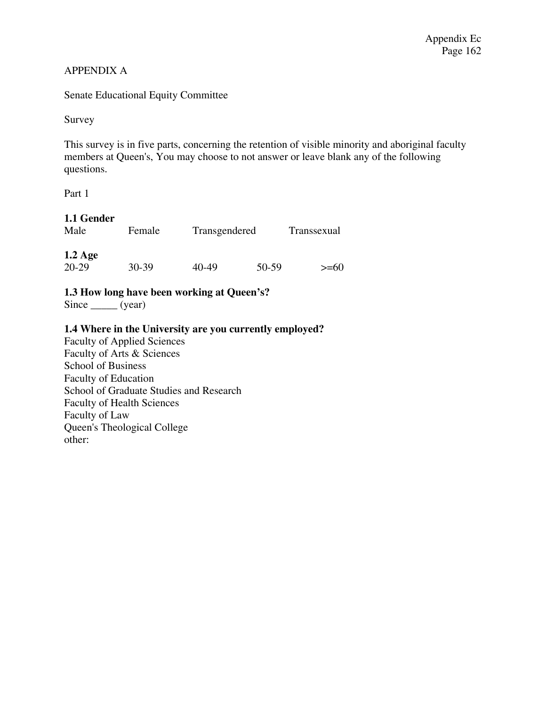## APPENDIX A

Senate Educational Equity Committee

Survey

This survey is in five parts, concerning the retention of visible minority and aboriginal faculty members at Queen's, You may choose to not answer or leave blank any of the following questions.

Part 1

## **1.1 Gender**

| Male      | Female | Transgendered |       | Transsexual |
|-----------|--------|---------------|-------|-------------|
| $1.2$ Age |        |               |       |             |
| 20-29     | 30-39  | 40-49         | 50-59 | $>=60$      |

## **1.3 How long have been working at Queen's?**

 $Since __ (year)$ 

## **1.4 Where in the University are you currently employed?**

Faculty of Applied Sciences Faculty of Arts & Sciences School of Business Faculty of Education School of Graduate Studies and Research Faculty of Health Sciences Faculty of Law Queen's Theological College other: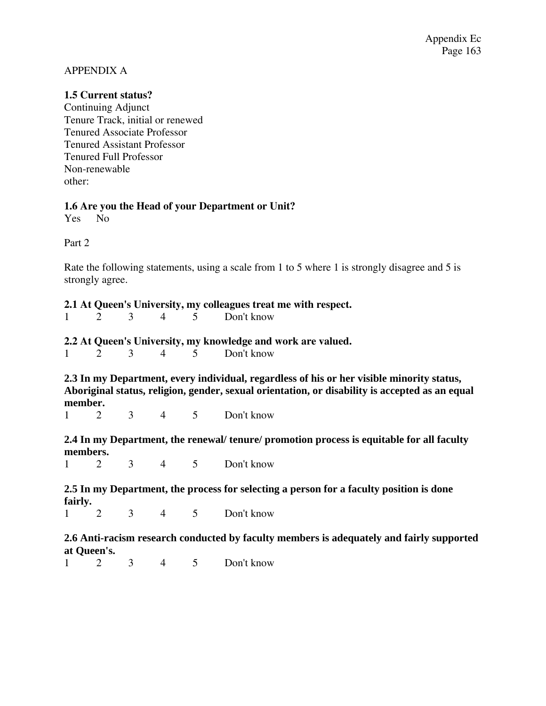## APPENDIX A

## **1.5 Current status?**

Continuing Adjunct Tenure Track, initial or renewed Tenured Associate Professor Tenured Assistant Professor Tenured Full Professor Non-renewable other:

## **1.6 Are you the Head of your Department or Unit?**

Yes No

Part 2

Rate the following statements, using a scale from 1 to 5 where 1 is strongly disagree and 5 is strongly agree.

## **2.1 At Queen's University, my colleagues treat me with respect.**

|  |  |  |  |  | Don't know |
|--|--|--|--|--|------------|
|--|--|--|--|--|------------|

## **2.2 At Queen's University, my knowledge and work are valued.**

1 2 3 4 5 Don't know

**2.3 In my Department, every individual, regardless of his or her visible minority status, Aboriginal status, religion, gender, sexual orientation, or disability is accepted as an equal member.** 

1 2 3 4 5 Don't know

**2.4 In my Department, the renewal/ tenure/ promotion process is equitable for all faculty members.** 

1 2 3 4 5 Don't know

**2.5 In my Department, the process for selecting a person for a faculty position is done fairly.**<br> $\begin{bmatrix} 1 & 2 \end{bmatrix}$ 

1 2 3 4 5 Don't know

**2.6 Anti-racism research conducted by faculty members is adequately and fairly supported at Queen's.** 

1 2 3 4 5 Don't know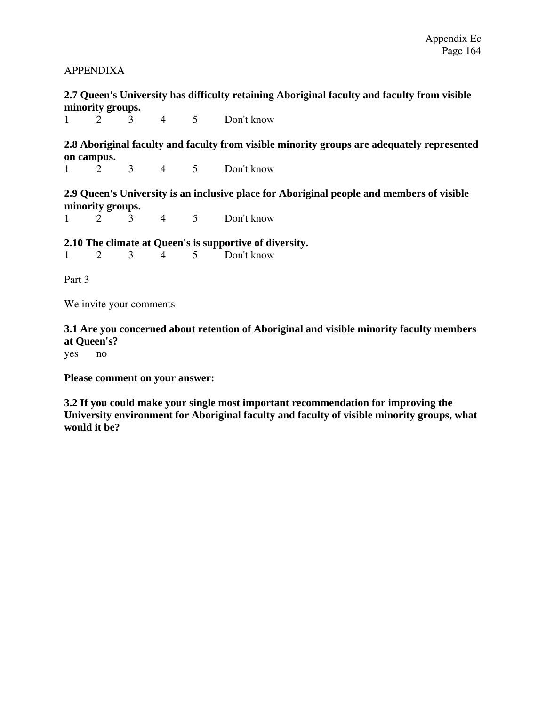## APPENDIXA

**2.7 Queen's University has difficulty retaining Aboriginal faculty and faculty from visible minority groups.** 

1 2 3 4 5 Don't know

**2.8 Aboriginal faculty and faculty from visible minority groups are adequately represented on campus.** 

1 2 3 4 5 Don't know

**2.9 Queen's University is an inclusive place for Aboriginal people and members of visible minority groups.** 

1 2 3 4 5 Don't know

**2.10 The climate at Queen's is supportive of diversity.** 

1 2 3 4 5 Don't know

Part 3

We invite your comments

**3.1 Are you concerned about retention of Aboriginal and visible minority faculty members at Queen's?** 

yes no

**Please comment on your answer:** 

**3.2 If you could make your single most important recommendation for improving the University environment for Aboriginal faculty and faculty of visible minority groups, what would it be?**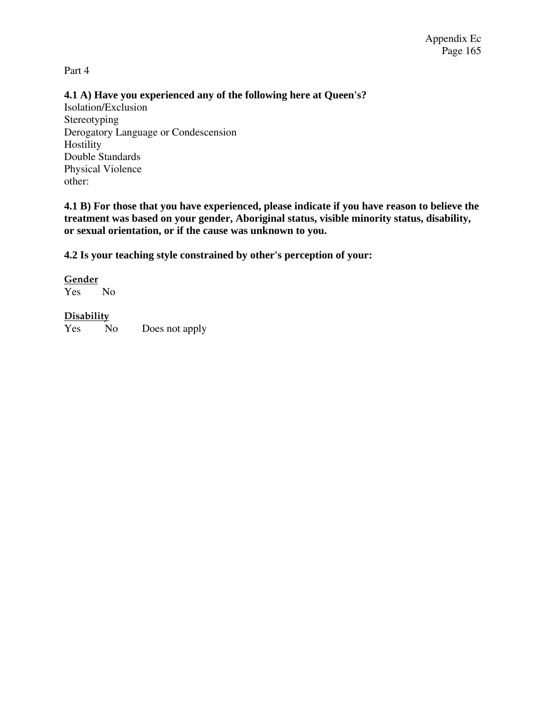Part 4

## **4.1 A) Have you experienced any of the following here at Queen's?**

Isolation/Exclusion Stereotyping Derogatory Language or Condescension Hostility Double Standards Physical Violence other:

**4.1 B) For those that you have experienced, please indicate if you have reason to believe the treatment was based on your gender, Aboriginal status, visible minority status, disability, or sexual orientation, or if the cause was unknown to you.** 

**4.2 Is your teaching style constrained by other's perception of your:** 

## **Gender**

Yes No

## **Disability**

Yes No Does not apply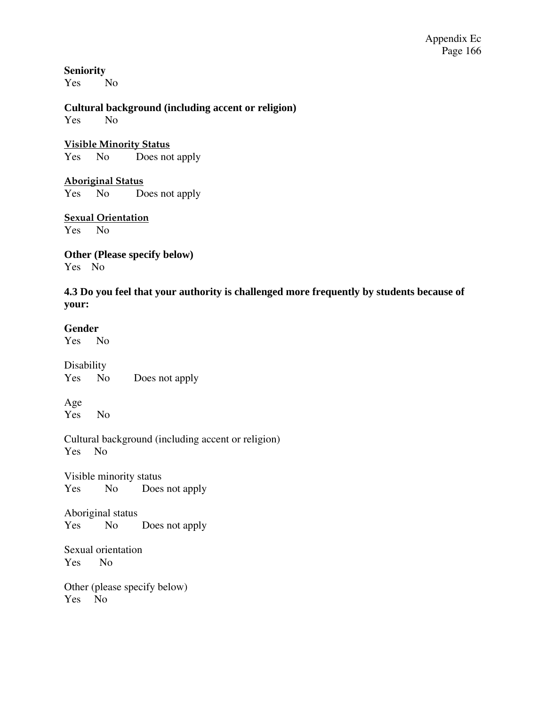**Seniority**  Yes No

**Cultural background (including accent or religion)**  Yes No

**Visible Minority Status** Yes No Does not apply

**Aboriginal Status** Yes No Does not apply

**Sexual Orientation** Yes No

**Other (Please specify below)**  Yes No

**4.3 Do you feel that your authority is challenged more frequently by students because of your:** 

## **Gender**

Yes No

Disability Yes No Does not apply

Age Yes No

Cultural background (including accent or religion) Yes No

Visible minority status Yes No Does not apply

Aboriginal status Yes No Does not apply

Sexual orientation Yes No

Other (please specify below) Yes No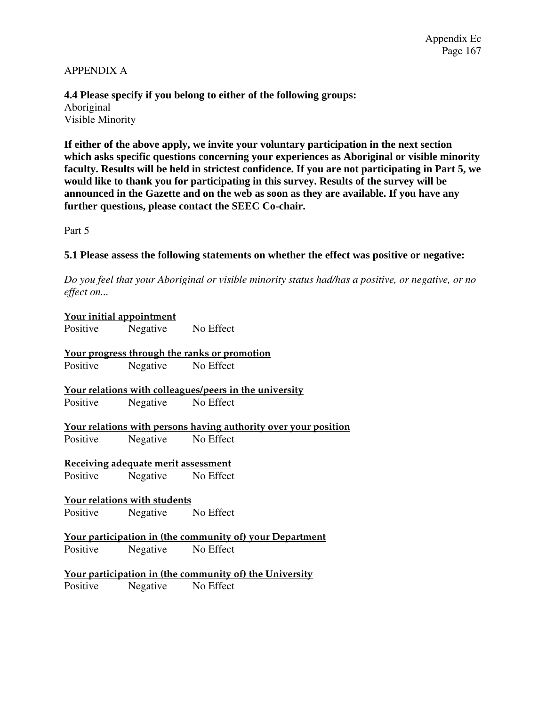## APPENDIX A

**4.4 Please specify if you belong to either of the following groups:**  Aboriginal Visible Minority

**If either of the above apply, we invite your voluntary participation in the next section which asks specific questions concerning your experiences as Aboriginal or visible minority faculty. Results will be held in strictest confidence. If you are not participating in Part 5, we would like to thank you for participating in this survey. Results of the survey will be announced in the Gazette and on the web as soon as they are available. If you have any further questions, please contact the SEEC Co-chair.** 

Part 5

## **5.1 Please assess the following statements on whether the effect was positive or negative:**

*Do you feel that your Aboriginal or visible minority status had/has a positive, or negative, or no effect on...* 

| <u>Your initial appointment</u> |                                                         |                                                                 |  |  |  |
|---------------------------------|---------------------------------------------------------|-----------------------------------------------------------------|--|--|--|
|                                 | Positive Negative No Effect                             |                                                                 |  |  |  |
|                                 |                                                         | Your progress through the ranks or promotion                    |  |  |  |
|                                 | Positive Negative No Effect                             |                                                                 |  |  |  |
|                                 |                                                         | Your relations with colleagues/peers in the university          |  |  |  |
|                                 | Positive Negative No Effect                             |                                                                 |  |  |  |
|                                 |                                                         | Your relations with persons having authority over your position |  |  |  |
| Positive                        | Negative No Effect                                      |                                                                 |  |  |  |
|                                 | <u>Receiving adequate merit assessment</u>              |                                                                 |  |  |  |
|                                 | Positive Negative No Effect                             |                                                                 |  |  |  |
|                                 | <u>Your relations with students</u>                     |                                                                 |  |  |  |
|                                 | Positive Negative No Effect                             |                                                                 |  |  |  |
|                                 |                                                         | <b>Your participation in (the community of) your Department</b> |  |  |  |
|                                 | Positive Negative No Effect                             |                                                                 |  |  |  |
|                                 | Your participation in (the community of) the University |                                                                 |  |  |  |
|                                 | Positive Negative No Effect                             |                                                                 |  |  |  |
|                                 |                                                         |                                                                 |  |  |  |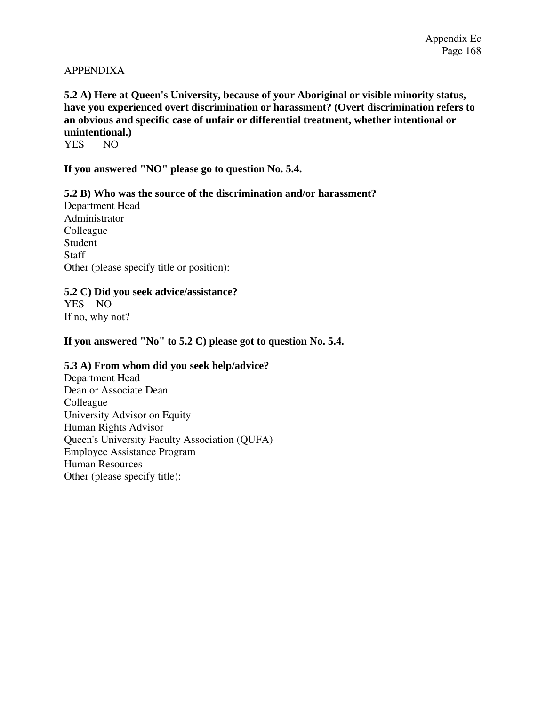## APPENDIXA

## **5.2 A) Here at Queen's University, because of your Aboriginal or visible minority status, have you experienced overt discrimination or harassment? (Overt discrimination refers to an obvious and specific case of unfair or differential treatment, whether intentional or unintentional.)**

YES NO

**If you answered "NO" please go to question No. 5.4.** 

## **5.2 B) Who was the source of the discrimination and/or harassment?**

Department Head Administrator Colleague Student **Staff** Other (please specify title or position):

## **5.2 C) Did you seek advice/assistance?**

YES NO If no, why not?

**If you answered "No" to 5.2 C) please got to question No. 5.4.** 

## **5.3 A) From whom did you seek help/advice?**

Department Head Dean or Associate Dean Colleague University Advisor on Equity Human Rights Advisor Queen's University Faculty Association (QUFA) Employee Assistance Program Human Resources Other (please specify title):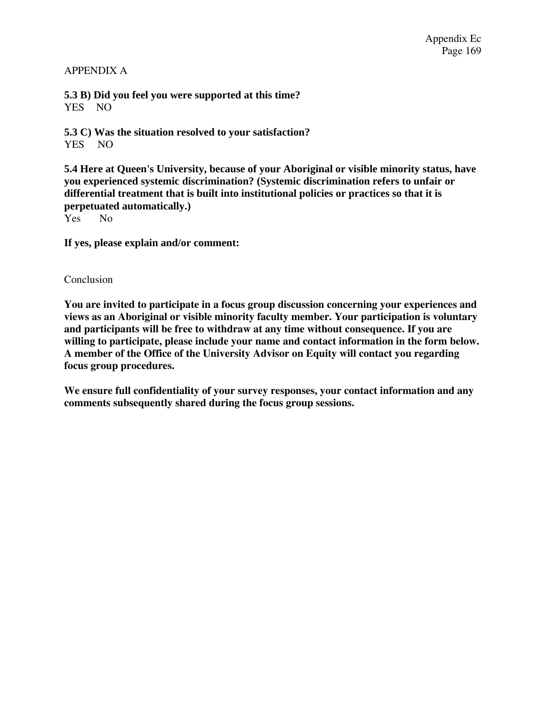## APPENDIX A

**5.3 B) Did you feel you were supported at this time?**  YES NO

**5.3 C) Was the situation resolved to your satisfaction?**  YES NO

**5.4 Here at Queen's University, because of your Aboriginal or visible minority status, have you experienced systemic discrimination? (Systemic discrimination refers to unfair or differential treatment that is built into institutional policies or practices so that it is perpetuated automatically.)** 

Yes No

**If yes, please explain and/or comment:** 

## Conclusion

**You are invited to participate in a focus group discussion concerning your experiences and views as an Aboriginal or visible minority faculty member. Your participation is voluntary and participants will be free to withdraw at any time without consequence. If you are willing to participate, please include your name and contact information in the form below. A member of the Office of the University Advisor on Equity will contact you regarding focus group procedures.** 

**We ensure full confidentiality of your survey responses, your contact information and any comments subsequently shared during the focus group sessions.**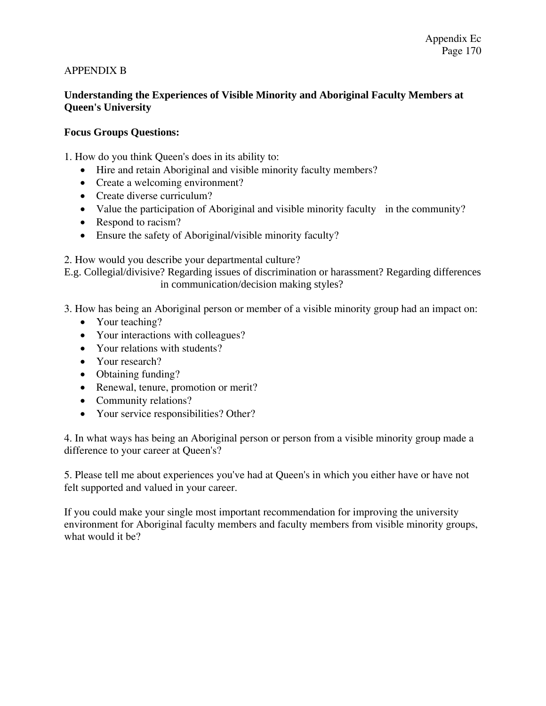## APPENDIX B

## **Understanding the Experiences of Visible Minority and Aboriginal Faculty Members at Queen's University**

## **Focus Groups Questions:**

1. How do you think Queen's does in its ability to:

- Hire and retain Aboriginal and visible minority faculty members?
- Create a welcoming environment?
- Create diverse curriculum?
- Value the participation of Aboriginal and visible minority faculty in the community?
- Respond to racism?
- Ensure the safety of Aboriginal/visible minority faculty?

2. How would you describe your departmental culture?

E.g. Collegial/divisive? Regarding issues of discrimination or harassment? Regarding differences in communication/decision making styles?

- 3. How has being an Aboriginal person or member of a visible minority group had an impact on:
	- Your teaching?
	- Your interactions with colleagues?
	- Your relations with students?
	- Your research?
	- Obtaining funding?
	- Renewal, tenure, promotion or merit?
	- Community relations?
	- Your service responsibilities? Other?

4. In what ways has being an Aboriginal person or person from a visible minority group made a difference to your career at Queen's?

5. Please tell me about experiences you've had at Queen's in which you either have or have not felt supported and valued in your career.

If you could make your single most important recommendation for improving the university environment for Aboriginal faculty members and faculty members from visible minority groups, what would it be?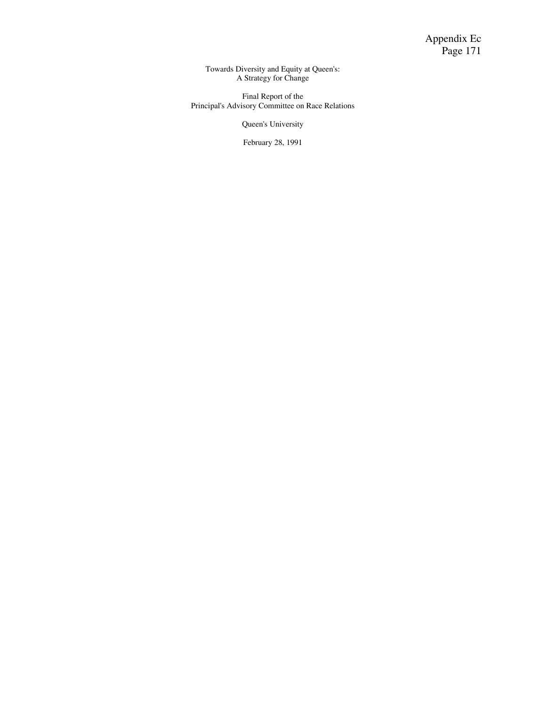Towards Diversity and Equity at Queen's: A Strategy for Change

Final Report of the Principal's Advisory Committee on Race Relations

Queen's University

February 28, 1991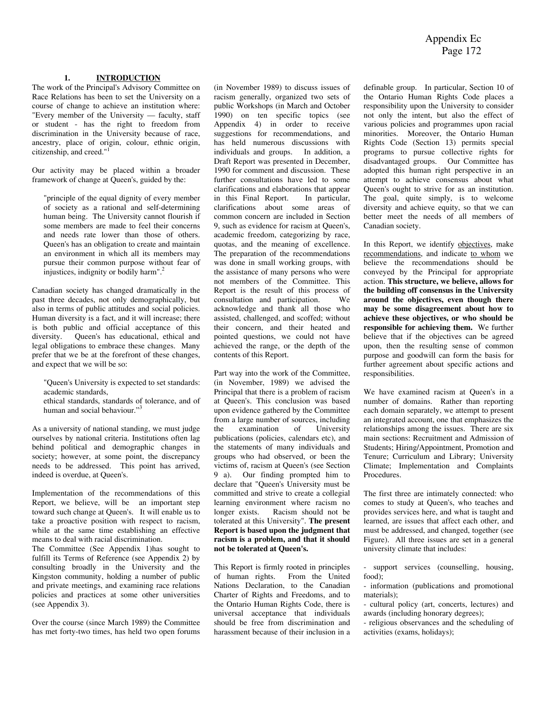#### **1. INTRODUCTION**

The work of the Principal's Advisory Committee on Race Relations has been to set the University on a course of change to achieve an institution where: "Every member of the University — faculty, staff or student - has the right to freedom from discrimination in the University because of race, ancestry, place of origin, colour, ethnic origin, citizenship, and creed."

Our activity may be placed within a broader framework of change at Queen's, guided by the:

"principle of the equal dignity of every member of society as a rational and self-determining human being. The University cannot flourish if some members are made to feel their concerns and needs rate lower than those of others. Queen's has an obligation to create and maintain an environment in which all its members may pursue their common purpose without fear of injustices, indignity or bodily harm".2

Canadian society has changed dramatically in the past three decades, not only demographically, but also in terms of public attitudes and social policies. Human diversity is a fact, and it will increase; there is both public and official acceptance of this diversity. Queen's has educational, ethical and legal obligations to embrace these changes. Many prefer that we be at the forefront of these changes, and expect that we will be so:

- "Queen's University is expected to set standards: academic standards,
- ethical standards, standards of tolerance, and of human and social behaviour."<sup>3</sup>

As a university of national standing, we must judge ourselves by national criteria. Institutions often lag behind political and demographic changes in society; however, at some point, the discrepancy needs to be addressed. This point has arrived, indeed is overdue, at Queen's.

Implementation of the recommendations of this Report, we believe, will be an important step toward such change at Queen's. It will enable us to take a proactive position with respect to racism, while at the same time establishing an effective means to deal with racial discrimination.

The Committee (See Appendix 1)has sought to fulfill its Terms of Reference (see Appendix 2) by consulting broadly in the University and the Kingston community, holding a number of public and private meetings, and examining race relations policies and practices at some other universities (see Appendix 3).

Over the course (since March 1989) the Committee has met forty-two times, has held two open forums

(in November 1989) to discuss issues of racism generally, organized two sets of public Workshops (in March and October 1990) on ten specific topics (see Appendix 4) in order to receive suggestions for recommendations, and has held numerous discussions with individuals and groups. In addition, a Draft Report was presented in December, 1990 for comment and discussion. These further consultations have led to some clarifications and elaborations that appear in this Final Report. In particular, clarifications about some areas of common concern are included in Section 9, such as evidence for racism at Queen's, academic freedom, categorizing by race, quotas, and the meaning of excellence. The preparation of the recommendations was done in small working groups, with the assistance of many persons who were not members of the Committee. This Report is the result of this process of consultation and participation. We acknowledge and thank all those who assisted, challenged, and scoffed; without their concern, and their heated and pointed questions, we could not have achieved the range, or the depth of the contents of this Report.

Part way into the work of the Committee, (in November, 1989) we advised the Principal that there is a problem of racism at Queen's. This conclusion was based upon evidence gathered by the Committee from a large number of sources, including the examination of University publications (policies, calendars etc), and the statements of many individuals and groups who had observed, or been the victims of, racism at Queen's (see Section 9 a). Our finding prompted him to declare that "Queen's University must be committed and strive to create a collegial learning environment where racism no longer exists. Racism should not be tolerated at this University". **The present Report is based upon the judgment that racism is a problem, and that it should not be tolerated at Queen's.** 

This Report is firmly rooted in principles of human rights. From the United Nations Declaration, to the Canadian Charter of Rights and Freedoms, and to the Ontario Human Rights Code, there is universal acceptance that individuals should be free from discrimination and harassment because of their inclusion in a

definable group. In particular, Section 10 of the Ontario Human Rights Code places a responsibility upon the University to consider not only the intent, but also the effect of various policies and programmes upon racial minorities. Moreover, the Ontario Human Rights Code (Section 13) permits special programs to pursue collective rights for disadvantaged groups. Our Committee has adopted this human right perspective in an attempt to achieve consensus about what Queen's ought to strive for as an institution. The goal, quite simply, is to welcome diversity and achieve equity, so that we can better meet the needs of all members of Canadian society.

In this Report, we identify objectives, make recommendations, and indicate to whom we believe the recommendations should be conveyed by the Principal for appropriate action. **This structure, we believe, allows for the building off consensus in the University around the objectives, even though there may be some disagreement about how to achieve these objectives, or who should be responsible for achieving them.** We further believe that if the objectives can be agreed upon, then the resulting sense of common purpose and goodwill can form the basis for further agreement about specific actions and responsibilities.

We have examined racism at Queen's in a number of domains. Rather than reporting each domain separately, we attempt to present an integrated account, one that emphasizes the relationships among the issues. There are six main sections: Recruitment and Admission of Students; Hiring/Appointment, Promotion and Tenure; Curriculum and Library; University Climate; Implementation and Complaints **Procedures** 

The first three are intimately connected: who comes to study at Queen's, who teaches and provides services here, and what is taught and learned, are issues that affect each other, and must be addressed, and changed, together (see Figure). All three issues are set in a general university climate that includes:

- support services (counselling, housing, food);

- information (publications and promotional materials);

- cultural policy (art, concerts, lectures) and awards (including honorary degrees);

- religious observances and the scheduling of activities (exams, holidays);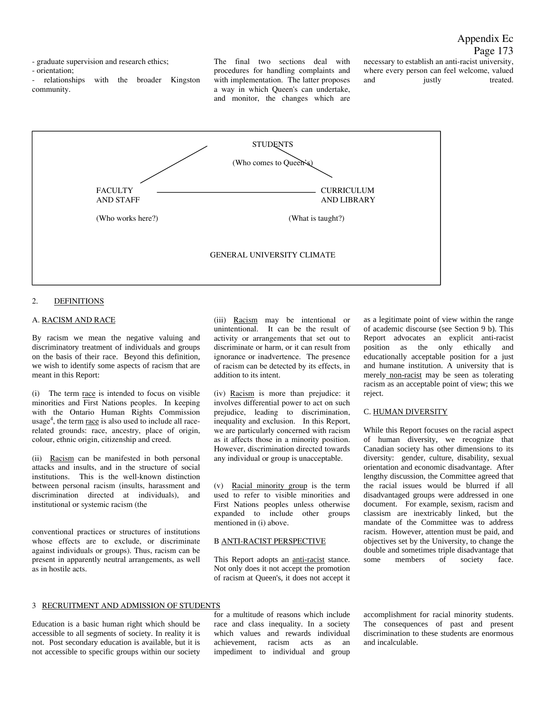- graduate supervision and research ethics;

- orientation;

- relationships with the broader Kingston community.

The final two sections deal with procedures for handling complaints and with implementation. The latter proposes a way in which Queen's can undertake, and monitor, the changes which are

necessary to establish an anti-racist university, where every person can feel welcome, valued and iustly treated.



#### 2. DEFINITIONS

#### A. RACISM AND RACE

By racism we mean the negative valuing and discriminatory treatment of individuals and groups on the basis of their race. Beyond this definition, we wish to identify some aspects of racism that are meant in this Report:

(i) The term race is intended to focus on visible minorities and First Nations peoples. In keeping with the Ontario Human Rights Commission usage<sup>4</sup>, the term race is also used to include all racerelated grounds: race, ancestry, place of origin, colour, ethnic origin, citizenship and creed.

(ii) Racism can be manifested in both personal attacks and insults, and in the structure of social institutions. This is the well-known distinction between personal racism (insults, harassment and discrimination directed at individuals), and institutional or systemic racism (the

conventional practices or structures of institutions whose effects are to exclude, or discriminate against individuals or groups). Thus, racism can be present in apparently neutral arrangements, as well as in hostile acts.

(iii) Racism may be intentional or unintentional. It can be the result of activity or arrangements that set out to discriminate or harm, or it can result from ignorance or inadvertence. The presence of racism can be detected by its effects, in addition to its intent.

(iv) Racism is more than prejudice: it involves differential power to act on such prejudice, leading to discrimination, inequality and exclusion. In this Report, we are particularly concerned with racism as it affects those in a minority position. However, discrimination directed towards any individual or group is unacceptable.

(v) Racial minority group is the term used to refer to visible minorities and First Nations peoples unless otherwise expanded to include other groups mentioned in (i) above.

#### B ANTI-RACIST PERSPECTIVE

This Report adopts an anti-racist stance. Not only does it not accept the promotion of racism at Queen's, it does not accept it

as a legitimate point of view within the range of academic discourse (see Section 9 b). This Report advocates an explicit anti-racist position as the only ethically and educationally acceptable position for a just and humane institution. A university that is merely non-racist may be seen as tolerating racism as an acceptable point of view; this we reject.

#### C. HUMAN DIVERSITY

While this Report focuses on the racial aspect of human diversity, we recognize that Canadian society has other dimensions to its diversity: gender, culture, disability, sexual orientation and economic disadvantage. After lengthy discussion, the Committee agreed that the racial issues would be blurred if all disadvantaged groups were addressed in one document. For example, sexism, racism and classism are inextricably linked, but the mandate of the Committee was to address racism. However, attention must be paid, and objectives set by the University, to change the double and sometimes triple disadvantage that some members of society face.

#### 3 RECRUITMENT AND ADMISSION OF STUDENTS

Education is a basic human right which should be accessible to all segments of society. In reality it is not. Post secondary education is available, but it is not accessible to specific groups within our society for a multitude of reasons which include race and class inequality. In a society which values and rewards individual achievement, racism acts as an impediment to individual and group accomplishment for racial minority students. The consequences of past and present discrimination to these students are enormous and incalculable.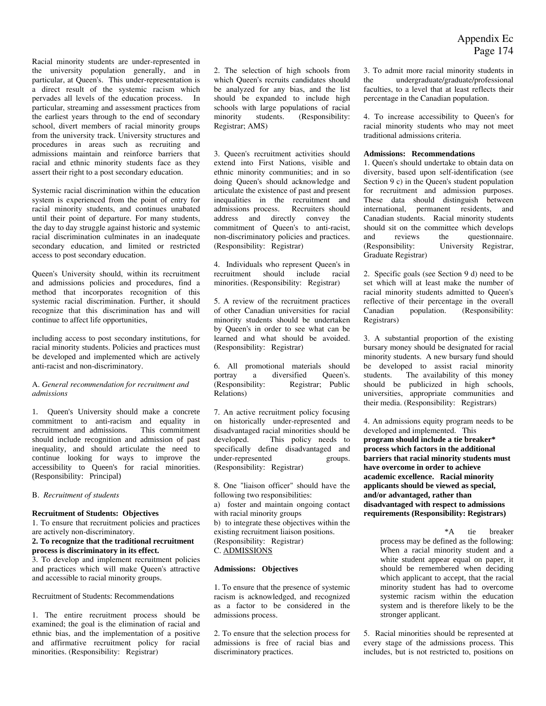Racial minority students are under-represented in the university population generally, and in particular, at Queen's. This under-representation is a direct result of the systemic racism which pervades all levels of the education process. In particular, streaming and assessment practices from the earliest years through to the end of secondary school, divert members of racial minority groups from the university track. University structures and procedures in areas such as recruiting and admissions maintain and reinforce barriers that racial and ethnic minority students face as they assert their right to a post secondary education.

Systemic racial discrimination within the education system is experienced from the point of entry for racial minority students, and continues unabated until their point of departure. For many students, the day to day struggle against historic and systemic racial discrimination culminates in an inadequate secondary education, and limited or restricted access to post secondary education.

Queen's University should, within its recruitment and admissions policies and procedures, find a method that incorporates recognition of this systemic racial discrimination. Further, it should recognize that this discrimination has and will continue to affect life opportunities,

including access to post secondary institutions, for racial minority students. Policies and practices must be developed and implemented which are actively anti-racist and non-discriminatory.

#### A. *General recommendation for recruitment and admissions*

1. Queen's University should make a concrete commitment to anti-racism and equality in recruitment and admissions. This commitment should include recognition and admission of past inequality, and should articulate the need to continue looking for ways to improve the accessibility to Queen's for racial minorities. (Responsibility: Principal)

#### B. *Recruitment of students*

#### **Recruitment of Students: Objectives**

1. To ensure that recruitment policies and practices are actively non-discriminatory.

#### **2. To recognize that the traditional recruitment process is discriminatory in its effect.**

3. To develop and implement recruitment policies and practices which will make Queen's attractive and accessible to racial minority groups.

Recruitment of Students: Recommendations

1. The entire recruitment process should be examined; the goal is the elimination of racial and ethnic bias, and the implementation of a positive and affirmative recruitment policy for racial minorities. (Responsibility: Registrar)

2. The selection of high schools from which Queen's recruits candidates should be analyzed for any bias, and the list should be expanded to include high schools with large populations of racial minority students. (Responsibility: Registrar; AMS)

3. Queen's recruitment activities should extend into First Nations, visible and ethnic minority communities; and in so doing Queen's should acknowledge and articulate the existence of past and present inequalities in the recruitment and admissions process. Recruiters should address and directly convey the commitment of Queen's to anti-racist, non-discriminatory policies and practices. (Responsibility: Registrar)

4. Individuals who represent Queen's in recruitment should include racial minorities. (Responsibility: Registrar)

5. A review of the recruitment practices of other Canadian universities for racial minority students should be undertaken by Queen's in order to see what can be learned and what should be avoided. (Responsibility: Registrar)

6. All promotional materials should portray a diversified Queen's. (Responsibility: Registrar; Public Relations)

7. An active recruitment policy focusing on historically under-represented and disadvantaged racial minorities should be developed. This policy needs to specifically define disadvantaged and under-represented groups. (Responsibility: Registrar)

8. One "liaison officer" should have the following two responsibilities:

a) foster and maintain ongoing contact with racial minority groups

b) to integrate these objectives within the existing recruitment liaison positions. (Responsibility: Registrar) C. ADMISSIONS

#### **Admissions: Objectives**

1. To ensure that the presence of systemic racism is acknowledged, and recognized as a factor to be considered in the admissions process.

2. To ensure that the selection process for admissions is free of racial bias and discriminatory practices.

3. To admit more racial minority students in the undergraduate/graduate/professional faculties, to a level that at least reflects their percentage in the Canadian population.

4. To increase accessibility to Queen's for racial minority students who may not meet traditional admissions criteria.

#### **Admissions: Recommendations**

1. Queen's should undertake to obtain data on diversity, based upon self-identification (see Section 9 c) in the Queen's student population for recruitment and admission purposes. These data should distinguish between international, permanent residents, and Canadian students. Racial minority students should sit on the committee which develops and reviews the questionnaire. (Responsibility: University Registrar, Graduate Registrar)

2. Specific goals (see Section 9 d) need to be set which will at least make the number of racial minority students admitted to Queen's reflective of their percentage in the overall Canadian population. (Responsibility: Registrars)

3. A substantial proportion of the existing bursary money should be designated for racial minority students. A new bursary fund should be developed to assist racial minority students. The availability of this money should be publicized in high schools, universities, appropriate communities and their media. (Responsibility: Registrars)

4. An admissions equity program needs to be developed and implemented. This **program should include a tie breaker\* process which factors in the additional barriers that racial minority students must have overcome in order to achieve academic excellence. Racial minority applicants should be viewed as special, and/or advantaged, rather than disadvantaged with respect to admissions requirements (Responsibility: Registrars)** 

> \*A tie breaker process may be defined as the following: When a racial minority student and a white student appear equal on paper, it should be remembered when deciding which applicant to accept, that the racial minority student has had to overcome systemic racism within the education system and is therefore likely to be the stronger applicant.

5. Racial minorities should be represented at every stage of the admissions process. This includes, but is not restricted to, positions on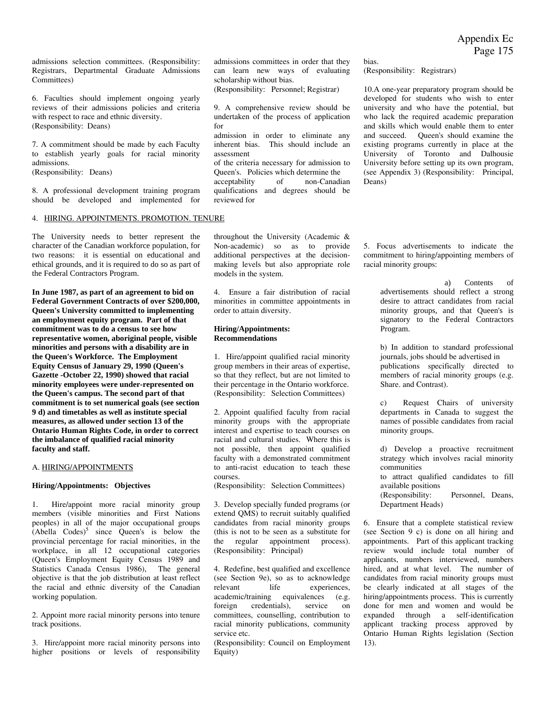Appendix Ec Page 175

admissions selection committees. (Responsibility: Registrars, Departmental Graduate Admissions Committees)

6. Faculties should implement ongoing yearly reviews of their admissions policies and criteria with respect to race and ethnic diversity. (Responsibility: Deans)

7. A commitment should be made by each Faculty to establish yearly goals for racial minority admissions. (Responsibility: Deans)

8. A professional development training program should be developed and implemented for

#### 4. HIRING. APPOINTMENTS. PROMOTION. TENURE

The University needs to better represent the character of the Canadian workforce population, for two reasons: it is essential on educational and ethical grounds, and it is required to do so as part of the Federal Contractors Program.

**In June 1987, as part of an agreement to bid on Federal Government Contracts of over \$200,000, Queen's University committed to implementing an employment equity program. Part of that commitment was to do a census to see how representative women, aboriginal people, visible minorities and persons with a disability are in the Queen's Workforce. The Employment Equity Census of January 29, 1990 (Queen's Gazette -October 22, 1990) showed that racial minority employees were under-represented on the Queen's campus. The second part of that commitment is to set numerical goals (see section 9 d) and timetables as well as institute special measures, as allowed under section 13 of the Ontario Human Rights Code, in order to correct the imbalance of qualified racial minority faculty and staff.** 

#### A. HIRING/APPOINTMENTS

#### **Hiring/Appointments: Objectives**

1. Hire/appoint more racial minority group members (visible minorities and First Nations peoples) in all of the major occupational groups  $(Abella)$  Codes)<sup>5</sup> since Queen's is below the provincial percentage for racial minorities, in the workplace, in all 12 occupational categories (Queen's Employment Equity Census 1989 and Statistics Canada Census 1986), The general objective is that the job distribution at least reflect the racial and ethnic diversity of the Canadian working population.

2. Appoint more racial minority persons into tenure track positions.

3. Hire/appoint more racial minority persons into higher positions or levels of responsibility admissions committees in order that they can learn new ways of evaluating scholarship without bias.

bias.

Deans)

Program.

(Responsibility: Registrars)

10.A one-year preparatory program should be developed for students who wish to enter university and who have the potential, but who lack the required academic preparation and skills which would enable them to enter and succeed. Queen's should examine the existing programs currently in place at the University of Toronto and Dalhousie University before setting up its own program, (see Appendix 3) (Responsibility: Principal,

(Responsibility: Personnel; Registrar)

9. A comprehensive review should be undertaken of the process of application for

admission in order to eliminate any inherent bias. This should include an assessment

of the criteria necessary for admission to Queen's. Policies which determine the acceptability of non-Canadian qualifications and degrees should be reviewed for

throughout the University (Academic & Non-academic) so as to provide additional perspectives at the decisionmaking levels but also appropriate role

5. Focus advertisements to indicate the commitment to hiring/appointing members of racial minority groups:

4. Ensure a fair distribution of racial minorities in committee appointments in order to attain diversity.

#### **Hiring/Appointments: Recommendations**

models in the system.

1. Hire/appoint qualified racial minority group members in their areas of expertise, so that they reflect, but are not limited to their percentage in the Ontario workforce. (Responsibility: Selection Committees)

2. Appoint qualified faculty from racial minority groups with the appropriate interest and expertise to teach courses on racial and cultural studies. Where this is not possible, then appoint qualified faculty with a demonstrated commitment to anti-racist education to teach these courses.

(Responsibility: Selection Committees)

3. Develop specially funded programs (or extend QMS) to recruit suitably qualified candidates from racial minority groups (this is not to be seen as a substitute for the regular appointment process). (Responsibility: Principal)

4. Redefine, best qualified and excellence (see Section 9e), so as to acknowledge<br>relevant life experiences. experiences, academic/training equivalences (e.g. foreign credentials), service on committees, counselling, contribution to racial minority publications, community service etc.

(Responsibility: Council on Employment Equity)

a) Contents of advertisements should reflect a strong desire to attract candidates from racial minority groups, and that Queen's is signatory to the Federal Contractors

b) In addition to standard professional journals, jobs should be advertised in publications specifically directed to members of racial minority groups (e.g. Share. and Contrast).

c) Request Chairs of university departments in Canada to suggest the names of possible candidates from racial minority groups.

d) Develop a proactive recruitment strategy which involves racial minority communities to attract qualified candidates to fill available positions<br>(Responsibility: Personnel, Deans, Department Heads)

6. Ensure that a complete statistical review (see Section 9 c) is done on all hiring and appointments. Part of this applicant tracking review would include total number of applicants, numbers interviewed, numbers hired, and at what level. The number of candidates from racial minority groups must be clearly indicated at all stages of the hiring/appointments process. This is currently done for men and women and would be expanded through a self-identification applicant tracking process approved by Ontario Human Rights legislation (Section 13).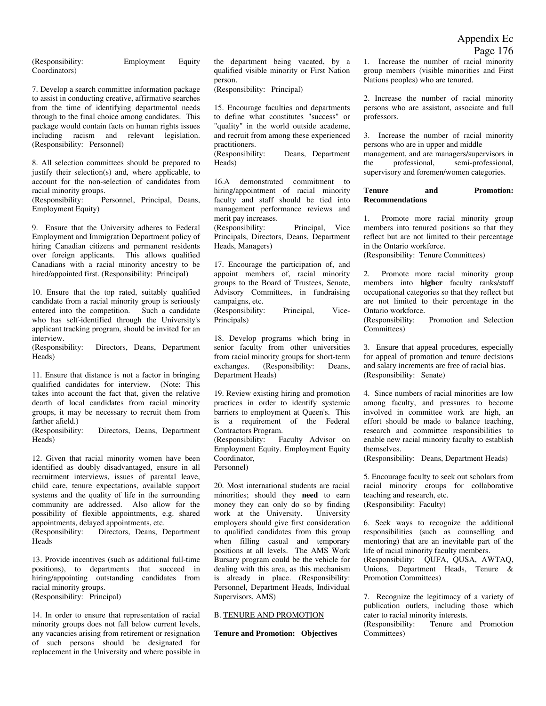(Responsibility: Employment Equity Coordinators)

7. Develop a search committee information package to assist in conducting creative, affirmative searches from the time of identifying departmental needs through to the final choice among candidates. This package would contain facts on human rights issues including racism and relevant legislation. (Responsibility: Personnel)

8. All selection committees should be prepared to justify their selection(s) and, where applicable, to account for the non-selection of candidates from racial minority groups.

(Responsibility: Personnel, Principal, Deans, Employment Equity)

9. Ensure that the University adheres to Federal Employment and Immigration Department policy of hiring Canadian citizens and permanent residents over foreign applicants. This allows qualified Canadians with a racial minority ancestry to be hired/appointed first. (Responsibility: Principal)

10. Ensure that the top rated, suitably qualified candidate from a racial minority group is seriously entered into the competition. Such a candidate who has self-identified through the University's applicant tracking program, should be invited for an interview.<br>(Responsibility:

Directors, Deans, Department Heads)

11. Ensure that distance is not a factor in bringing qualified candidates for interview. (Note: This takes into account the fact that, given the relative dearth of local candidates from racial minority groups, it may be necessary to recruit them from farther afield.)

(Responsibility: Directors, Deans, Department Heads)

12. Given that racial minority women have been identified as doubly disadvantaged, ensure in all recruitment interviews, issues of parental leave, child care, tenure expectations, available support systems and the quality of life in the surrounding community are addressed. Also allow for the possibility of flexible appointments, e.g. shared appointments, delayed appointments, etc. (Responsibility: Directors, Deans, Department

Heads

13. Provide incentives (such as additional full-time positions), to departments that succeed in hiring/appointing outstanding candidates from racial minority groups. (Responsibility: Principal)

14. In order to ensure that representation of racial minority groups does not fall below current levels, any vacancies arising from retirement or resignation of such persons should be designated for replacement in the University and where possible in

the department being vacated, by a qualified visible minority or First Nation person.

(Responsibility: Principal)

15. Encourage faculties and departments to define what constitutes "success" or "quality" in the world outside academe, and recruit from among these experienced practitioners.

(Responsibility: Deans, Department Heads)

16.A demonstrated commitment to hiring/appointment of racial minority faculty and staff should be tied into management performance reviews and merit pay increases. (Responsibility: Principal, Vice Principals, Directors, Deans, Department

Heads, Managers)

17. Encourage the participation of, and appoint members of, racial minority groups to the Board of Trustees, Senate, Advisory Committees, in fundraising campaigns, etc. (Responsibility: Principal, Vice-Principals)

18. Develop programs which bring in senior faculty from other universities from racial minority groups for short-term exchanges. (Responsibility: Deans, Department Heads)

19. Review existing hiring and promotion practices in order to identify systemic barriers to employment at Queen's. This is a requirement of the Federal Contractors Program. (Responsibility: Faculty Advisor on Employment Equity. Employment Equity Coordinator,

Personnel)

20. Most international students are racial minorities; should they **need** to earn money they can only do so by finding work at the University. University employers should give first consideration to qualified candidates from this group when filling casual and temporary positions at all levels. The AMS Work Bursary program could be the vehicle for dealing with this area, as this mechanism is already in place. (Responsibility: Personnel, Department Heads, Individual Supervisors, AMS)

#### B. TENURE AND PROMOTION

**Tenure and Promotion: Objectives** 

1. Increase the number of racial minority group members (visible minorities and First Nations peoples) who are tenured.

2. Increase the number of racial minority persons who are assistant, associate and full professors.

3. Increase the number of racial minority persons who are in upper and middle management, and are managers/supervisors in the professional, semi-professional, supervisory and foremen/women categories.

#### **Tenure and Promotion: Recommendations**

1. Promote more racial minority group members into tenured positions so that they reflect but are not limited to their percentage in the Ontario workforce.

(Responsibility: Tenure Committees)

2. Promote more racial minority group members into **higher** faculty ranks/staff occupational categories so that they reflect but are not limited to their percentage in the Ontario workforce.

(Responsibility: Promotion and Selection Committees)

3. Ensure that appeal procedures, especially for appeal of promotion and tenure decisions and salary increments are free of racial bias. (Responsibility: Senate)

4. Since numbers of racial minorities are low among faculty, and pressures to become involved in committee work are high, an effort should be made to balance teaching, research and committee responsibilities to enable new racial minority faculty to establish themselves.

(Responsibility: Deans, Department Heads)

5. Encourage faculty to seek out scholars from racial minority croups for collaborative teaching and research, etc. (Responsibility: Faculty)

6. Seek ways to recognize the additional responsibilities (such as counselling and mentoring) that are an inevitable part of the life of racial minority faculty members. (Responsibility: QUFA, QUSA, AWTAQ, Unions, Department Heads, Tenure &

7. Recognize the legitimacy of a variety of publication outlets, including those which cater to racial minority interests.

Promotion Committees)

(Responsibility: Tenure and Promotion Committees)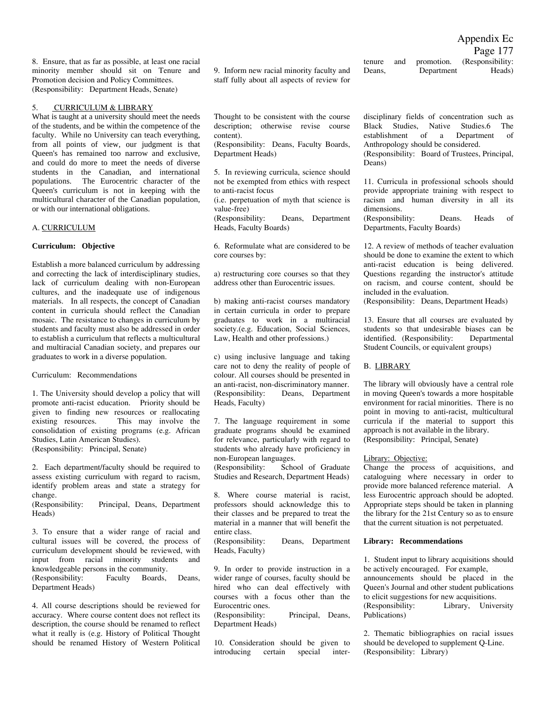Appendix Ec

Page 177

8. Ensure, that as far as possible, at least one racial minority member should sit on Tenure and Promotion decision and Policy Committees. (Responsibility: Department Heads, Senate)

#### 5. CURRICULUM & LIBRARY

What is taught at a university should meet the needs of the students, and be within the competence of the faculty. While no University can teach everything, from all points of view, our judgment is that Queen's has remained too narrow and exclusive, and could do more to meet the needs of diverse students in the Canadian, and international populations. The Eurocentric character of the Queen's curriculum is not in keeping with the multicultural character of the Canadian population, or with our international obligations.

#### A. CURRICULUM

#### **Curriculum: Objective**

Establish a more balanced curriculum by addressing and correcting the lack of interdisciplinary studies, lack of curriculum dealing with non-European cultures, and the inadequate use of indigenous materials. In all respects, the concept of Canadian content in curricula should reflect the Canadian mosaic. The resistance to changes in curriculum by students and faculty must also be addressed in order to establish a curriculum that reflects a multicultural and multiracial Canadian society, and prepares our graduates to work in a diverse population.

#### Curriculum: Recommendations

1. The University should develop a policy that will promote anti-racist education. Priority should be given to finding new resources or reallocating existing resources. This may involve the consolidation of existing programs (e.g. African Studies, Latin American Studies). (Responsibility: Principal, Senate)

2. Each department/faculty should be required to assess existing curriculum with regard to racism, identify problem areas and state a strategy for change.

(Responsibility: Principal, Deans, Department Heads)

3. To ensure that a wider range of racial and cultural issues will be covered, the process of curriculum development should be reviewed, with input from racial minority students and knowledgeable persons in the community. (Responsibility: Faculty Boards, Deans, Department Heads)

4. All course descriptions should be reviewed for accuracy. Where course content does not reflect its description, the course should be renamed to reflect what it really is (e.g. History of Political Thought should be renamed History of Western Political

9. Inform new racial minority faculty and staff fully about all aspects of review for

tenure and promotion. (Responsibility: Deans, Department Heads)

Thought to be consistent with the course description; otherwise revise course content).

(Responsibility: Deans, Faculty Boards, Department Heads)

5. In reviewing curricula, science should not be exempted from ethics with respect to anti-racist focus

(i.e. perpetuation of myth that science is value-free)

(Responsibility: Deans, Department Heads, Faculty Boards)

6. Reformulate what are considered to be core courses by:

a) restructuring core courses so that they address other than Eurocentric issues.

b) making anti-racist courses mandatory in certain curricula in order to prepare graduates to work in a multiracial society.(e.g. Education, Social Sciences, Law, Health and other professions.)

c) using inclusive language and taking care not to deny the reality of people of colour. All courses should be presented in an anti-racist, non-discriminatory manner. (Responsibility: Deans, Department Heads, Faculty)

7. The language requirement in some graduate programs should be examined for relevance, particularly with regard to students who already have proficiency in non-European languages. (Responsibility: School of Graduate

Studies and Research, Department Heads)

8. Where course material is racist, professors should acknowledge this to their classes and be prepared to treat the material in a manner that will benefit the entire class.

(Responsibility: Deans, Department Heads, Faculty)

9. In order to provide instruction in a wider range of courses, faculty should be hired who can deal effectively with courses with a focus other than the Eurocentric ones.

(Responsibility: Principal, Deans, Department Heads)

10. Consideration should be given to introducing certain special interdisciplinary fields of concentration such as Black Studies, Native Studies.6 The establishment of a Department of Anthropology should be considered. (Responsibility: Board of Trustees, Principal,

Deans)

11. Curricula in professional schools should provide appropriate training with respect to racism and human diversity in all its dimensions.

(Responsibility: Deans. Heads of Departments, Faculty Boards)

12. A review of methods of teacher evaluation should be done to examine the extent to which anti-racist education is being delivered. Questions regarding the instructor's attitude on racism, and course content, should be included in the evaluation.

(Responsibility: Deans, Department Heads)

13. Ensure that all courses are evaluated by students so that undesirable biases can be identified. (Responsibility: Departmental Student Councils, or equivalent groups)

#### B. LIBRARY

The library will obviously have a central role in moving Queen's towards a more hospitable environment for racial minorities. There is no point in moving to anti-racist, multicultural curricula if the material to support this approach is not available in the library. (Responsibility: Principal, Senate)

#### Library: Objective:

Change the process of acquisitions, and cataloguing where necessary in order to provide more balanced reference material. A less Eurocentric approach should be adopted. Appropriate steps should be taken in planning the library for the 21st Century so as to ensure that the current situation is not perpetuated.

#### **Library: Recommendations**

1. Student input to library acquisitions should be actively encouraged. For example, announcements should be placed in the Queen's Journal and other student publications to elicit suggestions for new acquisitions.<br>(Responsibility: Library, Univer Library, University Publications)

2. Thematic bibliographies on racial issues should be developed to supplement Q-Line. (Responsibility: Library)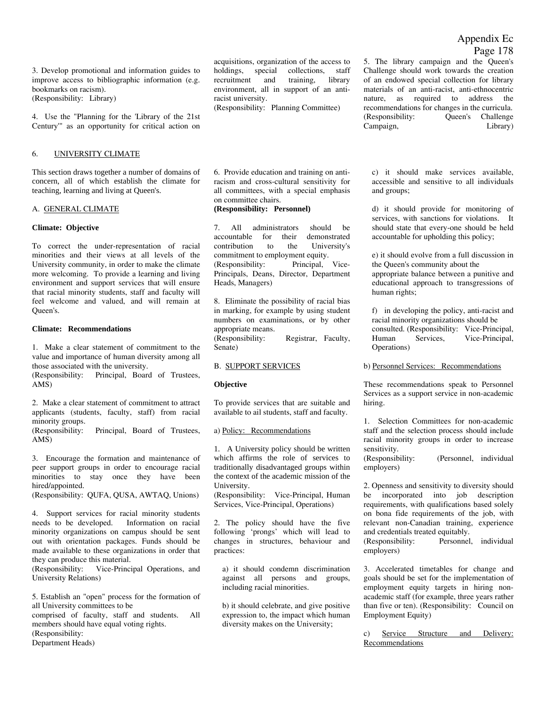4. Use the "Planning for the 'Library of the 21st Century'" as an opportunity for critical action on

#### 6. UNIVERSITY CLIMATE

This section draws together a number of domains of concern, all of which establish the climate for teaching, learning and living at Queen's.

#### A. GENERAL CLIMATE

#### **Climate: Objective**

To correct the under-representation of racial minorities and their views at all levels of the University community, in order to make the climate more welcoming. To provide a learning and living environment and support services that will ensure that racial minority students, staff and faculty will feel welcome and valued, and will remain at Queen's.

#### **Climate: Recommendations**

1. Make a clear statement of commitment to the value and importance of human diversity among all those associated with the university.

(Responsibility: Principal, Board of Trustees, AMS)

2. Make a clear statement of commitment to attract applicants (students, faculty, staff) from racial minority groups.

(Responsibility: Principal, Board of Trustees, AMS)

3. Encourage the formation and maintenance of peer support groups in order to encourage racial minorities to stay once they have been hired/appointed.

(Responsibility: QUFA, QUSA, AWTAQ, Unions)

4. Support services for racial minority students needs to be developed. Information on racial minority organizations on campus should be sent out with orientation packages. Funds should be made available to these organizations in order that they can produce this material.

(Responsibility: Vice-Principal Operations, and University Relations)

5. Establish an "open" process for the formation of all University committees to be

comprised of faculty, staff and students. All members should have equal voting rights. (Responsibility:

Department Heads)

acquisitions, organization of the access to holdings, special collections, staff recruitment and training, library environment, all in support of an antiracist university.

(Responsibility: Planning Committee)

6. Provide education and training on antiracism and cross-cultural sensitivity for all committees, with a special emphasis on committee chairs.

#### **(Responsibility: Personnel)**

7. All administrators should be accountable for their demonstrated contribution to the University's commitment to employment equity.<br>(Responsibility: Principal, Principal, Vice-Principals, Deans, Director, Department Heads, Managers)

8. Eliminate the possibility of racial bias in marking, for example by using student numbers on examinations, or by other appropriate means. (Responsibility: Registrar, Faculty, Senate)

#### B. SUPPORT SERVICES

#### **Objective**

To provide services that are suitable and available to ail students, staff and faculty.

#### a) Policy: Recommendations

1. A University policy should be written which affirms the role of services to traditionally disadvantaged groups within the context of the academic mission of the University.

(Responsibility: Vice-Principal, Human Services, Vice-Principal, Operations)

2. The policy should have the five following 'prongs' which will lead to changes in structures, behaviour and practices:

a) it should condemn discrimination against all persons and groups, including racial minorities.

b) it should celebrate, and give positive expression to, the impact which human diversity makes on the University;

5. The library campaign and the Queen's Challenge should work towards the creation of an endowed special collection for library materials of an anti-racist, anti-ethnocentric nature, as required to address the recommendations for changes in the curricula. (Responsibility: Queen's Challenge Campaign, Library)

c) it should make services available, accessible and sensitive to all individuals and groups;

d) it should provide for monitoring of services, with sanctions for violations. It should state that every-one should be held accountable for upholding this policy;

e) it should evolve from a full discussion in the Queen's community about the appropriate balance between a punitive and educational approach to transgressions of human rights;

f) in developing the policy, anti-racist and racial minority organizations should be consulted. (Responsibility: Vice-Principal, Human Services, Vice-Principal, Operations)

b) Personnel Services: Recommendations

These recommendations speak to Personnel Services as a support service in non-academic hiring.

1. Selection Committees for non-academic staff and the selection process should include racial minority groups in order to increase sensitivity.

(Responsibility: (Personnel, individual employers)

2. Openness and sensitivity to diversity should be incorporated into job description requirements, with qualifications based solely on bona fide requirements of the job, with relevant non-Canadian training, experience and credentials treated equitably. (Responsibility: Personnel, individual

employers)

3. Accelerated timetables for change and goals should be set for the implementation of employment equity targets in hiring nonacademic staff (for example, three years rather than five or ten). (Responsibility: Council on Employment Equity)

c) Service Structure and Delivery: Recommendations

### Appendix Ec Page 178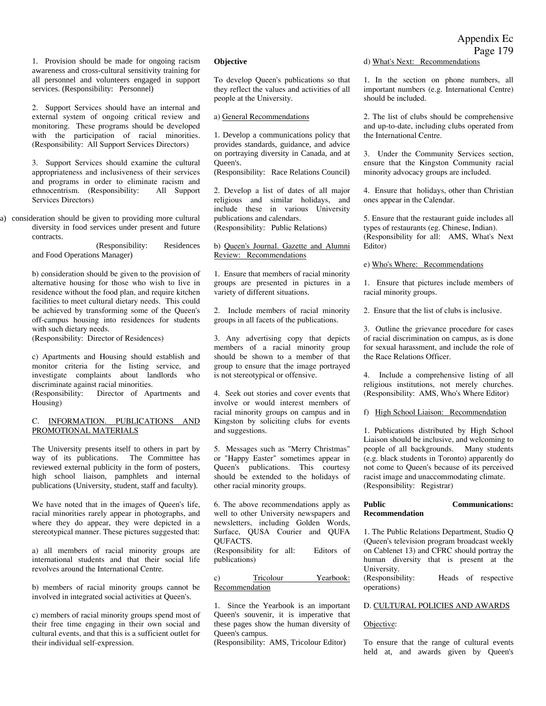1. Provision should be made for ongoing racism awareness and cross-cultural sensitivity training for all personnel and volunteers engaged in support services. (Responsibility: Personnel)

2. Support Services should have an internal and external system of ongoing critical review and monitoring. These programs should be developed with the participation of racial minorities. (Responsibility: All Support Services Directors)

3. Support Services should examine the cultural appropriateness and inclusiveness of their services and programs in order to eliminate racism and ethnocentrism. (Responsibility: All Support Services Directors)

a) consideration should be given to providing more cultural diversity in food services under present and future contracts.

> (Responsibility: Residences and Food Operations Manager)

b) consideration should be given to the provision of alternative housing for those who wish to live in residence without the food plan, and require kitchen facilities to meet cultural dietary needs. This could be achieved by transforming some of the Queen's off-campus housing into residences for students with such dietary needs.

(Responsibility: Director of Residences)

c) Apartments and Housing should establish and monitor criteria for the listing service, and investigate complaints about landlords who discriminate against racial minorities.

(Responsibility: Director of Apartments and Housing)

#### C. INFORMATION. PUBLICATIONS AND PROMOTIONAL MATERIALS

The University presents itself to others in part by way of its publications. The Committee has reviewed external publicity in the form of posters, high school liaison, pamphlets and internal publications (University, student, staff and faculty).

We have noted that in the images of Queen's life, racial minorities rarely appear in photographs, and where they do appear, they were depicted in a stereotypical manner. These pictures suggested that:

a) all members of racial minority groups are international students and that their social life revolves around the International Centre.

b) members of racial minority groups cannot be involved in integrated social activities at Queen's.

c) members of racial minority groups spend most of their free time engaging in their own social and cultural events, and that this is a sufficient outlet for their individual self-expression.

#### **Objective**

To develop Queen's publications so that they reflect the values and activities of all people at the University.

#### a) General Recommendations

1. Develop a communications policy that provides standards, guidance, and advice on portraying diversity in Canada, and at Queen's.

(Responsibility: Race Relations Council)

2. Develop a list of dates of all major religious and similar holidays, and include these in various University publications and calendars. (Responsibility: Public Relations)

b) Queen's Journal. Gazette and Alumni Review: Recommendations

1. Ensure that members of racial minority groups are presented in pictures in a variety of different situations.

2. Include members of racial minority groups in all facets of the publications.

3. Any advertising copy that depicts members of a racial minority group should be shown to a member of that group to ensure that the image portrayed is not stereotypical or offensive.

4. Seek out stories and cover events that involve or would interest members of racial minority groups on campus and in Kingston by soliciting clubs for events and suggestions.

5. Messages such as "Merry Christmas" or "Happy Easter" sometimes appear in Queen's publications. This courtesy should be extended to the holidays of other racial minority groups.

6. The above recommendations apply as well to other University newspapers and newsletters, including Golden Words, Surface, QUSA Courier and QUFA QUFACTS.

(Responsibility for all: Editors of publications)

| c) | Tricolour      | Yearbook: |
|----|----------------|-----------|
|    | Recommendation |           |

1. Since the Yearbook is an important Queen's souvenir, it is imperative that these pages show the human diversity of Queen's campus.

(Responsibility: AMS, Tricolour Editor)

d) What's Next: Recommendations

1. In the section on phone numbers, all important numbers (e.g. International Centre) should be included.

2. The list of clubs should be comprehensive and up-to-date, including clubs operated from the International Centre.

3. Under the Community Services section, ensure that the Kingston Community racial minority advocacy groups are included.

4. Ensure that holidays, other than Christian ones appear in the Calendar.

5. Ensure that the restaurant guide includes all types of restaurants (eg. Chinese, Indian). (Responsibility for all: AMS, What's Next Editor)

#### e) Who's Where: Recommendations

1. Ensure that pictures include members of racial minority groups.

2. Ensure that the list of clubs is inclusive.

3. Outline the grievance procedure for cases of racial discrimination on campus, as is done for sexual harassment, and include the role of the Race Relations Officer.

4. Include a comprehensive listing of all religious institutions, not merely churches. (Responsibility: AMS, Who's Where Editor)

f) High School Liaison: Recommendation

1. Publications distributed by High School Liaison should be inclusive, and welcoming to people of all backgrounds. Many students (e.g. black students in Toronto) apparently do not come to Queen's because of its perceived racist image and unaccommodating climate. (Responsibility: Registrar)

#### **Public Communications: Recommendation**

1. The Public Relations Department, Studio Q (Queen's television program broadcast weekly on Cablenet 13) and CFRC should portray the human diversity that is present at the University. (Responsibility: Heads of respective operations)

#### D. CULTURAL POLICIES AND AWARDS

#### Objective:

To ensure that the range of cultural events held at, and awards given by Queen's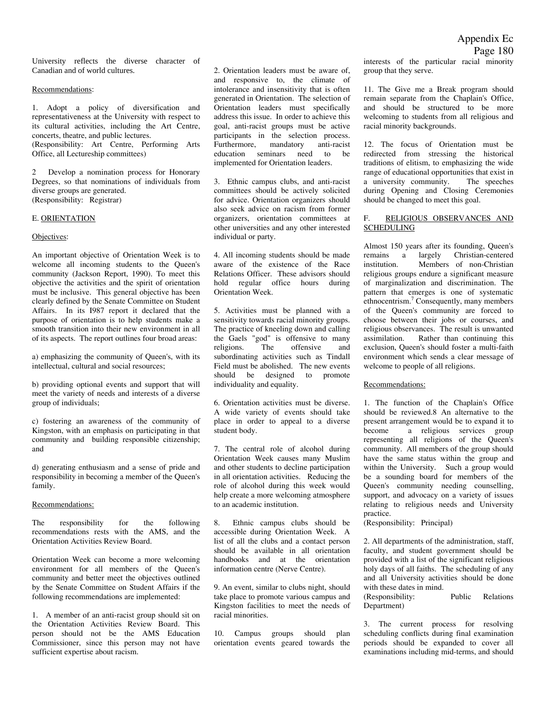University reflects the diverse character of Canadian and of world cultures.

#### Recommendations:

1. Adopt a policy of diversification and representativeness at the University with respect to its cultural activities, including the Art Centre, concerts, theatre, and public lectures. (Responsibility: Art Centre, Performing Arts

Office, all Lectureship committees)

2 Develop a nomination process for Honorary Degrees, so that nominations of individuals from diverse groups are generated. (Responsibility: Registrar)

#### E. ORIENTATION

#### Objectives:

An important objective of Orientation Week is to welcome all incoming students to the Queen's community (Jackson Report, 1990). To meet this objective the activities and the spirit of orientation must be inclusive. This general objective has been clearly defined by the Senate Committee on Student Affairs. In its I987 report it declared that the purpose of orientation is to help students make a smooth transition into their new environment in all of its aspects. The report outlines four broad areas:

a) emphasizing the community of Queen's, with its intellectual, cultural and social resources;

b) providing optional events and support that will meet the variety of needs and interests of a diverse group of individuals;

c) fostering an awareness of the community of Kingston, with an emphasis on participating in that community and building responsible citizenship; and

d) generating enthusiasm and a sense of pride and responsibility in becoming a member of the Queen's family.

#### Recommendations:

The responsibility for the following recommendations rests with the AMS, and the Orientation Activities Review Board.

Orientation Week can become a more welcoming environment for all members of the Queen's community and better meet the objectives outlined by the Senate Committee on Student Affairs if the following recommendations are implemented:

1. A member of an anti-racist group should sit on the Orientation Activities Review Board. This person should not be the AMS Education Commissioner, since this person may not have sufficient expertise about racism.

2. Orientation leaders must be aware of, and responsive to, the climate of intolerance and insensitivity that is often generated in Orientation. The selection of Orientation leaders must specifically address this issue. In order to achieve this goal, anti-racist groups must be active participants in the selection process. Furthermore, mandatory anti-racist education seminars need to be implemented for Orientation leaders.

3. Ethnic campus clubs, and anti-racist committees should be actively solicited for advice. Orientation organizers should also seek advice on racism from former organizers, orientation committees at other universities and any other interested individual or party.

4. All incoming students should be made aware of the existence of the Race Relations Officer. These advisors should hold regular office hours during Orientation Week.

5. Activities must be planned with a sensitivity towards racial minority groups. The practice of kneeling down and calling the Gaels "god" is offensive to many religions. The offensive and subordinating activities such as Tindall Field must be abolished. The new events should be designed to promote individuality and equality.

6. Orientation activities must be diverse. A wide variety of events should take place in order to appeal to a diverse student body.

7. The central role of alcohol during Orientation Week causes many Muslim and other students to decline participation in all orientation activities. Reducing the role of alcohol during this week would help create a more welcoming atmosphere to an academic institution.

8. Ethnic campus clubs should be accessible during Orientation Week. A list of all the clubs and a contact person should be available in all orientation handbooks and at the orientation information centre (Nerve Centre).

9. An event, similar to clubs night, should take place to promote various campus and Kingston facilities to meet the needs of racial minorities.

10. Campus groups should plan orientation events geared towards the interests of the particular racial minority group that they serve.

11. The Give me a Break program should remain separate from the Chaplain's Office, and should be structured to be more welcoming to students from all religious and racial minority backgrounds.

12. The focus of Orientation must be redirected from stressing the historical traditions of elitism, to emphasizing the wide range of educational opportunities that exist in a university community. The speeches during Opening and Closing Ceremonies should be changed to meet this goal.

#### F. RELIGIOUS OBSERVANCES AND SCHEDULING

Almost 150 years after its founding, Queen's<br>remains a largely Christian-centered remains a largely<br>institution. Members Members of non-Christian religious groups endure a significant measure of marginalization and discrimination. The pattern that emerges is one of systematic ethnocentrism.<sup>7</sup> Consequently, many members of the Queen's community are forced to choose between their jobs or courses, and religious observances. The result is unwanted assimilation. Rather than continuing this exclusion, Queen's should foster a multi-faith environment which sends a clear message of welcome to people of all religions.

#### Recommendations:

1. The function of the Chaplain's Office should be reviewed.8 An alternative to the present arrangement would be to expand it to become a religious services group representing all religions of the Queen's community. All members of the group should have the same status within the group and within the University. Such a group would be a sounding board for members of the Queen's community needing counselling, support, and advocacy on a variety of issues relating to religious needs and University practice.

(Responsibility: Principal)

2. All departments of the administration, staff, faculty, and student government should be provided with a list of the significant religious holy days of all faiths. The scheduling of any and all University activities should be done with these dates in mind. (Responsibility: Public Relations

Department)

3. The current process for resolving scheduling conflicts during final examination periods should be expanded to cover all examinations including mid-terms, and should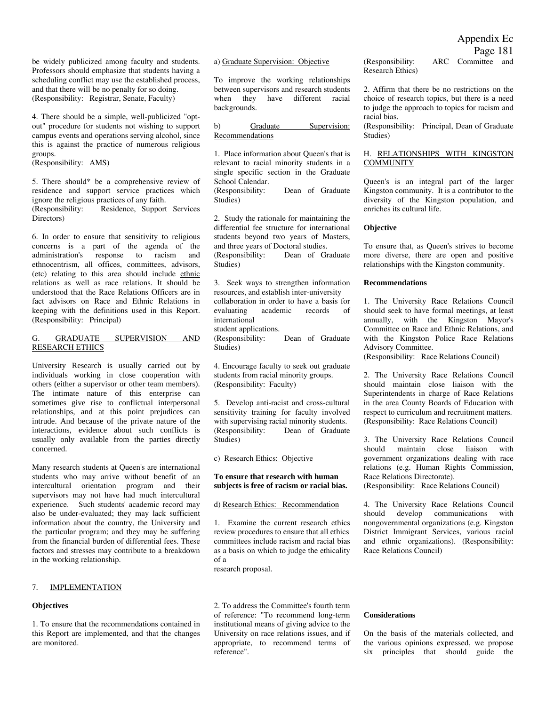be widely publicized among faculty and students. Professors should emphasize that students having a scheduling conflict may use the established process, and that there will be no penalty for so doing. (Responsibility: Registrar, Senate, Faculty)

4. There should be a simple, well-publicized "optout" procedure for students not wishing to support campus events and operations serving alcohol, since this is against the practice of numerous religious groups.

(Responsibility: AMS)

5. There should\* be a comprehensive review of residence and support service practices which ignore the religious practices of any faith. (Responsibility: Residence, Support Services Directors)

6. In order to ensure that sensitivity to religious concerns is a part of the agenda of the administration's response to racism and ethnocentrism, all offices, committees, advisors, (etc) relating to this area should include ethnic relations as well as race relations. It should be understood that the Race Relations Officers are in fact advisors on Race and Ethnic Relations in keeping with the definitions used in this Report. (Responsibility: Principal)

#### G. GRADUATE SUPERVISION AND RESEARCH ETHICS

University Research is usually carried out by individuals working in close cooperation with others (either a supervisor or other team members). The intimate nature of this enterprise can sometimes give rise to conflictual interpersonal relationships, and at this point prejudices can intrude. And because of the private nature of the interactions, evidence about such conflicts is usually only available from the parties directly concerned.

Many research students at Queen's are international students who may arrive without benefit of an intercultural orientation program and their supervisors may not have had much intercultural experience. Such students' academic record may also be under-evaluated; they may lack sufficient information about the country, the University and the particular program; and they may be suffering from the financial burden of differential fees. These factors and stresses may contribute to a breakdown in the working relationship.

#### 7. IMPLEMENTATION

#### **Objectives**

1. To ensure that the recommendations contained in this Report are implemented, and that the changes are monitored.

a) Graduate Supervision: Objective

To improve the working relationships between supervisors and research students when they have different racial backgrounds.

b) Graduate Supervision: Recommendations

1. Place information about Queen's that is relevant to racial minority students in a single specific section in the Graduate School Calendar.

(Responsibility: Dean of Graduate Studies)

2. Study the rationale for maintaining the differential fee structure for international students beyond two years of Masters, and three years of Doctoral studies.<br>(Responsibility: Dean of Gr. Dean of Graduate Studies)

3. Seek ways to strengthen information resources, and establish inter-university collaboration in order to have a basis for evaluating academic records of international student applications.

(Responsibility: Dean of Graduate Studies)

4. Encourage faculty to seek out graduate students from racial minority groups. (Responsibility: Faculty)

5. Develop anti-racist and cross-cultural sensitivity training for faculty involved with supervising racial minority students. (Responsibility: Dean of Graduate Studies)

#### c) Research Ethics: Objective

#### **To ensure that research with human subjects is free of racism or racial bias.**

#### d) Research Ethics: Recommendation

1. Examine the current research ethics review procedures to ensure that all ethics committees include racism and racial bias as a basis on which to judge the ethicality of a

research proposal.

2. To address the Committee's fourth term of reference: "To recommend long-term institutional means of giving advice to the University on race relations issues, and if appropriate, to recommend terms of reference".

(Responsibility: ARC Committee and Research Ethics)

2. Affirm that there be no restrictions on the choice of research topics, but there is a need to judge the approach to topics for racism and racial bias.

(Responsibility: Principal, Dean of Graduate Studies)

#### H. RELATIONSHIPS WITH KINGSTON **COMMUNITY**

Queen's is an integral part of the larger Kingston community. It is a contributor to the diversity of the Kingston population, and enriches its cultural life.

#### **Objective**

To ensure that, as Queen's strives to become more diverse, there are open and positive relationships with the Kingston community.

#### **Recommendations**

1. The University Race Relations Council should seek to have formal meetings, at least annually, with the Kingston Mayor's Committee on Race and Ethnic Relations, and with the Kingston Police Race Relations Advisory Committee.

(Responsibility: Race Relations Council)

2. The University Race Relations Council should maintain close liaison with the Superintendents in charge of Race Relations in the area County Boards of Education with respect to curriculum and recruitment matters. (Responsibility: Race Relations Council)

3. The University Race Relations Council should maintain close liaison with government organizations dealing with race relations (e.g. Human Rights Commission, Race Relations Directorate).

(Responsibility: Race Relations Council)

4. The University Race Relations Council should develop communications with nongovernmental organizations (e.g. Kingston District Immigrant Services, various racial and ethnic organizations). (Responsibility: Race Relations Council)

#### **Considerations**

On the basis of the materials collected, and the various opinions expressed, we propose six principles that should guide the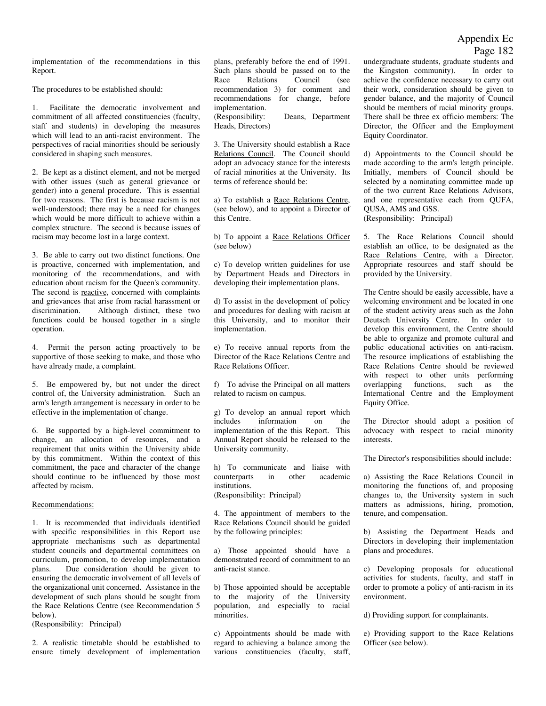### Appendix Ec Page 182

implementation of the recommendations in this Report.

The procedures to be established should:

1. Facilitate the democratic involvement and commitment of all affected constituencies (faculty, staff and students) in developing the measures which will lead to an anti-racist environment. The perspectives of racial minorities should be seriously considered in shaping such measures.

2. Be kept as a distinct element, and not be merged with other issues (such as general grievance or gender) into a general procedure. This is essential for two reasons. The first is because racism is not well-understood; there may be a need for changes which would be more difficult to achieve within a complex structure. The second is because issues of racism may become lost in a large context.

3. Be able to carry out two distinct functions. One is proactive, concerned with implementation, and monitoring of the recommendations, and with education about racism for the Queen's community. The second is reactive, concerned with complaints and grievances that arise from racial harassment or discrimination. Although distinct, these two functions could be housed together in a single operation.

4. Permit the person acting proactively to be supportive of those seeking to make, and those who have already made, a complaint.

5. Be empowered by, but not under the direct control of, the University administration. Such an arm's length arrangement is necessary in order to be effective in the implementation of change.

6. Be supported by a high-level commitment to change, an allocation of resources, and a requirement that units within the University abide by this commitment. Within the context of this commitment, the pace and character of the change should continue to be influenced by those most affected by racism.

#### Recommendations:

1. It is recommended that individuals identified with specific responsibilities in this Report use appropriate mechanisms such as departmental student councils and departmental committees on curriculum, promotion, to develop implementation plans. Due consideration should be given to ensuring the democratic involvement of all levels of the organizational unit concerned. Assistance in the development of such plans should be sought from the Race Relations Centre (see Recommendation 5 below).

(Responsibility: Principal)

2. A realistic timetable should be established to ensure timely development of implementation plans, preferably before the end of 1991. Such plans should be passed on to the Race Relations Council (see recommendation 3) for comment and recommendations for change, before implementation. (Responsibility: Deans, Department Heads, Directors)

3. The University should establish a Race Relations Council. The Council should adopt an advocacy stance for the interests of racial minorities at the University. Its terms of reference should be:

a) To establish a Race Relations Centre, (see below), and to appoint a Director of this Centre.

b) To appoint a Race Relations Officer (see below)

c) To develop written guidelines for use by Department Heads and Directors in developing their implementation plans.

d) To assist in the development of policy and procedures for dealing with racism at this University, and to monitor their implementation.

e) To receive annual reports from the Director of the Race Relations Centre and Race Relations Officer.

f) To advise the Principal on all matters related to racism on campus.

g) To develop an annual report which includes information on the implementation of the this Report. This Annual Report should be released to the University community.

h) To communicate and liaise with counterparts in other academic institutions. (Responsibility: Principal)

4. The appointment of members to the Race Relations Council should be guided by the following principles:

a) Those appointed should have a demonstrated record of commitment to an anti-racist stance.

b) Those appointed should be acceptable to the majority of the University population, and especially to racial minorities.

c) Appointments should be made with regard to achieving a balance among the various constituencies (faculty, staff,

undergraduate students, graduate students and the Kingston community). In order to achieve the confidence necessary to carry out their work, consideration should be given to gender balance, and the majority of Council should be members of racial minority groups. There shall be three ex officio members: The Director, the Officer and the Employment Equity Coordinator.

d) Appointments to the Council should be made according to the arm's length principle. Initially, members of Council should be selected by a nominating committee made up of the two current Race Relations Advisors, and one representative each from QUFA, QUSA, AMS and GSS. (Responsibility: Principal)

5. The Race Relations Council should establish an office, to be designated as the Race Relations Centre, with a Director. Appropriate resources and staff should be provided by the University.

The Centre should be easily accessible, have a welcoming environment and be located in one of the student activity areas such as the John Deutsch University Centre. In order to develop this environment, the Centre should be able to organize and promote cultural and public educational activities on anti-racism. The resource implications of establishing the Race Relations Centre should be reviewed with respect to other units performing overlapping functions, such as the International Centre and the Employment Equity Office.

The Director should adopt a position of advocacy with respect to racial minority interests.

The Director's responsibilities should include:

a) Assisting the Race Relations Council in monitoring the functions of, and proposing changes to, the University system in such matters as admissions, hiring, promotion, tenure, and compensation.

b) Assisting the Department Heads and Directors in developing their implementation plans and procedures.

c) Developing proposals for educational activities for students, faculty, and staff in order to promote a policy of anti-racism in its environment.

d) Providing support for complainants.

e) Providing support to the Race Relations Officer (see below).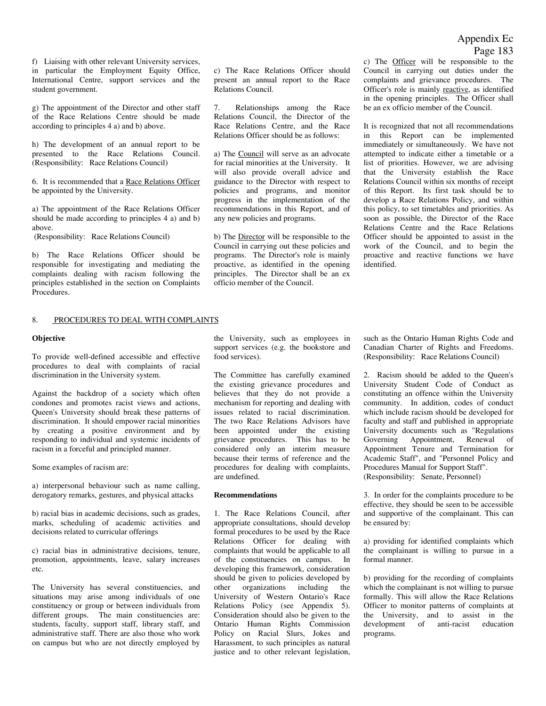f) Liaising with other relevant University services, in particular the Employment Equity Office, International Centre, support services and the student government.

g) The appointment of the Director and other staff of the Race Relations Centre should be made according to principles 4 a) and b) above.

h) The development of an annual report to be presented to the Race Relations Council. (Responsibility: Race Relations Council)

6. It is recommended that a Race Relations Officer be appointed by the University.

a) The appointment of the Race Relations Officer should be made according to principles 4 a) and b) above.

(Responsibility: Race Relations Council)

b) The Race Relations Officer should be responsible for investigating and mediating the complaints dealing with racism following the principles established in the section on Complaints Procedures.

#### 8. PROCEDURES TO DEAL WITH COMPLAINTS

#### **Objective**

To provide well-defined accessible and effective procedures to deal with complaints of racial discrimination in the University system.

Against the backdrop of a society which often condones and promotes racist views and actions, Queen's University should break these patterns of discrimination. It should empower racial minorities by creating a positive environment and by responding to individual and systemic incidents of racism in a forceful and principled manner.

Some examples of racism are:

a) interpersonal behaviour such as name calling, derogatory remarks, gestures, and physical attacks

b) racial bias in academic decisions, such as grades, marks, scheduling of academic activities and decisions related to curricular offerings

c) racial bias in administrative decisions, tenure, promotion, appointments, leave, salary increases etc.

The University has several constituencies, and situations may arise among individuals of one constituency or group or between individuals from different groups. The main constituencies are: students, faculty, support staff, library staff, and administrative staff. There are also those who work on campus but who are not directly employed by

c) The Race Relations Officer should present an annual report to the Race Relations Council.

7. Relationships among the Race Relations Council, the Director of the Race Relations Centre, and the Race Relations Officer should be as follows:

a) The Council will serve as an advocate for racial minorities at the University. It will also provide overall advice and guidance to the Director with respect to policies and programs, and monitor progress in the implementation of the recommendations in this Report, and of any new policies and programs.

b) The Director will be responsible to the Council in carrying out these policies and programs. The Director's role is mainly proactive, as identified in the opening principles. The Director shall be an ex officio member of the Council.

c) The Officer will be responsible to the Council in carrying out duties under the complaints and grievance procedures. The Officer's role is mainly reactive, as identified in the opening principles. The Officer shall be an ex officio member of the Council.

It is recognized that not all recommendations in this Report can be implemented immediately or simultaneously. We have not attempted to indicate either a timetable or a list of priorities. However, we are advising that the University establish the Race Relations Council within six months of receipt of this Report. Its first task should be to develop a Race Relations Policy, and within this policy, to set timetables and priorities. As soon as possible, the Director of the Race Relations Centre and the Race Relations Officer should be appointed to assist in the work of the Council, and to begin the proactive and reactive functions we have identified.

the University, such as employees in support services (e.g. the bookstore and food services).

The Committee has carefully examined the existing grievance procedures and believes that they do not provide a mechanism for reporting and dealing with issues related to racial discrimination. The two Race Relations Advisors have been appointed under the existing grievance procedures. This has to be considered only an interim measure because their terms of reference and the procedures for dealing with complaints, are undefined.

#### **Recommendations**

1. The Race Relations Council, after appropriate consultations, should develop formal procedures to be used by the Race Relations Officer for dealing with complaints that would be applicable to all of the constituencies on campus. In developing this framework, consideration should be given to policies developed by other organizations including the University of Western Ontario's Race Relations Policy (see Appendix 5). Consideration should also be given to the Ontario Human Rights Commission Policy on Racial Slurs, Jokes and Harassment, to such principles as natural justice and to other relevant legislation,

such as the Ontario Human Rights Code and Canadian Charter of Rights and Freedoms. (Responsibility: Race Relations Council)

2. Racism should be added to the Queen's University Student Code of Conduct as constituting an offence within the University community. In addition, codes of conduct which include racism should be developed for faculty and staff and published in appropriate University documents such as "Regulations Governing Appointment, Renewal of Appointment Tenure and Termination for Academic Staff", and "Personnel Policy and Procedures Manual for Support Staff". (Responsibility: Senate, Personnel)

3. In order for the complaints procedure to be effective, they should be seen to be accessible and supportive of the complainant. This can be ensured by:

a) providing for identified complaints which the complainant is willing to pursue in a formal manner.

b) providing for the recording of complaints which the complainant is not willing to pursue formally. This will allow the Race Relations Officer to monitor patterns of complaints at the University, and to assist in the development of anti-racist education programs.

### Appendix Ec Page 183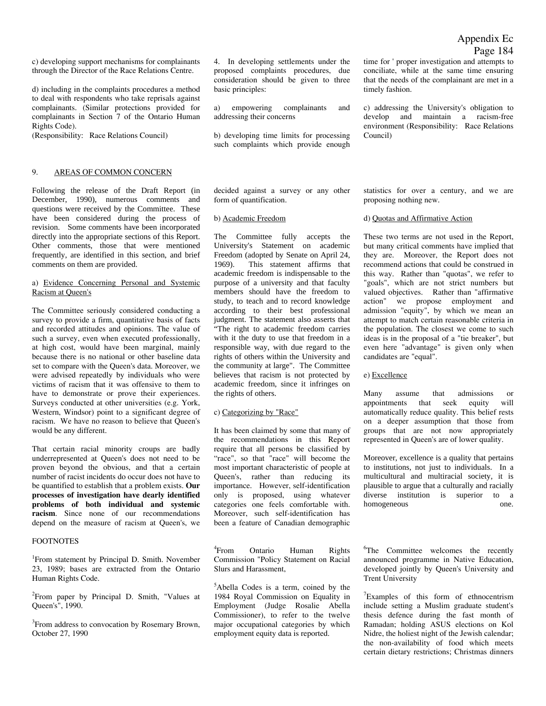c) developing support mechanisms for complainants through the Director of the Race Relations Centre.

d) including in the complaints procedures a method to deal with respondents who take reprisals against complainants. (Similar protections provided for complainants in Section 7 of the Ontario Human Rights Code).

(Responsibility: Race Relations Council)

#### 9. AREAS OF COMMON CONCERN

Following the release of the Draft Report (in December, 1990), numerous comments and questions were received by the Committee. These have been considered during the process of revision. Some comments have been incorporated directly into the appropriate sections of this Report. Other comments, those that were mentioned frequently, are identified in this section, and brief comments on them are provided.

#### a) Evidence Concerning Personal and Systemic Racism at Queen's

The Committee seriously considered conducting a survey to provide a firm, quantitative basis of facts and recorded attitudes and opinions. The value of such a survey, even when executed professionally, at high cost, would have been marginal, mainly because there is no national or other baseline data set to compare with the Queen's data. Moreover, we were advised repeatedly by individuals who were victims of racism that it was offensive to them to have to demonstrate or prove their experiences. Surveys conducted at other universities (e.g. York, Western, Windsor) point to a significant degree of racism. We have no reason to believe that Queen's would be any different.

That certain racial minority croups are badly underrepresented at Queen's does not need to be proven beyond the obvious, and that a certain number of racist incidents do occur does not have to be quantified to establish that a problem exists. **Our processes of investigation have dearly identified problems of both individual and systemic racism**. Since none of our recommendations depend on the measure of racism at Queen's, we

#### FOOTNOTES

<sup>1</sup> From statement by Principal D. Smith. November 23, 1989; bases are extracted from the Ontario Human Rights Code.

<sup>2</sup> From paper by Principal D. Smith, "Values at Queen's", 1990.

<sup>3</sup> From address to convocation by Rosemary Brown, October 27, 1990

4. In developing settlements under the proposed complaints procedures, due consideration should be given to three basic principles:

a) empowering complainants and addressing their concerns

b) developing time limits for processing such complaints which provide enough time for ' proper investigation and attempts to conciliate, while at the same time ensuring that the needs of the complainant are met in a timely fashion.

c) addressing the University's obligation to develop and maintain a racism-free environment (Responsibility: Race Relations Council)

decided against a survey or any other form of quantification.

#### b) Academic Freedom

The Committee fully accepts the University's Statement on academic Freedom (adopted by Senate on April 24, 1969). This statement affirms that academic freedom is indispensable to the purpose of a university and that faculty members should have the freedom to study, to teach and to record knowledge according to their best professional judgment. The statement also asserts that "The right to academic freedom carries with it the duty to use that freedom in a responsible way, with due regard to the rights of others within the University and the community at large". The Committee believes that racism is not protected by academic freedom, since it infringes on the rights of others.

#### c) Categorizing by "Race"

It has been claimed by some that many of the recommendations in this Report require that all persons be classified by "race", so that "race" will become the most important characteristic of people at Queen's, rather than reducing its importance. However, self-identification only is proposed, using whatever categories one feels comfortable with. Moreover, such self-identification has been a feature of Canadian demographic

 $4$ From Ontario Human Rights Commission "Policy Statement on Racial Slurs and Harassment,

5 Abella Codes is a term, coined by the 1984 Royal Commission on Equality in Employment (Judge Rosalie Abella Commissioner), to refer to the twelve major occupational categories by which employment equity data is reported.

statistics for over a century, and we are proposing nothing new.

#### d) Quotas and Affirmative Action

These two terms are not used in the Report, but many critical comments have implied that they are. Moreover, the Report does not recommend actions that could be construed in this way. Rather than "quotas", we refer to "goals", which are not strict numbers but valued objectives. Rather than "affirmative action" we propose employment and admission "equity", by which we mean an attempt to match certain reasonable criteria in the population. The closest we come to such ideas is in the proposal of a "tie breaker", but even here "advantage" is given only when candidates are "equal".

#### e) Excellence

Many assume that admissions or appointments that seek equity will automatically reduce quality. This belief rests on a deeper assumption that those from groups that are not now appropriately represented in Queen's are of lower quality.

Moreover, excellence is a quality that pertains to institutions, not just to individuals. In a multicultural and multiracial society, it is plausible to argue that a culturally and racially diverse institution is superior to a homogeneous one.

<sup>6</sup>The Committee welcomes the recently announced programme in Native Education, developed jointly by Queen's University and Trent University

<sup>7</sup>Examples of this form of ethnocentrism include setting a Muslim graduate student's thesis defence during the fast month of Ramadan; holding ASUS elections on Kol Nidre, the holiest night of the Jewish calendar; the non-availability of food which meets certain dietary restrictions; Christmas dinners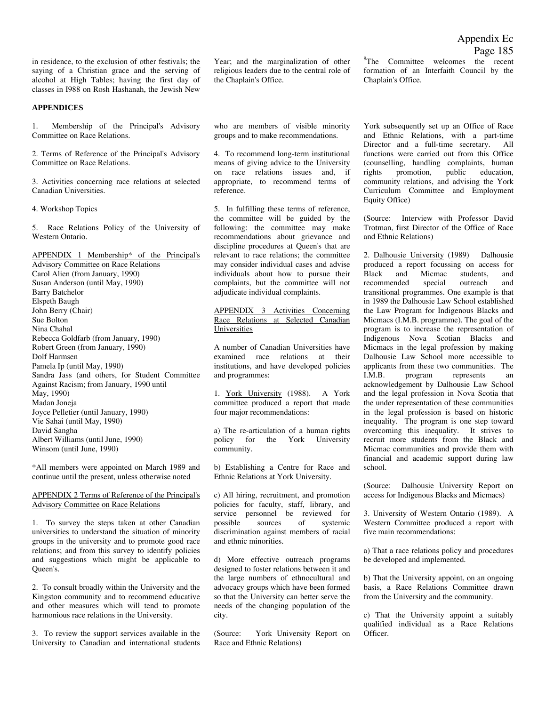in residence, to the exclusion of other festivals; the saying of a Christian grace and the serving of alcohol at High Tables; having the first day of classes in I988 on Rosh Hashanah, the Jewish New

### **APPENDICES**

1. Membership of the Principal's Advisory Committee on Race Relations.

2. Terms of Reference of the Principal's Advisory Committee on Race Relations.

3. Activities concerning race relations at selected Canadian Universities.

4. Workshop Topics

5. Race Relations Policy of the University of Western Ontario.

APPENDIX 1 Membership\* of the Principal's Advisory Committee on Race Relations Carol Alien (from January, 1990) Susan Anderson (until May, 1990) Barry Batchelor Elspeth Baugh John Berry (Chair) Sue Bolton Nina Chahal Rebecca Goldfarb (from January, 1990) Robert Green (from January, 1990) Dolf Harmsen Pamela Ip (until May, 1990) Sandra Jass (and others, for Student Committee Against Racism; from January, 1990 until May, 1990) Madan Joneja Joyce Pelletier (until January, 1990) Vie Sahai (until May, 1990) David Sangha Albert Williams (until June, 1990) Winsom (until June, 1990)

\*All members were appointed on March 1989 and continue until the present, unless otherwise noted

#### APPENDIX 2 Terms of Reference of the Principal's Advisory Committee on Race Relations

1. To survey the steps taken at other Canadian universities to understand the situation of minority groups in the university and to promote good race relations; and from this survey to identify policies and suggestions which might be applicable to Queen's.

2. To consult broadly within the University and the Kingston community and to recommend educative and other measures which will tend to promote harmonious race relations in the University.

3. To review the support services available in the University to Canadian and international students

Year; and the marginalization of other religious leaders due to the central role of the Chaplain's Office.

who are members of visible minority groups and to make recommendations.

4. To recommend long-term institutional means of giving advice to the University on race relations issues and, if appropriate, to recommend terms of reference.

5. In fulfilling these terms of reference, the committee will be guided by the following: the committee may make recommendations about grievance and discipline procedures at Queen's that are relevant to race relations; the committee may consider individual cases and advise individuals about how to pursue their complaints, but the committee will not adjudicate individual complaints.

APPENDIX 3 Activities Concerning Race Relations at Selected Canadian Universities

A number of Canadian Universities have examined race relations at their institutions, and have developed policies and programmes:

1. York University (1988). A York committee produced a report that made four major recommendations:

a) The re-articulation of a human rights policy for the York University community.

b) Establishing a Centre for Race and Ethnic Relations at York University.

c) All hiring, recruitment, and promotion policies for faculty, staff, library, and service personnel be reviewed for possible sources of systemic discrimination against members of racial and ethnic minorities.

d) More effective outreach programs designed to foster relations between it and the large numbers of ethnocultural and advocacy groups which have been formed so that the University can better serve the needs of the changing population of the city.

(Source: York University Report on Race and Ethnic Relations)

<sup>8</sup>The Committee welcomes the recent formation of an Interfaith Council by the Chaplain's Office.

York subsequently set up an Office of Race and Ethnic Relations, with a part-time Director and a full-time secretary. All functions were carried out from this Office (counselling, handling complaints, human rights promotion, public education, community relations, and advising the York Curriculum Committee and Employment Equity Office)

(Source: Interview with Professor David Trotman, first Director of the Office of Race and Ethnic Relations)

2. Dalhousie University (1989) Dalhousie produced a report focussing on access for Black and Micmac students, and recommended special outreach and transitional programmes. One example is that in 1989 the Dalhousie Law School established the Law Program for Indigenous Blacks and Micmacs (I.M.B. programme). The goal of the program is to increase the representation of Indigenous Nova Scotian Blacks and Micmacs in the legal profession by making Dalhousie Law School more accessible to applicants from these two communities. The I.M.B. program represents an acknowledgement by Dalhousie Law School and the legal profession in Nova Scotia that the under representation of these communities in the legal profession is based on historic inequality. The program is one step toward overcoming this inequality. It strives to recruit more students from the Black and Micmac communities and provide them with financial and academic support during law school.

(Source: Dalhousie University Report on access for Indigenous Blacks and Micmacs)

3. University of Western Ontario (1989). A Western Committee produced a report with five main recommendations:

a) That a race relations policy and procedures be developed and implemented.

b) That the University appoint, on an ongoing basis, a Race Relations Committee drawn from the University and the community.

c) That the University appoint a suitably qualified individual as a Race Relations Officer.